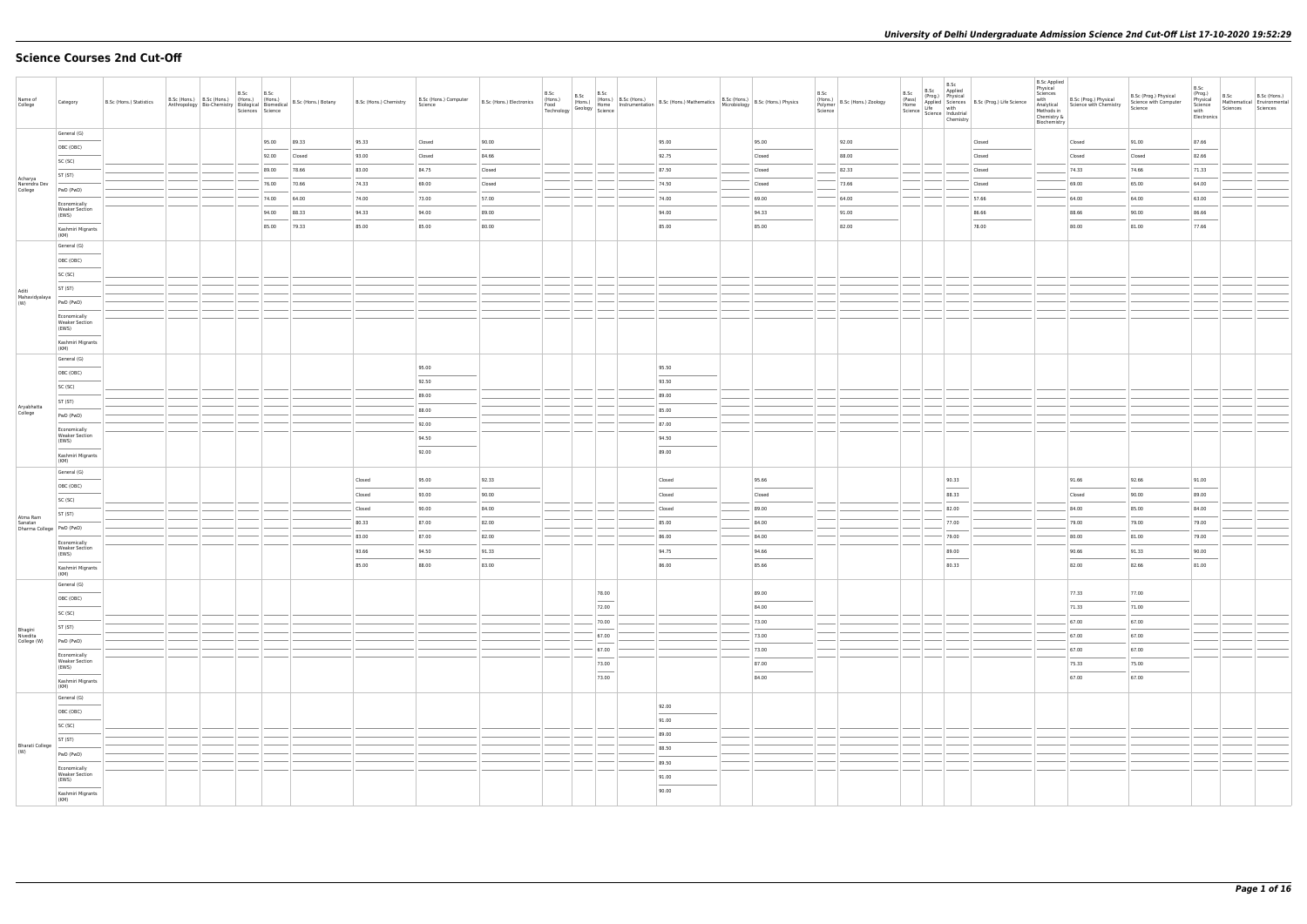# **Science Courses 2nd Cut-Off**

| Name of<br>College                 | Category                                       | B.Sc (Hons.) Statistics | B.Sc<br>B.Sc (Hons.) B.Sc (Hons.) (Hons.) (Hons.)<br>Anthropology Bio-Chemistry Biological Biomedical | B.Sc<br>Sciences Science | B.Sc (Hons.) Botany | B.Sc (Hons.) Chemistry | B.Sc (Hons.) Computer<br>Science | B.Sc (Hons.) Electronics | B.Sc<br>(Hons.)<br>Food<br>Technology |                                                                                                                                                                                                                                                                                                                                                                                                                                                                                     |                                   | B.Sc (Hons.) B.Sc (Hons.)<br>(Hons.) B.Sc (Hons.) B.Sc (Hons.) Mathematics B.Sc (Hons.) B.Sc (Hons.) Physics<br>(Geology Science Science ) Science (Hons.) Mathematics (Microbiology B.Sc (Hons.) Physics<br>Science (Hons.) Science                                                                                                                                                                                                                                                | B.Sc | (Hons.)<br>Polymer B.Sc (Hons.) Zoology<br>Science |                                   | B.Sc B.Sc B.Sc B.Sc B.Sc (Prog.) Life Science<br>Ass (Prog.) Physical<br>Home Applied Science<br>Life with<br>Science Life with<br>Science Life Chemistry<br>Chemistry | <b>B.Sc Applied</b><br>Physical<br>Sciences<br>with<br>Chemistry &<br>Biochemistry | B.Sc (Prog.) Physical<br>Analytical Science with Chemistry<br>Methods in | B.Sc (Prog.) Physical<br>Science with Computer<br>Science | B.Sc<br>(Prog.)<br>Physical<br>Science<br>with<br>Electronics | B.Sc<br>Mathematical Environmental<br>Sciences | B.Sc (Hons.)<br>Sciences |
|------------------------------------|------------------------------------------------|-------------------------|-------------------------------------------------------------------------------------------------------|--------------------------|---------------------|------------------------|----------------------------------|--------------------------|---------------------------------------|-------------------------------------------------------------------------------------------------------------------------------------------------------------------------------------------------------------------------------------------------------------------------------------------------------------------------------------------------------------------------------------------------------------------------------------------------------------------------------------|-----------------------------------|-------------------------------------------------------------------------------------------------------------------------------------------------------------------------------------------------------------------------------------------------------------------------------------------------------------------------------------------------------------------------------------------------------------------------------------------------------------------------------------|------|----------------------------------------------------|-----------------------------------|------------------------------------------------------------------------------------------------------------------------------------------------------------------------|------------------------------------------------------------------------------------|--------------------------------------------------------------------------|-----------------------------------------------------------|---------------------------------------------------------------|------------------------------------------------|--------------------------|
|                                    | General (G)                                    |                         |                                                                                                       | 95.00                    | 89.33               | 95.33                  | Closed                           | 90.00                    |                                       |                                                                                                                                                                                                                                                                                                                                                                                                                                                                                     | 95.00                             | 95.00                                                                                                                                                                                                                                                                                                                                                                                                                                                                               |      | 92.00                                              |                                   | Closed                                                                                                                                                                 |                                                                                    | Closed                                                                   | 91.00                                                     | 87.66                                                         |                                                |                          |
|                                    | OBC (OBC)                                      |                         |                                                                                                       | 92.00                    | Closed              | 93.00                  | Closed                           | 84.66                    |                                       |                                                                                                                                                                                                                                                                                                                                                                                                                                                                                     | 92.75                             | Closed                                                                                                                                                                                                                                                                                                                                                                                                                                                                              |      | 88.00                                              |                                   | Closed                                                                                                                                                                 |                                                                                    | Closed                                                                   | Closed                                                    | 82.66                                                         |                                                |                          |
|                                    | SC (SC)                                        |                         |                                                                                                       | 89.00                    | 78.66               | 83.00                  | 84.75                            | Closed                   |                                       |                                                                                                                                                                                                                                                                                                                                                                                                                                                                                     | 87.50                             | Closed                                                                                                                                                                                                                                                                                                                                                                                                                                                                              |      | 82.33                                              |                                   | Closed                                                                                                                                                                 |                                                                                    | 74.33                                                                    | 74.66                                                     | 71.33                                                         |                                                |                          |
| Acharya<br>Narendra Dev            | ST (ST)                                        |                         |                                                                                                       | 76.00                    | 70.66               | 74.33                  | 69.00                            | Closed                   |                                       |                                                                                                                                                                                                                                                                                                                                                                                                                                                                                     | 74.50                             | Closed                                                                                                                                                                                                                                                                                                                                                                                                                                                                              |      | 73.66                                              |                                   | Closed                                                                                                                                                                 |                                                                                    | 69.00                                                                    | 65.00                                                     | 64.00                                                         |                                                |                          |
| College                            | PwD (PwD)                                      |                         |                                                                                                       | 74.00                    | 64.00               | 74.00                  | 73.00                            | 57.00                    |                                       |                                                                                                                                                                                                                                                                                                                                                                                                                                                                                     | 74.00                             | 69.00                                                                                                                                                                                                                                                                                                                                                                                                                                                                               |      | 64.00                                              |                                   | 57.66                                                                                                                                                                  |                                                                                    | 64.00                                                                    | 64.00                                                     | 63.00                                                         |                                                |                          |
|                                    | Economically<br><b>Weaker Section</b><br>(EWS) |                         |                                                                                                       | 94.00                    | 88.33               | 94.33                  | 94.00                            | 89.00                    |                                       |                                                                                                                                                                                                                                                                                                                                                                                                                                                                                     | 94.00                             | 94.33                                                                                                                                                                                                                                                                                                                                                                                                                                                                               |      | 91.00                                              |                                   | 86.66                                                                                                                                                                  |                                                                                    | 88.66                                                                    | 90.00                                                     | 86.66                                                         |                                                |                          |
|                                    | Kashmiri Migrants                              |                         |                                                                                                       | 85.00                    | 79.33               | 85.00                  | 85.00                            | 80.00                    |                                       |                                                                                                                                                                                                                                                                                                                                                                                                                                                                                     | 85.00                             | 85.00                                                                                                                                                                                                                                                                                                                                                                                                                                                                               |      | 82.00                                              |                                   | 78.00                                                                                                                                                                  |                                                                                    | 80.00                                                                    | 81.00                                                     | 77.66                                                         |                                                |                          |
|                                    | (KM)                                           |                         |                                                                                                       |                          |                     |                        |                                  |                          |                                       |                                                                                                                                                                                                                                                                                                                                                                                                                                                                                     |                                   |                                                                                                                                                                                                                                                                                                                                                                                                                                                                                     |      |                                                    |                                   |                                                                                                                                                                        |                                                                                    |                                                                          |                                                           |                                                               |                                                |                          |
|                                    | General (G)<br>OBC (OBC)                       |                         |                                                                                                       |                          |                     |                        |                                  |                          |                                       |                                                                                                                                                                                                                                                                                                                                                                                                                                                                                     |                                   |                                                                                                                                                                                                                                                                                                                                                                                                                                                                                     |      |                                                    |                                   |                                                                                                                                                                        |                                                                                    |                                                                          |                                                           |                                                               |                                                |                          |
|                                    | SC (SC)                                        |                         |                                                                                                       |                          |                     |                        |                                  |                          |                                       |                                                                                                                                                                                                                                                                                                                                                                                                                                                                                     |                                   |                                                                                                                                                                                                                                                                                                                                                                                                                                                                                     |      |                                                    |                                   |                                                                                                                                                                        |                                                                                    |                                                                          |                                                           |                                                               |                                                |                          |
|                                    | ST (ST)                                        |                         |                                                                                                       |                          |                     |                        |                                  |                          |                                       |                                                                                                                                                                                                                                                                                                                                                                                                                                                                                     |                                   |                                                                                                                                                                                                                                                                                                                                                                                                                                                                                     |      |                                                    |                                   |                                                                                                                                                                        |                                                                                    |                                                                          |                                                           |                                                               |                                                |                          |
| Aditi<br>Mahavidyalaya<br>(W)      | PwD (PwD)                                      |                         |                                                                                                       |                          |                     |                        |                                  |                          |                                       |                                                                                                                                                                                                                                                                                                                                                                                                                                                                                     |                                   |                                                                                                                                                                                                                                                                                                                                                                                                                                                                                     |      |                                                    |                                   |                                                                                                                                                                        |                                                                                    |                                                                          |                                                           |                                                               |                                                |                          |
|                                    | Economically                                   |                         |                                                                                                       |                          |                     |                        |                                  |                          |                                       |                                                                                                                                                                                                                                                                                                                                                                                                                                                                                     |                                   |                                                                                                                                                                                                                                                                                                                                                                                                                                                                                     |      |                                                    |                                   |                                                                                                                                                                        |                                                                                    |                                                                          |                                                           |                                                               |                                                |                          |
|                                    | <b>Weaker Section</b><br>(EWS)                 |                         |                                                                                                       |                          |                     |                        |                                  |                          |                                       |                                                                                                                                                                                                                                                                                                                                                                                                                                                                                     |                                   |                                                                                                                                                                                                                                                                                                                                                                                                                                                                                     |      |                                                    |                                   |                                                                                                                                                                        |                                                                                    |                                                                          |                                                           |                                                               |                                                |                          |
|                                    | Kashmiri Migrants<br>(KM)                      |                         |                                                                                                       |                          |                     |                        |                                  |                          |                                       |                                                                                                                                                                                                                                                                                                                                                                                                                                                                                     |                                   |                                                                                                                                                                                                                                                                                                                                                                                                                                                                                     |      |                                                    |                                   |                                                                                                                                                                        |                                                                                    |                                                                          |                                                           |                                                               |                                                |                          |
|                                    | General (G)                                    |                         |                                                                                                       |                          |                     |                        |                                  |                          |                                       |                                                                                                                                                                                                                                                                                                                                                                                                                                                                                     |                                   |                                                                                                                                                                                                                                                                                                                                                                                                                                                                                     |      |                                                    |                                   |                                                                                                                                                                        |                                                                                    |                                                                          |                                                           |                                                               |                                                |                          |
|                                    | OBC (OBC)                                      |                         |                                                                                                       |                          |                     |                        | 95.00                            |                          |                                       |                                                                                                                                                                                                                                                                                                                                                                                                                                                                                     | 95.50                             |                                                                                                                                                                                                                                                                                                                                                                                                                                                                                     |      |                                                    |                                   |                                                                                                                                                                        |                                                                                    |                                                                          |                                                           |                                                               |                                                |                          |
|                                    | SC (SC)                                        |                         |                                                                                                       |                          |                     |                        | 92.50                            |                          |                                       |                                                                                                                                                                                                                                                                                                                                                                                                                                                                                     | 93.50                             |                                                                                                                                                                                                                                                                                                                                                                                                                                                                                     |      |                                                    |                                   |                                                                                                                                                                        |                                                                                    |                                                                          |                                                           |                                                               |                                                |                          |
|                                    | ST (ST)                                        |                         |                                                                                                       |                          |                     |                        | 89.00                            |                          |                                       |                                                                                                                                                                                                                                                                                                                                                                                                                                                                                     | 89.00                             |                                                                                                                                                                                                                                                                                                                                                                                                                                                                                     |      |                                                    |                                   |                                                                                                                                                                        |                                                                                    |                                                                          |                                                           |                                                               |                                                |                          |
| Aryabhatta<br>College              | PwD (PwD)                                      |                         |                                                                                                       |                          |                     |                        | 88.00                            |                          |                                       |                                                                                                                                                                                                                                                                                                                                                                                                                                                                                     | 85.00                             |                                                                                                                                                                                                                                                                                                                                                                                                                                                                                     |      |                                                    |                                   |                                                                                                                                                                        |                                                                                    |                                                                          |                                                           |                                                               |                                                |                          |
|                                    | Economically<br><b>Weaker Section</b>          |                         |                                                                                                       |                          |                     |                        | 92.00                            |                          |                                       |                                                                                                                                                                                                                                                                                                                                                                                                                                                                                     | 87.00                             |                                                                                                                                                                                                                                                                                                                                                                                                                                                                                     |      |                                                    |                                   |                                                                                                                                                                        |                                                                                    |                                                                          |                                                           |                                                               |                                                |                          |
|                                    | (EWS)                                          |                         |                                                                                                       |                          |                     |                        | 94.50                            |                          |                                       |                                                                                                                                                                                                                                                                                                                                                                                                                                                                                     | 94.50                             |                                                                                                                                                                                                                                                                                                                                                                                                                                                                                     |      |                                                    |                                   |                                                                                                                                                                        |                                                                                    |                                                                          |                                                           |                                                               |                                                |                          |
|                                    | Kashmiri Migrants<br>(KM)                      |                         |                                                                                                       |                          |                     |                        | 92.00                            |                          |                                       |                                                                                                                                                                                                                                                                                                                                                                                                                                                                                     | 89.00                             |                                                                                                                                                                                                                                                                                                                                                                                                                                                                                     |      |                                                    |                                   |                                                                                                                                                                        |                                                                                    |                                                                          |                                                           |                                                               |                                                |                          |
|                                    | General (G)                                    |                         |                                                                                                       |                          |                     |                        |                                  |                          |                                       |                                                                                                                                                                                                                                                                                                                                                                                                                                                                                     |                                   |                                                                                                                                                                                                                                                                                                                                                                                                                                                                                     |      |                                                    |                                   |                                                                                                                                                                        |                                                                                    |                                                                          |                                                           |                                                               |                                                |                          |
|                                    | OBC (OBC)                                      |                         |                                                                                                       |                          |                     | Closed<br>Closed       | 95.00<br>93.00                   | 92.33<br>90.00           |                                       |                                                                                                                                                                                                                                                                                                                                                                                                                                                                                     | Closed<br>Closed                  | 95.66<br>Closed                                                                                                                                                                                                                                                                                                                                                                                                                                                                     |      |                                                    | 90.33<br>88.33                    |                                                                                                                                                                        |                                                                                    | 91.66<br>Closed                                                          | 92.66<br>90.00                                            | 91.00<br>89.00                                                |                                                |                          |
|                                    | SC (SC)                                        |                         |                                                                                                       |                          |                     | Closed                 | 90.00                            | 84.00                    |                                       |                                                                                                                                                                                                                                                                                                                                                                                                                                                                                     | Closed                            | 89.00                                                                                                                                                                                                                                                                                                                                                                                                                                                                               |      |                                                    | 82.00                             |                                                                                                                                                                        |                                                                                    | 84.00                                                                    | 85.00                                                     | 84.00                                                         |                                                |                          |
| Atma Ram<br>Sanatan                | ST (ST)                                        |                         |                                                                                                       |                          |                     | 80.33                  | 87.00                            | 82.00                    |                                       |                                                                                                                                                                                                                                                                                                                                                                                                                                                                                     | 85.00                             | 84.00                                                                                                                                                                                                                                                                                                                                                                                                                                                                               |      |                                                    | 77.00                             |                                                                                                                                                                        |                                                                                    | 79.00                                                                    | 79.00                                                     | 79.00                                                         |                                                |                          |
| Dharma College   PwD (PwD)         |                                                |                         |                                                                                                       |                          |                     | 83.00                  | 87.00                            | 82.00                    |                                       |                                                                                                                                                                                                                                                                                                                                                                                                                                                                                     | 86.00                             | 84.00                                                                                                                                                                                                                                                                                                                                                                                                                                                                               |      |                                                    | 79.00                             |                                                                                                                                                                        |                                                                                    | 80.00                                                                    | 81.00                                                     | 79.00                                                         |                                                |                          |
|                                    | Economically<br><b>Weaker Section</b>          |                         |                                                                                                       |                          |                     | 93.66                  | 94.50                            | 91.33                    |                                       |                                                                                                                                                                                                                                                                                                                                                                                                                                                                                     | 94.75                             | 94.66                                                                                                                                                                                                                                                                                                                                                                                                                                                                               |      |                                                    | 89.00                             |                                                                                                                                                                        |                                                                                    | 90.66                                                                    | 91.33                                                     | 90.00                                                         |                                                |                          |
|                                    | (EWS)                                          |                         |                                                                                                       |                          |                     | 85.00                  | 88.00                            | 83.00                    |                                       |                                                                                                                                                                                                                                                                                                                                                                                                                                                                                     | $\overline{\phantom{a}}$<br>86.00 | 85.66                                                                                                                                                                                                                                                                                                                                                                                                                                                                               |      |                                                    | $\overline{\phantom{a}}$<br>80.33 |                                                                                                                                                                        |                                                                                    | $\sim$<br>82.00                                                          | 82.66                                                     | 81.00                                                         |                                                |                          |
|                                    | Kashmiri Migrants<br>(KM)                      |                         |                                                                                                       |                          |                     |                        |                                  |                          |                                       |                                                                                                                                                                                                                                                                                                                                                                                                                                                                                     |                                   |                                                                                                                                                                                                                                                                                                                                                                                                                                                                                     |      |                                                    |                                   |                                                                                                                                                                        |                                                                                    |                                                                          |                                                           |                                                               |                                                |                          |
|                                    | General (G)                                    |                         |                                                                                                       |                          |                     |                        |                                  |                          |                                       | 78.00                                                                                                                                                                                                                                                                                                                                                                                                                                                                               |                                   | 89.00                                                                                                                                                                                                                                                                                                                                                                                                                                                                               |      |                                                    |                                   |                                                                                                                                                                        |                                                                                    | 77.33                                                                    | 77.00                                                     |                                                               |                                                |                          |
|                                    | OBC (OBC)                                      |                         |                                                                                                       |                          |                     |                        |                                  |                          |                                       | $\sim$<br>72.00                                                                                                                                                                                                                                                                                                                                                                                                                                                                     |                                   | $\frac{1}{2} \left( \frac{1}{2} \right) \left( \frac{1}{2} \right) \left( \frac{1}{2} \right) \left( \frac{1}{2} \right) \left( \frac{1}{2} \right) \left( \frac{1}{2} \right) \left( \frac{1}{2} \right) \left( \frac{1}{2} \right) \left( \frac{1}{2} \right) \left( \frac{1}{2} \right) \left( \frac{1}{2} \right) \left( \frac{1}{2} \right) \left( \frac{1}{2} \right) \left( \frac{1}{2} \right) \left( \frac{1}{2} \right) \left( \frac{1}{2} \right) \left( \frac$<br>84.00 |      |                                                    |                                   |                                                                                                                                                                        |                                                                                    | 71.33                                                                    | 71.00                                                     |                                                               |                                                |                          |
|                                    | SC (SC)<br>ST (ST)                             |                         |                                                                                                       |                          |                     |                        |                                  |                          |                                       | 70.00                                                                                                                                                                                                                                                                                                                                                                                                                                                                               |                                   | 73.00                                                                                                                                                                                                                                                                                                                                                                                                                                                                               |      |                                                    |                                   |                                                                                                                                                                        |                                                                                    | 67.00                                                                    | 67.00                                                     |                                                               |                                                |                          |
| Bhagini<br>Nivedita<br>College (W) | PwD (PwD)                                      |                         |                                                                                                       |                          |                     |                        |                                  |                          |                                       | $\frac{1}{2} \left( \frac{1}{2} \right) \left( \frac{1}{2} \right) \left( \frac{1}{2} \right) \left( \frac{1}{2} \right) \left( \frac{1}{2} \right) \left( \frac{1}{2} \right) \left( \frac{1}{2} \right) \left( \frac{1}{2} \right) \left( \frac{1}{2} \right) \left( \frac{1}{2} \right) \left( \frac{1}{2} \right) \left( \frac{1}{2} \right) \left( \frac{1}{2} \right) \left( \frac{1}{2} \right) \left( \frac{1}{2} \right) \left( \frac{1}{2} \right) \left( \frac$<br>67.00 |                                   | 73.00                                                                                                                                                                                                                                                                                                                                                                                                                                                                               |      |                                                    |                                   |                                                                                                                                                                        |                                                                                    | 67.00                                                                    | 67.00                                                     |                                                               |                                                |                          |
|                                    | Economically                                   |                         |                                                                                                       |                          |                     |                        |                                  |                          |                                       | 67.00                                                                                                                                                                                                                                                                                                                                                                                                                                                                               |                                   | 73.00                                                                                                                                                                                                                                                                                                                                                                                                                                                                               |      |                                                    |                                   |                                                                                                                                                                        |                                                                                    | 67.00                                                                    | 67.00                                                     |                                                               |                                                |                          |
|                                    | <b>Weaker Section</b><br>(EWS)                 |                         |                                                                                                       |                          |                     |                        |                                  |                          |                                       | 73.00<br>$\frac{1}{2}$                                                                                                                                                                                                                                                                                                                                                                                                                                                              |                                   | 87.00                                                                                                                                                                                                                                                                                                                                                                                                                                                                               |      |                                                    |                                   |                                                                                                                                                                        |                                                                                    | 75.33                                                                    | 75.00                                                     |                                                               |                                                |                          |
|                                    | Kashmiri Migrants                              |                         |                                                                                                       |                          |                     |                        |                                  |                          |                                       | 73.00                                                                                                                                                                                                                                                                                                                                                                                                                                                                               |                                   | 84.00                                                                                                                                                                                                                                                                                                                                                                                                                                                                               |      |                                                    |                                   |                                                                                                                                                                        |                                                                                    | 67.00                                                                    | 67.00                                                     |                                                               |                                                |                          |
|                                    | (KM)<br>General (G)                            |                         |                                                                                                       |                          |                     |                        |                                  |                          |                                       |                                                                                                                                                                                                                                                                                                                                                                                                                                                                                     |                                   |                                                                                                                                                                                                                                                                                                                                                                                                                                                                                     |      |                                                    |                                   |                                                                                                                                                                        |                                                                                    |                                                                          |                                                           |                                                               |                                                |                          |
|                                    | OBC (OBC)                                      |                         |                                                                                                       |                          |                     |                        |                                  |                          |                                       |                                                                                                                                                                                                                                                                                                                                                                                                                                                                                     | 92.00<br>$\sim$                   |                                                                                                                                                                                                                                                                                                                                                                                                                                                                                     |      |                                                    |                                   |                                                                                                                                                                        |                                                                                    |                                                                          |                                                           |                                                               |                                                |                          |
|                                    | -----<br>SC (SC)                               |                         |                                                                                                       |                          |                     |                        |                                  |                          |                                       |                                                                                                                                                                                                                                                                                                                                                                                                                                                                                     | 91.00                             |                                                                                                                                                                                                                                                                                                                                                                                                                                                                                     |      |                                                    |                                   |                                                                                                                                                                        |                                                                                    |                                                                          |                                                           |                                                               |                                                |                          |
|                                    | ST (ST)                                        |                         |                                                                                                       |                          |                     |                        |                                  |                          |                                       |                                                                                                                                                                                                                                                                                                                                                                                                                                                                                     | 89.00                             |                                                                                                                                                                                                                                                                                                                                                                                                                                                                                     |      |                                                    |                                   |                                                                                                                                                                        |                                                                                    |                                                                          |                                                           |                                                               |                                                |                          |
| <b>Bharati College</b><br>(W)      | PwD (PwD)                                      |                         |                                                                                                       |                          |                     |                        |                                  |                          |                                       |                                                                                                                                                                                                                                                                                                                                                                                                                                                                                     | 88.50                             |                                                                                                                                                                                                                                                                                                                                                                                                                                                                                     |      |                                                    |                                   |                                                                                                                                                                        |                                                                                    |                                                                          |                                                           |                                                               |                                                |                          |
|                                    | Economically                                   |                         |                                                                                                       |                          |                     |                        |                                  |                          |                                       |                                                                                                                                                                                                                                                                                                                                                                                                                                                                                     | 89.50                             |                                                                                                                                                                                                                                                                                                                                                                                                                                                                                     |      |                                                    |                                   |                                                                                                                                                                        |                                                                                    |                                                                          |                                                           |                                                               |                                                |                          |
|                                    | <b>Weaker Section</b><br>(EWS)                 |                         |                                                                                                       |                          |                     |                        |                                  |                          |                                       |                                                                                                                                                                                                                                                                                                                                                                                                                                                                                     | 91.00<br>$\overline{\phantom{a}}$ |                                                                                                                                                                                                                                                                                                                                                                                                                                                                                     |      |                                                    |                                   |                                                                                                                                                                        |                                                                                    |                                                                          |                                                           |                                                               |                                                |                          |
|                                    | Kashmiri Migrants<br>(KM)                      |                         |                                                                                                       |                          |                     |                        |                                  |                          |                                       |                                                                                                                                                                                                                                                                                                                                                                                                                                                                                     | 90.00                             |                                                                                                                                                                                                                                                                                                                                                                                                                                                                                     |      |                                                    |                                   |                                                                                                                                                                        |                                                                                    |                                                                          |                                                           |                                                               |                                                |                          |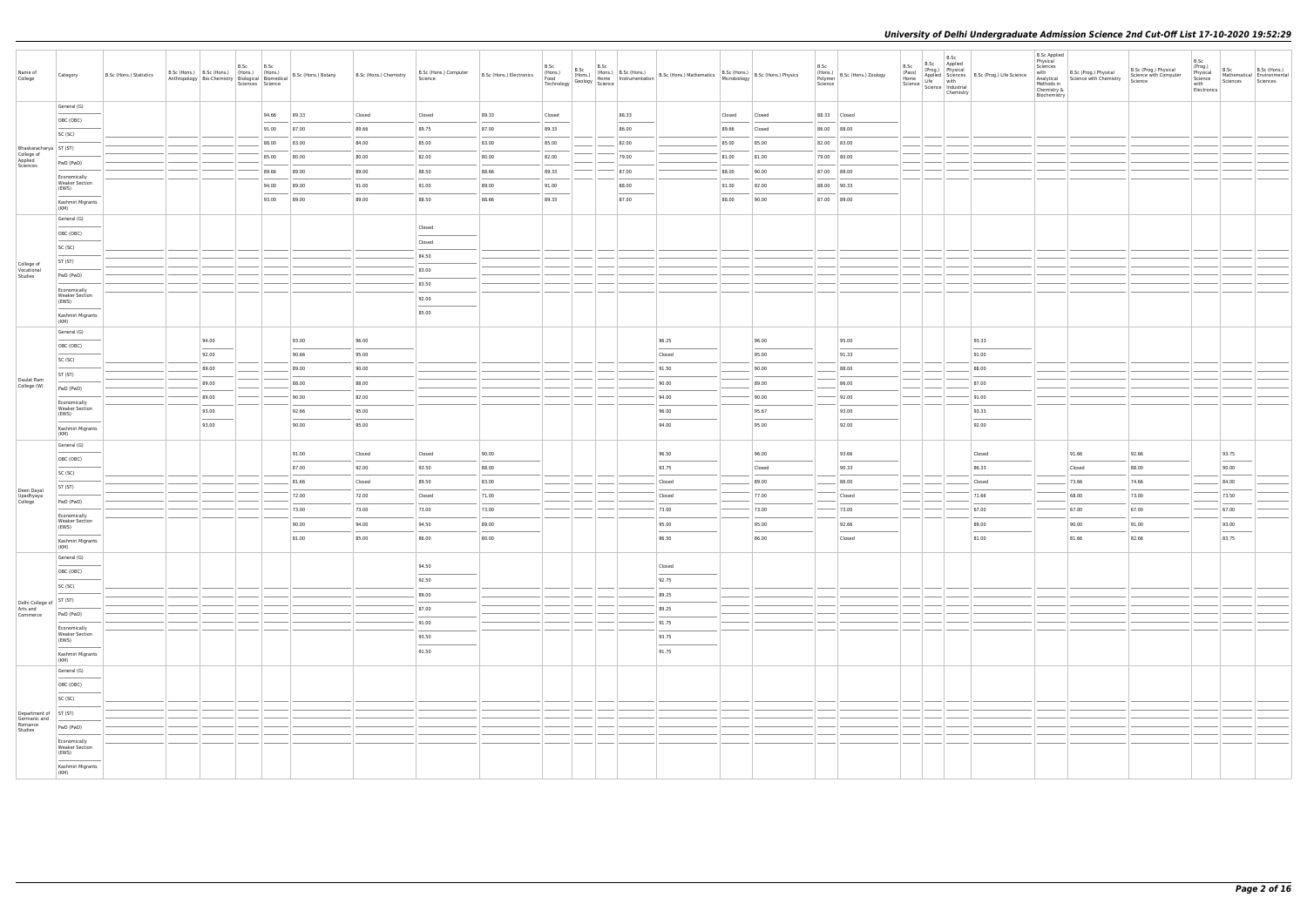| Name of<br>College                                            | Category                                       | B.Sc (Hons.) Statistics | B.Sc (Hons.) B.Sc (Hons.) (Hons.) (Hons.) | B.Sc<br>Sciences Science | B.Sc  | Anthropology   Bio-Chemistry   $\begin{bmatrix} 110115 \\ 11001 \end{bmatrix}$   Biomedical   B.Sc (Hons.) Botany | B.Sc (Hons.) Chemistry | B.Sc (Hons.) Computer<br>Science  | B.Sc (Hons.) Electronics | B.Sc<br>(Hons.) | B.Sc<br>B.Sc<br>Food<br>Technology Geology Home<br>Science |       |                |                | B.Sc<br>Science | (Hons.)<br>Polymer B.Sc (Hons.) Zoology | B.Sc<br>(Pass)<br>Home<br>Science   Lite<br>Science   Industrial | B.Sc B.Sc<br>Applied<br>(Prog.) Physical<br>Life with | Chemistry | Applied Sciences B.Sc (Prog.) Life Science | <b>B.Sc Applied</b><br>Physical<br>Sciences<br>with<br>Analytical<br>Methods in<br>Chemistry &<br>Biochemistry | B.Sc (Prog.) Physical<br>Science with Chemistry | B.Sc (Prog.) Physical<br>Science with Computer<br>Science | B.Sc<br>(Prog.)<br>Physical<br>Science<br>with<br>Electronics | B.Sc<br>Sciences                                                                                                                                                                                                                                                                                                                                                                                                                                                                    | B.Sc (Hons.)<br>Mathematical Environmental<br>Sciences |
|---------------------------------------------------------------|------------------------------------------------|-------------------------|-------------------------------------------|--------------------------|-------|-------------------------------------------------------------------------------------------------------------------|------------------------|-----------------------------------|--------------------------|-----------------|------------------------------------------------------------|-------|----------------|----------------|-----------------|-----------------------------------------|------------------------------------------------------------------|-------------------------------------------------------|-----------|--------------------------------------------|----------------------------------------------------------------------------------------------------------------|-------------------------------------------------|-----------------------------------------------------------|---------------------------------------------------------------|-------------------------------------------------------------------------------------------------------------------------------------------------------------------------------------------------------------------------------------------------------------------------------------------------------------------------------------------------------------------------------------------------------------------------------------------------------------------------------------|--------------------------------------------------------|
|                                                               | General (G)                                    |                         |                                           |                          | 94.66 | 89.33                                                                                                             | Closed                 | Closed                            | 89.33                    | Closed          |                                                            | 88.33 | Closed         | Closed         | 88.33 Closed    |                                         |                                                                  |                                                       |           |                                            |                                                                                                                |                                                 |                                                           |                                                               |                                                                                                                                                                                                                                                                                                                                                                                                                                                                                     |                                                        |
|                                                               | OBC (OBC)                                      |                         |                                           |                          | 91.00 | 87.00                                                                                                             | 89.66                  | 89.75                             | 87.00                    | 89.33           |                                                            | 86.00 | 89.66          | Closed         | 86.00 88.00     |                                         |                                                                  |                                                       |           |                                            |                                                                                                                |                                                 |                                                           |                                                               |                                                                                                                                                                                                                                                                                                                                                                                                                                                                                     |                                                        |
|                                                               | SC (SC)                                        |                         |                                           |                          | 88.00 | 83.00                                                                                                             | 84.00                  | 85.00                             | 83.00                    | 85.00           |                                                            | 82.00 | 85.00          | 85.00          | 82.00 83.00     |                                         |                                                                  |                                                       |           |                                            |                                                                                                                |                                                 |                                                           |                                                               |                                                                                                                                                                                                                                                                                                                                                                                                                                                                                     |                                                        |
| Bhaskaracharya   ST (ST)<br>College of<br>Applied<br>Sciences |                                                |                         |                                           |                          | 85.00 | 80.00                                                                                                             | 80.00                  | 82.00                             | 80.00                    | 82.00           |                                                            | 79.00 | 81.00          | 81.00          | 79.00 80.00     |                                         |                                                                  |                                                       |           |                                            |                                                                                                                |                                                 |                                                           |                                                               |                                                                                                                                                                                                                                                                                                                                                                                                                                                                                     |                                                        |
|                                                               | PwD (PwD)<br>Economically                      |                         |                                           |                          | 89.66 | 89.00                                                                                                             | 89.00                  | 88.50                             | 88.66                    | 89.33           |                                                            | 87.00 | 88.00          | 90.00          | 87.00 89.00     |                                         |                                                                  |                                                       |           |                                            |                                                                                                                |                                                 |                                                           |                                                               |                                                                                                                                                                                                                                                                                                                                                                                                                                                                                     |                                                        |
|                                                               | <b>Weaker Section</b><br>(EWS)                 |                         |                                           |                          | 94.00 | 89.00                                                                                                             | 91.00                  | 91.00                             | 89.00                    | 91.00           |                                                            | 88.00 | 91.00          | 92.00          | 88.00 90.33     |                                         |                                                                  |                                                       |           |                                            |                                                                                                                |                                                 |                                                           |                                                               |                                                                                                                                                                                                                                                                                                                                                                                                                                                                                     |                                                        |
|                                                               | Kashmiri Migrants                              |                         |                                           |                          | 93.00 | 89.00                                                                                                             | 89.00                  | 88.50                             | 88.66                    | 89.33           |                                                            | 87.00 | 88.00          | 90.00          | 87.00 89.00     |                                         |                                                                  |                                                       |           |                                            |                                                                                                                |                                                 |                                                           |                                                               |                                                                                                                                                                                                                                                                                                                                                                                                                                                                                     |                                                        |
|                                                               | (KM)<br>General (G)                            |                         |                                           |                          |       |                                                                                                                   |                        |                                   |                          |                 |                                                            |       |                |                |                 |                                         |                                                                  |                                                       |           |                                            |                                                                                                                |                                                 |                                                           |                                                               |                                                                                                                                                                                                                                                                                                                                                                                                                                                                                     |                                                        |
|                                                               | OBC (OBC)                                      |                         |                                           |                          |       |                                                                                                                   |                        | Closed                            |                          |                 |                                                            |       |                |                |                 |                                         |                                                                  |                                                       |           |                                            |                                                                                                                |                                                 |                                                           |                                                               |                                                                                                                                                                                                                                                                                                                                                                                                                                                                                     |                                                        |
|                                                               | SC (SC)                                        |                         |                                           |                          |       |                                                                                                                   |                        | Closed                            |                          |                 |                                                            |       |                |                |                 |                                         |                                                                  |                                                       |           |                                            |                                                                                                                |                                                 |                                                           |                                                               |                                                                                                                                                                                                                                                                                                                                                                                                                                                                                     |                                                        |
| College of                                                    | ST (ST)                                        |                         |                                           |                          |       |                                                                                                                   |                        | 84.50                             |                          |                 |                                                            |       |                |                |                 |                                         |                                                                  |                                                       |           |                                            |                                                                                                                |                                                 |                                                           |                                                               |                                                                                                                                                                                                                                                                                                                                                                                                                                                                                     |                                                        |
| Vocational<br>Studies                                         | PwD (PwD)                                      |                         |                                           |                          |       |                                                                                                                   |                        | 83.00                             |                          |                 |                                                            |       |                |                |                 |                                         |                                                                  |                                                       |           |                                            |                                                                                                                |                                                 |                                                           |                                                               |                                                                                                                                                                                                                                                                                                                                                                                                                                                                                     |                                                        |
|                                                               | Economically                                   |                         |                                           |                          |       |                                                                                                                   |                        | 83.50                             |                          |                 |                                                            |       |                |                |                 |                                         |                                                                  |                                                       |           |                                            |                                                                                                                |                                                 |                                                           |                                                               |                                                                                                                                                                                                                                                                                                                                                                                                                                                                                     |                                                        |
|                                                               | <b>Weaker Section</b><br>(EWS)                 |                         |                                           |                          |       |                                                                                                                   |                        | 92.00<br><b>Contract Contract</b> |                          |                 |                                                            |       |                |                |                 |                                         |                                                                  |                                                       |           |                                            |                                                                                                                |                                                 |                                                           |                                                               |                                                                                                                                                                                                                                                                                                                                                                                                                                                                                     |                                                        |
|                                                               | Kashmiri Migrants<br>(KM)                      |                         |                                           |                          |       |                                                                                                                   |                        | 85.00                             |                          |                 |                                                            |       |                |                |                 |                                         |                                                                  |                                                       |           |                                            |                                                                                                                |                                                 |                                                           |                                                               |                                                                                                                                                                                                                                                                                                                                                                                                                                                                                     |                                                        |
|                                                               | General (G)                                    |                         |                                           |                          |       |                                                                                                                   |                        |                                   |                          |                 |                                                            |       |                |                |                 |                                         |                                                                  |                                                       |           |                                            |                                                                                                                |                                                 |                                                           |                                                               |                                                                                                                                                                                                                                                                                                                                                                                                                                                                                     |                                                        |
|                                                               | OBC (OBC)                                      |                         | 94.00                                     |                          |       | 93.00                                                                                                             | 96.00                  |                                   |                          |                 |                                                            |       | 96.25          | 96.00          |                 | 95.00                                   |                                                                  |                                                       |           | 93.33                                      |                                                                                                                |                                                 |                                                           |                                                               |                                                                                                                                                                                                                                                                                                                                                                                                                                                                                     |                                                        |
|                                                               | SC (SC)                                        |                         | 92.00                                     |                          |       | 90.66                                                                                                             | 95.00                  |                                   |                          |                 |                                                            |       | Closed         | 95.00          |                 | 91.33                                   |                                                                  |                                                       |           | 91.00                                      |                                                                                                                |                                                 |                                                           |                                                               |                                                                                                                                                                                                                                                                                                                                                                                                                                                                                     |                                                        |
| Daulat Ram                                                    | ST (ST)                                        |                         | 89.00<br>89.00                            |                          |       | 89.00<br>88.00                                                                                                    | 90.00<br>88.00         |                                   |                          |                 |                                                            |       | 91.50<br>90.00 | 90.00<br>89.00 |                 | 88.00<br>86.00                          |                                                                  |                                                       |           | 88.00<br>87.00                             |                                                                                                                |                                                 |                                                           |                                                               |                                                                                                                                                                                                                                                                                                                                                                                                                                                                                     |                                                        |
| College (W)                                                   | PwD (PwD)                                      |                         | 89.00                                     |                          |       | 90.00                                                                                                             | 82.00                  |                                   |                          |                 |                                                            |       | 94.00          | 90.00          |                 | 92.00                                   |                                                                  |                                                       |           | 91.00                                      |                                                                                                                |                                                 |                                                           |                                                               |                                                                                                                                                                                                                                                                                                                                                                                                                                                                                     |                                                        |
|                                                               | Economically<br><b>Weaker Section</b>          |                         | 93.00                                     |                          |       | 92.66                                                                                                             | 95.00                  |                                   |                          |                 |                                                            |       | 96.00          | 95.67          |                 | 93.00                                   |                                                                  |                                                       |           | 93.33                                      |                                                                                                                |                                                 |                                                           |                                                               |                                                                                                                                                                                                                                                                                                                                                                                                                                                                                     |                                                        |
|                                                               | (EWS)                                          |                         | 93.00                                     |                          |       | 90.00                                                                                                             | 95.00                  |                                   |                          |                 |                                                            |       | 94.00          | 95.00          |                 | 92.00                                   |                                                                  |                                                       |           | 92.00                                      |                                                                                                                |                                                 |                                                           |                                                               |                                                                                                                                                                                                                                                                                                                                                                                                                                                                                     |                                                        |
|                                                               | Kashmiri Migrants<br>(KM)                      |                         |                                           |                          |       |                                                                                                                   |                        |                                   |                          |                 |                                                            |       |                |                |                 |                                         |                                                                  |                                                       |           |                                            |                                                                                                                |                                                 |                                                           |                                                               |                                                                                                                                                                                                                                                                                                                                                                                                                                                                                     |                                                        |
|                                                               | General (G)                                    |                         |                                           |                          |       | 91.00                                                                                                             | Closed                 | Closed                            | 90.00                    |                 |                                                            |       | 96.50          | 96.00          |                 | 93.66                                   |                                                                  |                                                       |           | Closed                                     |                                                                                                                | 91.66                                           | 92.66                                                     |                                                               | 93.75                                                                                                                                                                                                                                                                                                                                                                                                                                                                               |                                                        |
|                                                               | OBC (OBC)<br>SC (SC)                           |                         |                                           |                          |       | 87.00                                                                                                             | 92.00                  | 93.50                             | 88.00                    |                 |                                                            |       | 93.75          | Closed         |                 | 90.33                                   |                                                                  |                                                       |           | 86.33                                      |                                                                                                                | Closed                                          | 88.00                                                     |                                                               | 90.00                                                                                                                                                                                                                                                                                                                                                                                                                                                                               |                                                        |
|                                                               | ST (ST)                                        |                         |                                           |                          |       | 81.66                                                                                                             | Closed                 | 89.50                             | 83.00                    |                 |                                                            |       | Closed         | 89.00          |                 | 86.00                                   |                                                                  |                                                       |           | Closed                                     |                                                                                                                | 73.66                                           | 74.66                                                     |                                                               | 84.00                                                                                                                                                                                                                                                                                                                                                                                                                                                                               |                                                        |
| Deen Dayal<br>Upadhyaya<br>College                            | PwD (PwD)                                      |                         |                                           |                          |       | 72.00                                                                                                             | 72.00                  | Closed                            | 71.00                    |                 |                                                            |       | Closed         | 77.00          |                 | Closed                                  |                                                                  |                                                       |           | 71.66                                      |                                                                                                                | 68.00                                           | 73.00                                                     |                                                               | 73.50                                                                                                                                                                                                                                                                                                                                                                                                                                                                               |                                                        |
|                                                               | Economically                                   |                         |                                           |                          |       | 73.00                                                                                                             | 73.00                  | 73.00                             | 73.00                    |                 |                                                            |       | 73.00          | 73.00          |                 | 73.00                                   |                                                                  |                                                       |           | 67.00                                      |                                                                                                                | 67.00                                           | 67.00                                                     |                                                               | 67.00                                                                                                                                                                                                                                                                                                                                                                                                                                                                               |                                                        |
|                                                               | <b>Weaker Section</b><br>(EWS)                 |                         |                                           |                          |       | 90.00                                                                                                             | 94.00                  | 94.50                             | 89.00                    |                 |                                                            |       | 95.00          | 95.00          |                 | 92.66                                   |                                                                  |                                                       |           | 89.00                                      |                                                                                                                | 90.00                                           | 91.00                                                     |                                                               | 93.00<br>$\frac{1}{2} \left( \frac{1}{2} \right) \left( \frac{1}{2} \right) \left( \frac{1}{2} \right) \left( \frac{1}{2} \right) \left( \frac{1}{2} \right) \left( \frac{1}{2} \right) \left( \frac{1}{2} \right) \left( \frac{1}{2} \right) \left( \frac{1}{2} \right) \left( \frac{1}{2} \right) \left( \frac{1}{2} \right) \left( \frac{1}{2} \right) \left( \frac{1}{2} \right) \left( \frac{1}{2} \right) \left( \frac{1}{2} \right) \left( \frac{1}{2} \right) \left( \frac$ |                                                        |
|                                                               | <b>Contract Contract</b><br>Kashmiri Migrants  |                         |                                           |                          |       | 81.00                                                                                                             | 85.00                  | 86.00                             | 80.00                    |                 |                                                            |       | 86.50          | 86.00          |                 | Closed                                  |                                                                  |                                                       |           | 81.00                                      |                                                                                                                | 81.66                                           | 82.66                                                     |                                                               | 83.75                                                                                                                                                                                                                                                                                                                                                                                                                                                                               |                                                        |
|                                                               | (KM)<br>General (G)                            |                         |                                           |                          |       |                                                                                                                   |                        |                                   |                          |                 |                                                            |       |                |                |                 |                                         |                                                                  |                                                       |           |                                            |                                                                                                                |                                                 |                                                           |                                                               |                                                                                                                                                                                                                                                                                                                                                                                                                                                                                     |                                                        |
|                                                               | OBC (OBC)                                      |                         |                                           |                          |       |                                                                                                                   |                        | 94.50                             |                          |                 |                                                            |       | Closed         |                |                 |                                         |                                                                  |                                                       |           |                                            |                                                                                                                |                                                 |                                                           |                                                               |                                                                                                                                                                                                                                                                                                                                                                                                                                                                                     |                                                        |
|                                                               | SC (SC)                                        |                         |                                           |                          |       |                                                                                                                   |                        | 92.50                             |                          |                 |                                                            |       | 92.75          |                |                 |                                         |                                                                  |                                                       |           |                                            |                                                                                                                |                                                 |                                                           |                                                               |                                                                                                                                                                                                                                                                                                                                                                                                                                                                                     |                                                        |
| Delhi College of                                              | ST (ST)                                        |                         |                                           |                          |       |                                                                                                                   |                        | 89.00                             |                          |                 |                                                            |       | 89.25          |                |                 |                                         |                                                                  |                                                       |           |                                            |                                                                                                                |                                                 |                                                           |                                                               |                                                                                                                                                                                                                                                                                                                                                                                                                                                                                     |                                                        |
| Arts and<br>Commerce                                          | PwD (PwD)                                      |                         |                                           |                          |       |                                                                                                                   |                        | 87.00                             |                          |                 |                                                            |       | 89.25          |                |                 |                                         |                                                                  |                                                       |           |                                            |                                                                                                                |                                                 |                                                           |                                                               |                                                                                                                                                                                                                                                                                                                                                                                                                                                                                     |                                                        |
|                                                               | Economically<br><b>Weaker Section</b>          |                         |                                           |                          |       |                                                                                                                   |                        | 91.00                             |                          |                 |                                                            |       | 91.75          |                |                 |                                         |                                                                  |                                                       |           |                                            |                                                                                                                |                                                 |                                                           |                                                               |                                                                                                                                                                                                                                                                                                                                                                                                                                                                                     |                                                        |
|                                                               | (EWS)                                          |                         |                                           |                          |       |                                                                                                                   |                        | 93.50<br>$\sim$<br>91.50          |                          |                 |                                                            |       | 93.75<br>91.75 |                |                 |                                         |                                                                  |                                                       |           |                                            |                                                                                                                |                                                 |                                                           |                                                               |                                                                                                                                                                                                                                                                                                                                                                                                                                                                                     |                                                        |
|                                                               | Kashmiri Migrants<br>(KM)                      |                         |                                           |                          |       |                                                                                                                   |                        |                                   |                          |                 |                                                            |       |                |                |                 |                                         |                                                                  |                                                       |           |                                            |                                                                                                                |                                                 |                                                           |                                                               |                                                                                                                                                                                                                                                                                                                                                                                                                                                                                     |                                                        |
|                                                               | General (G)                                    |                         |                                           |                          |       |                                                                                                                   |                        |                                   |                          |                 |                                                            |       |                |                |                 |                                         |                                                                  |                                                       |           |                                            |                                                                                                                |                                                 |                                                           |                                                               |                                                                                                                                                                                                                                                                                                                                                                                                                                                                                     |                                                        |
|                                                               | OBC (OBC)                                      |                         |                                           |                          |       |                                                                                                                   |                        |                                   |                          |                 |                                                            |       |                |                |                 |                                         |                                                                  |                                                       |           |                                            |                                                                                                                |                                                 |                                                           |                                                               |                                                                                                                                                                                                                                                                                                                                                                                                                                                                                     |                                                        |
|                                                               | SC (SC)                                        |                         |                                           |                          |       |                                                                                                                   |                        |                                   |                          |                 |                                                            |       |                |                |                 |                                         |                                                                  |                                                       |           |                                            |                                                                                                                |                                                 |                                                           |                                                               |                                                                                                                                                                                                                                                                                                                                                                                                                                                                                     |                                                        |
| Department of ST (ST)<br>Germanic and                         |                                                |                         |                                           |                          |       |                                                                                                                   |                        |                                   |                          |                 |                                                            |       |                |                |                 |                                         |                                                                  |                                                       |           |                                            |                                                                                                                |                                                 |                                                           |                                                               |                                                                                                                                                                                                                                                                                                                                                                                                                                                                                     |                                                        |
| Romance<br>Studies                                            | PwD (PwD)                                      |                         |                                           |                          |       |                                                                                                                   |                        |                                   |                          |                 |                                                            |       |                |                |                 |                                         |                                                                  |                                                       |           |                                            |                                                                                                                |                                                 |                                                           |                                                               |                                                                                                                                                                                                                                                                                                                                                                                                                                                                                     |                                                        |
|                                                               | Economically<br><b>Weaker Section</b><br>(EWS) |                         |                                           |                          |       |                                                                                                                   |                        |                                   |                          |                 |                                                            |       |                |                |                 |                                         |                                                                  |                                                       |           |                                            |                                                                                                                |                                                 |                                                           |                                                               |                                                                                                                                                                                                                                                                                                                                                                                                                                                                                     |                                                        |
|                                                               | $\sim$<br>Kashmiri Migrants<br>(KM)            |                         |                                           |                          |       |                                                                                                                   |                        |                                   |                          |                 |                                                            |       |                |                |                 |                                         |                                                                  |                                                       |           |                                            |                                                                                                                |                                                 |                                                           |                                                               |                                                                                                                                                                                                                                                                                                                                                                                                                                                                                     |                                                        |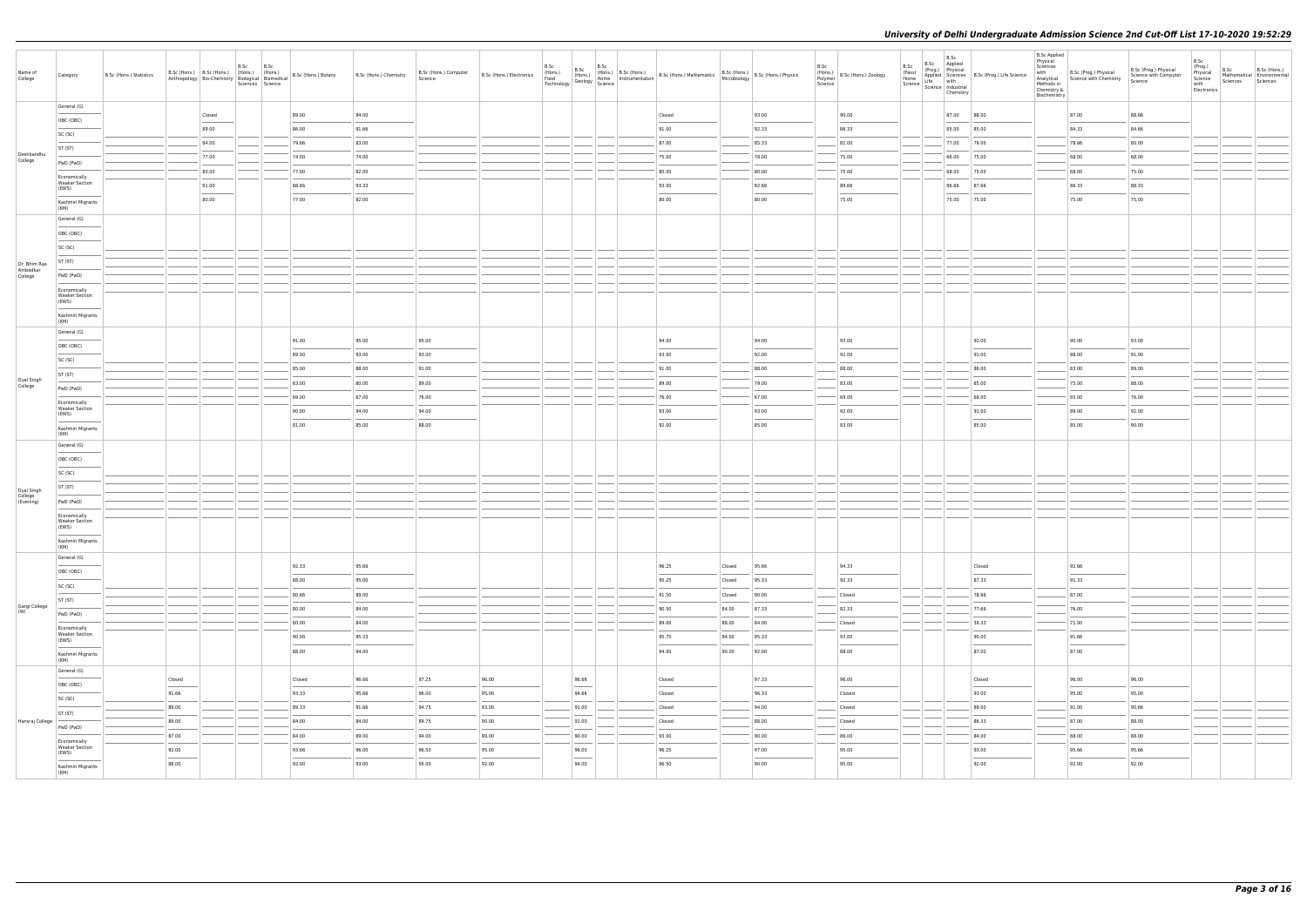| Name of<br>College                 | Category                                                                                                                                                                               | B.Sc (Hons.) Statistics |        | B.Sc<br>B.Sc (Hons.) B.Sc (Hons.) (Hons.) (Hons.)<br>Anthropology   Bio-Chemistry   Biological   Biomedical   B.Sc (Hons.) Botany | B.Sc<br>Sciences Science |        | B.Sc (Hons.) Chemistry | B.Sc (Hons.) Computer<br>Science | B.Sc (Hons.) Electronics | B.Sc<br>(Hons.)<br>Food<br>Technology Geology Home<br>Science | B.Sc            | B.Sc | $\begin{array}{ l l l l l } \hline b.5C & (Hons.) & B.Sc & (Hons.) & \\ \hline (Hons.) & Home & Instrumentation & B.Sc & (Hons.) & Microbiology & B.Sc & (Hons.) & Physics \\ \hline (Hons.) & Home & Instrumentation & B.Sc & (Hons.) & B.Sc & (Hons.) & \\ \hline \end{array}$ |        |       | B.Sc | (Hons.)<br>Polymer B.Sc (Hons.) Zoology<br>Science | B.Sc<br>(Pass) | B.Sc<br>B.Sc Applied<br>(Prog.) Physical<br>Home<br>Science Life with<br>Science Industrial<br>Chemistry | Applied Sciences B.Sc (Prog.) Life Science | <b>B.Sc Applied</b><br>Physical<br>Sciences<br>with<br>Chemistry &<br>Biochemistry | B.Sc (Prog.) Physical<br>Analytical Science with Chemistry<br>Methods in | B.Sc (Prog.) Physical<br>Science with Computer<br>Science | B.Sc<br>(Prog.)<br>Physical<br>Science<br>with<br>Electronics | B.Sc<br>Sciences | B.Sc (Hons.)<br>Mathematical Environmental<br>Sciences |
|------------------------------------|----------------------------------------------------------------------------------------------------------------------------------------------------------------------------------------|-------------------------|--------|-----------------------------------------------------------------------------------------------------------------------------------|--------------------------|--------|------------------------|----------------------------------|--------------------------|---------------------------------------------------------------|-----------------|------|----------------------------------------------------------------------------------------------------------------------------------------------------------------------------------------------------------------------------------------------------------------------------------|--------|-------|------|----------------------------------------------------|----------------|----------------------------------------------------------------------------------------------------------|--------------------------------------------|------------------------------------------------------------------------------------|--------------------------------------------------------------------------|-----------------------------------------------------------|---------------------------------------------------------------|------------------|--------------------------------------------------------|
|                                    | General (G)                                                                                                                                                                            |                         |        | Closed                                                                                                                            |                          | 89.00  | 94.00                  |                                  |                          |                                                               |                 |      | Closed                                                                                                                                                                                                                                                                           |        | 93.00 |      | 90.00                                              |                | 87.00                                                                                                    | 88.00                                      |                                                                                    | 87.00                                                                    | 88.66                                                     |                                                               |                  |                                                        |
|                                    | OBC (OBC)                                                                                                                                                                              |                         |        | 89.00                                                                                                                             |                          | 86.00  | 91.66                  |                                  |                          |                                                               |                 |      | 91.00                                                                                                                                                                                                                                                                            |        | 92.33 |      | 86.33                                              |                |                                                                                                          | 85.00 85.00                                |                                                                                    | 84.33                                                                    | 84.66                                                     |                                                               |                  |                                                        |
|                                    | SC (SC)                                                                                                                                                                                |                         |        | 84.00                                                                                                                             |                          | 79.66  | 83.00                  |                                  |                          |                                                               |                 |      | 87.00                                                                                                                                                                                                                                                                            |        | 85.33 |      | 82.00                                              |                |                                                                                                          | 77.00 79.00                                |                                                                                    | 78.66                                                                    | 80.00                                                     |                                                               |                  |                                                        |
| Deshbandhu<br>College              | ST (ST)                                                                                                                                                                                |                         |        | 77.00                                                                                                                             |                          | 74.00  | 74.00                  |                                  |                          |                                                               |                 |      | 75.00                                                                                                                                                                                                                                                                            |        | 78.00 |      | 75.00                                              |                |                                                                                                          | 66.00 75.00                                |                                                                                    | 68.00                                                                    | 68.00                                                     |                                                               |                  |                                                        |
|                                    | PwD (PwD)                                                                                                                                                                              |                         |        | 80.00                                                                                                                             |                          | 77.00  | 82.00                  |                                  |                          |                                                               |                 |      | 80.00                                                                                                                                                                                                                                                                            |        | 80.00 |      | 75.00                                              |                |                                                                                                          | 68.00 75.00                                |                                                                                    | 68.00                                                                    | 75.00                                                     |                                                               |                  |                                                        |
|                                    | Economically<br><b>Weaker Section</b><br>(EWS)                                                                                                                                         |                         |        | 91.00                                                                                                                             |                          | 88.66  | 93.33                  |                                  |                          |                                                               |                 |      | 93.00                                                                                                                                                                                                                                                                            |        | 92.66 |      | 89.66                                              |                |                                                                                                          | 86.66 87.66                                |                                                                                    | 86.33                                                                    | 88.33                                                     |                                                               |                  |                                                        |
|                                    | Kashmiri Migrants                                                                                                                                                                      |                         |        | 80.00                                                                                                                             |                          | 77.00  | 82.00                  |                                  |                          |                                                               |                 |      | 80.00                                                                                                                                                                                                                                                                            |        | 80.00 |      | 75.00                                              |                |                                                                                                          | 75.00 75.00                                |                                                                                    | 75.00                                                                    | 75.00                                                     |                                                               |                  |                                                        |
|                                    | (KM)<br>General (G)                                                                                                                                                                    |                         |        |                                                                                                                                   |                          |        |                        |                                  |                          |                                                               |                 |      |                                                                                                                                                                                                                                                                                  |        |       |      |                                                    |                |                                                                                                          |                                            |                                                                                    |                                                                          |                                                           |                                                               |                  |                                                        |
|                                    | OBC (OBC)                                                                                                                                                                              |                         |        |                                                                                                                                   |                          |        |                        |                                  |                          |                                                               |                 |      |                                                                                                                                                                                                                                                                                  |        |       |      |                                                    |                |                                                                                                          |                                            |                                                                                    |                                                                          |                                                           |                                                               |                  |                                                        |
|                                    | SC (SC)                                                                                                                                                                                |                         |        |                                                                                                                                   |                          |        |                        |                                  |                          |                                                               |                 |      |                                                                                                                                                                                                                                                                                  |        |       |      |                                                    |                |                                                                                                          |                                            |                                                                                    |                                                                          |                                                           |                                                               |                  |                                                        |
| Dr. Bhim Rao                       | ST (ST)                                                                                                                                                                                |                         |        |                                                                                                                                   |                          |        |                        |                                  |                          |                                                               |                 |      |                                                                                                                                                                                                                                                                                  |        |       |      |                                                    |                |                                                                                                          |                                            |                                                                                    |                                                                          |                                                           |                                                               |                  |                                                        |
| Ambedkar<br>College                | PwD (PwD)                                                                                                                                                                              |                         |        |                                                                                                                                   |                          |        |                        |                                  |                          |                                                               |                 |      |                                                                                                                                                                                                                                                                                  |        |       |      |                                                    |                |                                                                                                          |                                            |                                                                                    |                                                                          |                                                           |                                                               |                  |                                                        |
|                                    | Economically<br><b>Weaker Section</b>                                                                                                                                                  |                         |        |                                                                                                                                   |                          |        |                        |                                  |                          |                                                               |                 |      |                                                                                                                                                                                                                                                                                  |        |       |      |                                                    |                |                                                                                                          |                                            |                                                                                    |                                                                          |                                                           |                                                               |                  |                                                        |
|                                    | (EWS)                                                                                                                                                                                  |                         |        |                                                                                                                                   |                          |        |                        |                                  |                          |                                                               |                 |      |                                                                                                                                                                                                                                                                                  |        |       |      |                                                    |                |                                                                                                          |                                            |                                                                                    |                                                                          |                                                           |                                                               |                  |                                                        |
|                                    | Kashmiri Migrants<br>(KM)                                                                                                                                                              |                         |        |                                                                                                                                   |                          |        |                        |                                  |                          |                                                               |                 |      |                                                                                                                                                                                                                                                                                  |        |       |      |                                                    |                |                                                                                                          |                                            |                                                                                    |                                                                          |                                                           |                                                               |                  |                                                        |
|                                    | General (G)                                                                                                                                                                            |                         |        |                                                                                                                                   |                          | 91.00  | 95.00                  | 95.00                            |                          |                                                               |                 |      | 94.00                                                                                                                                                                                                                                                                            |        | 94.00 |      | 93.00                                              |                |                                                                                                          | 92.00                                      |                                                                                    | 90.00                                                                    | 93.00                                                     |                                                               |                  |                                                        |
|                                    | OBC (OBC)                                                                                                                                                                              |                         |        |                                                                                                                                   |                          | 89.00  | 93.00                  | 93.00                            |                          |                                                               |                 |      | 93.00                                                                                                                                                                                                                                                                            |        | 92.00 |      | 92.00                                              |                |                                                                                                          | 91.00                                      |                                                                                    | 88.00                                                                    | 91.00                                                     |                                                               |                  |                                                        |
|                                    | SC (SC)                                                                                                                                                                                |                         |        |                                                                                                                                   |                          | 85.00  | 88.00                  | 91.00                            |                          |                                                               |                 |      | 91.00                                                                                                                                                                                                                                                                            |        | 88.00 |      | 88.00                                              |                |                                                                                                          | 86.00                                      |                                                                                    | 83.00                                                                    | 89.00                                                     |                                                               |                  |                                                        |
| Dyal Singh                         | ST (ST)                                                                                                                                                                                |                         |        |                                                                                                                                   |                          | 83.00  | 80.00                  | 89.00                            |                          |                                                               |                 |      | 89.00                                                                                                                                                                                                                                                                            |        | 79.00 |      | 83.00                                              |                |                                                                                                          | 85.00                                      |                                                                                    | 75.00                                                                    | 88.00                                                     |                                                               |                  |                                                        |
| College                            | PwD (PwD)                                                                                                                                                                              |                         |        |                                                                                                                                   |                          | 69.00  | 67.00                  | 76.00                            |                          |                                                               |                 |      | 76.00                                                                                                                                                                                                                                                                            |        | 67.00 |      | 69.00                                              |                |                                                                                                          | 69.00                                      |                                                                                    | 65.00                                                                    | 76.00                                                     |                                                               |                  |                                                        |
|                                    | Economically<br><b>Weaker Section</b>                                                                                                                                                  |                         |        |                                                                                                                                   |                          | 90.00  | 94.00                  | 94.00                            |                          |                                                               |                 |      | 93.00                                                                                                                                                                                                                                                                            |        | 93.00 |      | 92.00                                              |                |                                                                                                          | 91.00                                      |                                                                                    | 89.00                                                                    | 92.00                                                     |                                                               |                  |                                                        |
|                                    | (EWS)<br>Kashmiri Migrants                                                                                                                                                             |                         |        |                                                                                                                                   |                          | 81.00  | 85.00                  | 88.00                            |                          |                                                               |                 |      | 92.00                                                                                                                                                                                                                                                                            |        | 85.00 |      | 83.00                                              |                |                                                                                                          | 85.00                                      |                                                                                    | 85.00                                                                    | 90.00                                                     |                                                               |                  |                                                        |
|                                    | (KM)                                                                                                                                                                                   |                         |        |                                                                                                                                   |                          |        |                        |                                  |                          |                                                               |                 |      |                                                                                                                                                                                                                                                                                  |        |       |      |                                                    |                |                                                                                                          |                                            |                                                                                    |                                                                          |                                                           |                                                               |                  |                                                        |
|                                    | General (G)                                                                                                                                                                            |                         |        |                                                                                                                                   |                          |        |                        |                                  |                          |                                                               |                 |      |                                                                                                                                                                                                                                                                                  |        |       |      |                                                    |                |                                                                                                          |                                            |                                                                                    |                                                                          |                                                           |                                                               |                  |                                                        |
|                                    | OBC (OBC)                                                                                                                                                                              |                         |        |                                                                                                                                   |                          |        |                        |                                  |                          |                                                               |                 |      |                                                                                                                                                                                                                                                                                  |        |       |      |                                                    |                |                                                                                                          |                                            |                                                                                    |                                                                          |                                                           |                                                               |                  |                                                        |
|                                    | SC (SC)                                                                                                                                                                                |                         |        |                                                                                                                                   |                          |        |                        |                                  |                          |                                                               |                 |      |                                                                                                                                                                                                                                                                                  |        |       |      |                                                    |                |                                                                                                          |                                            |                                                                                    |                                                                          |                                                           |                                                               |                  |                                                        |
| Dyal Singh<br>College<br>(Evening) | ST (ST)<br>PwD (PwD)                                                                                                                                                                   |                         |        |                                                                                                                                   |                          |        |                        |                                  |                          |                                                               |                 |      |                                                                                                                                                                                                                                                                                  |        |       |      |                                                    |                |                                                                                                          |                                            |                                                                                    |                                                                          |                                                           |                                                               |                  |                                                        |
|                                    | Economically                                                                                                                                                                           |                         |        |                                                                                                                                   |                          |        |                        |                                  |                          |                                                               |                 |      |                                                                                                                                                                                                                                                                                  |        |       |      |                                                    |                |                                                                                                          |                                            |                                                                                    |                                                                          |                                                           |                                                               |                  |                                                        |
|                                    | <b>Weaker Section</b><br>(EWS)<br>Kashmiri Migrants                                                                                                                                    |                         |        |                                                                                                                                   |                          |        |                        |                                  |                          |                                                               |                 |      |                                                                                                                                                                                                                                                                                  |        |       |      |                                                    |                |                                                                                                          |                                            |                                                                                    |                                                                          |                                                           |                                                               |                  |                                                        |
|                                    | (KM)<br>General (G)                                                                                                                                                                    |                         |        |                                                                                                                                   |                          |        |                        |                                  |                          |                                                               |                 |      |                                                                                                                                                                                                                                                                                  |        |       |      |                                                    |                |                                                                                                          |                                            |                                                                                    |                                                                          |                                                           |                                                               |                  |                                                        |
|                                    | OBC (OBC)                                                                                                                                                                              |                         |        |                                                                                                                                   |                          | 92.33  | 95.66                  |                                  |                          |                                                               |                 |      | 96.25                                                                                                                                                                                                                                                                            | Closed | 95.66 |      | 94.33                                              |                |                                                                                                          | Closed                                     |                                                                                    | 92.66                                                                    |                                                           |                                                               |                  |                                                        |
|                                    | SC (SC)                                                                                                                                                                                |                         |        |                                                                                                                                   |                          | 88.00  | 95.00                  |                                  |                          |                                                               |                 |      | 95.25                                                                                                                                                                                                                                                                            | Closed | 95.33 |      | 92.33                                              |                |                                                                                                          | 87.33                                      |                                                                                    | 91.33                                                                    |                                                           |                                                               |                  |                                                        |
|                                    | ST (ST)                                                                                                                                                                                |                         |        |                                                                                                                                   |                          | 80.66  | 89.00                  |                                  |                          |                                                               |                 |      | 91.50                                                                                                                                                                                                                                                                            | Closed | 90.00 |      | Closed                                             |                |                                                                                                          | 78.66                                      |                                                                                    | 87.00                                                                    |                                                           |                                                               |                  |                                                        |
| Gargi College<br>(W)               | PwD (PwD)                                                                                                                                                                              |                         |        |                                                                                                                                   |                          | 80.00  | 84.00                  |                                  |                          |                                                               |                 |      | 90.50                                                                                                                                                                                                                                                                            | 84.00  | 87.33 |      | 82.33                                              |                |                                                                                                          | 77.66                                      |                                                                                    | 76.00                                                                    |                                                           |                                                               |                  |                                                        |
|                                    | Economically                                                                                                                                                                           |                         |        |                                                                                                                                   |                          | 60.00  | 84.00                  |                                  |                          |                                                               |                 |      | 89.00                                                                                                                                                                                                                                                                            | 88.00  | 84.00 |      | Closed                                             |                |                                                                                                          | 59.33                                      |                                                                                    | 71.00                                                                    |                                                           |                                                               |                  |                                                        |
|                                    | <b>Weaker Section</b><br>(EWS)                                                                                                                                                         |                         |        |                                                                                                                                   |                          | 90.00  | 95.33                  |                                  |                          |                                                               |                 |      | 95.75                                                                                                                                                                                                                                                                            | 94.00  | 95.33 |      | 93.00                                              |                |                                                                                                          | 90.00                                      |                                                                                    | 91.66                                                                    |                                                           |                                                               |                  |                                                        |
|                                    | Kashmiri Migrants<br>(KM)                                                                                                                                                              |                         |        |                                                                                                                                   |                          | 88.00  | 94.00                  |                                  |                          |                                                               |                 |      | 94.00                                                                                                                                                                                                                                                                            | 90.00  | 92.00 |      | 88.00                                              |                |                                                                                                          | 87.00                                      |                                                                                    | 87.00                                                                    |                                                           |                                                               |                  |                                                        |
|                                    | General (G)                                                                                                                                                                            |                         | Closed |                                                                                                                                   |                          | Closed | 96.66                  | 97.25                            | 96.00                    |                                                               | 96.66           |      | Closed                                                                                                                                                                                                                                                                           |        | 97.33 |      | 96.00                                              |                |                                                                                                          | Closed                                     |                                                                                    | 96.00                                                                    | 96.00                                                     |                                                               |                  |                                                        |
|                                    | OBC (OBC)                                                                                                                                                                              |                         | 91.66  |                                                                                                                                   |                          | 93.33  | 95.66                  | 96.00                            | 95.00                    |                                                               | $\sim$<br>94.66 |      | Closed                                                                                                                                                                                                                                                                           |        | 96.33 |      | Closed                                             |                |                                                                                                          | 93.00                                      |                                                                                    | 95.00                                                                    | 95.00                                                     |                                                               |                  |                                                        |
|                                    | SC (SC)                                                                                                                                                                                |                         | 89.00  |                                                                                                                                   |                          | 89.33  | 91.66                  | 94.75                            | 93.00                    |                                                               | 91.00           |      | Closed                                                                                                                                                                                                                                                                           |        | 94.00 |      | Closed                                             |                |                                                                                                          | 89.00                                      |                                                                                    | 91.00                                                                    | 90.66                                                     |                                                               |                  |                                                        |
| Hansraj College                    | ST (ST)                                                                                                                                                                                |                         | 89.00  |                                                                                                                                   |                          | 84.00  | 84.00                  | 89.75                            | 90.00                    |                                                               | 91.00           |      | Closed                                                                                                                                                                                                                                                                           |        | 88.00 |      | Closed                                             |                |                                                                                                          | 86.33                                      |                                                                                    | 87.00                                                                    | 88.00                                                     |                                                               |                  |                                                        |
|                                    | PwD (PwD)                                                                                                                                                                              |                         | 87.00  |                                                                                                                                   |                          | 84.00  | 89.00                  | 94.00                            | 89.00                    |                                                               | 90.00           |      | 93.00                                                                                                                                                                                                                                                                            |        | 90.00 |      | 86.00                                              |                |                                                                                                          | 84.00                                      |                                                                                    | 88.00                                                                    | 88.00                                                     |                                                               |                  |                                                        |
|                                    | Economically<br><b>Weaker Section</b>                                                                                                                                                  |                         | 92.00  |                                                                                                                                   |                          | 93.66  | 96.00                  | 96.50                            | 95.00                    |                                                               | 96.00           |      | 96.25                                                                                                                                                                                                                                                                            |        | 97.00 |      | 95.00                                              |                |                                                                                                          | 93.00                                      |                                                                                    | 95.66                                                                    | 95.66                                                     |                                                               |                  |                                                        |
|                                    | (EWS)<br>$\label{eq:1} \begin{array}{lll} \mathcal{L}_{\text{max}} & \mathcal{L}_{\text{max}} \\ \mathcal{L}_{\text{max}} & \mathcal{L}_{\text{max}} \end{array}$<br>Kashmiri Migrants |                         | 88.00  |                                                                                                                                   |                          | 92.00  | 93.00                  | 95.00                            | 92.00                    |                                                               | $\sim$<br>94.00 |      | 96.50                                                                                                                                                                                                                                                                            |        | 90.00 |      | 95.00                                              |                |                                                                                                          | 92.00                                      |                                                                                    | 92.00                                                                    | 92.00                                                     |                                                               |                  |                                                        |
|                                    | (KM)                                                                                                                                                                                   |                         |        |                                                                                                                                   |                          |        |                        |                                  |                          |                                                               |                 |      |                                                                                                                                                                                                                                                                                  |        |       |      |                                                    |                |                                                                                                          |                                            |                                                                                    |                                                                          |                                                           |                                                               |                  |                                                        |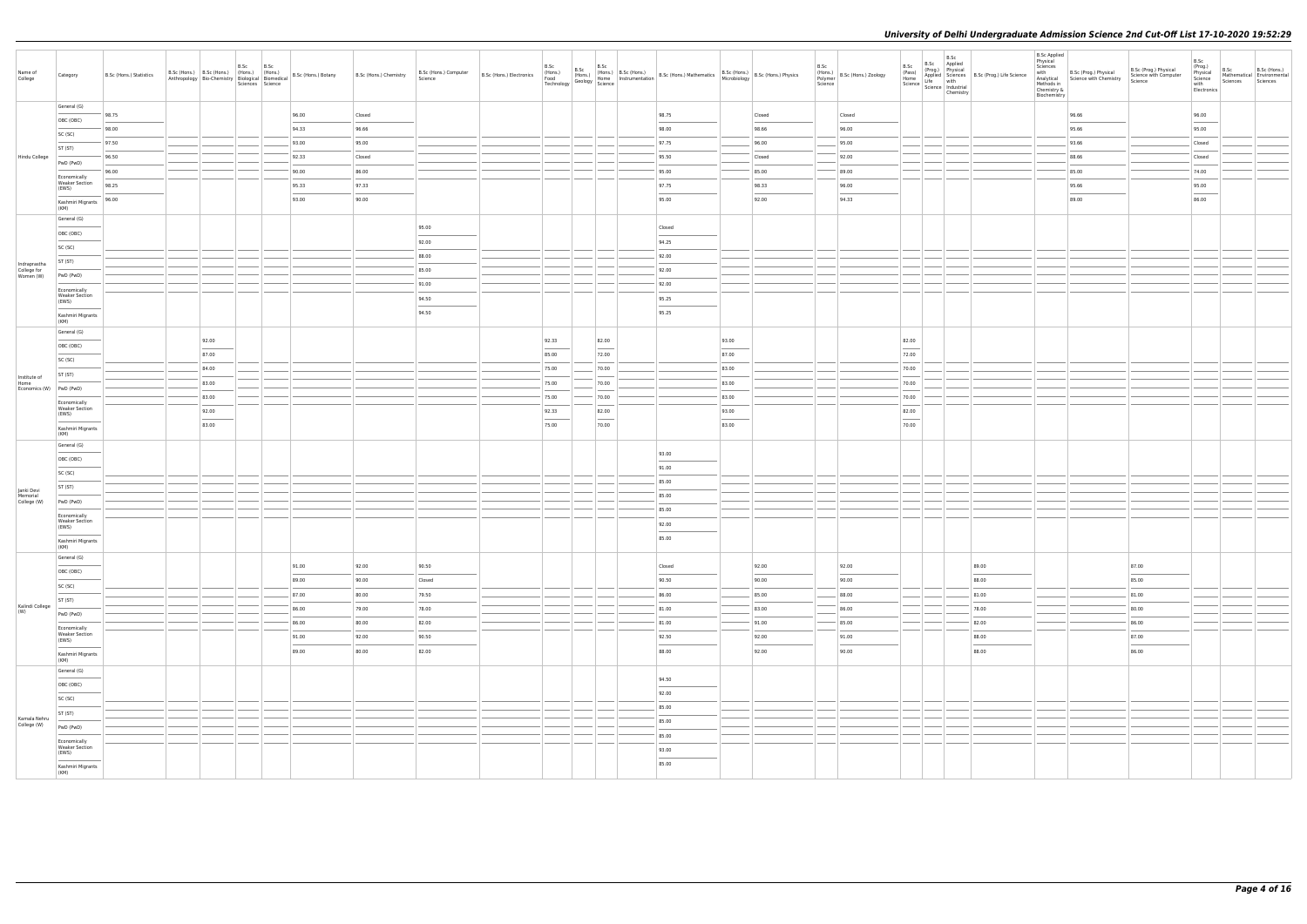| Name of<br>College       | Category                              | B.Sc (Hons.) Statistics |                | B.Sc<br>Sciences Science | B.Sc | B.Sc (Hons.) B.Sc (Hons.) (Hons.) (Hons.) (Hons.) B.Sc (Hons.) Botany<br>Anthropology Bio-Chemistry Biological Biomedical B.Sc (Hons.) Botany | B.Sc (Hons.) Chemistry | B.Sc (Hons.) Computer<br>Science | B.Sc (Hons.) Electronics $\begin{bmatrix} 6.35 \\ \text{Hons.} \end{bmatrix}$ $\begin{bmatrix} 8.3c \\ \text{Hons.} \end{bmatrix}$ (Hons.) $\begin{bmatrix} 8.3c \\ \text{Hons.} \end{bmatrix}$ (Hons.) B.<br>Fechnology Geology Science | B.Sc           | B.Sc                                                                                                                                                                                                                                                                                                                                                                                                                                                                                | $\begin{array}{ l l l l l } \hline \text{B.} \text{S.} \end{array}$ (Hons.)<br>(Homs.) B.Sc (Hons.) B.Sc (Hons.) B.Sc (Hons.) Mathematics B.Sc (Hons.) B.Sc (Hons.) Physics<br>(Geology B.Sc (Hons.) Physics |                                                                                                                                                                                                                                                                                                                                                                                                                                                                                     |        | B.Sc<br>Science | (Hons.)<br>Polymer B.Sc (Hons.) Zoology | B.Sc<br>(Pass)<br>Home                                                                                                                                                                                                                                                                                                                                                                                                                                                              | B.Sc Applied<br>(Prog.) Physical | B.Sc<br>Applied Sciences B.Sc (Prog.) Life Science<br>Life with<br>Science   Live   Mustrial<br>Chemistry | <b>B.Sc Applied</b><br>Physical<br>Sciences<br>with<br>Methods in<br>Chemistry &<br>Biochemistry | B.Sc (Prog.) Physical<br>Analytical Science with Chemistry | B.Sc (Prog.) Physical<br>Science with Computer<br>Science | B.Sc<br>(Prog.)<br>Physical<br>Science<br>with<br>Electronics                                                                                                                                                                                                                                                                                                                                                                                                                       | B.Sc<br>Sciences | B.Sc (Hons.)<br>Mathematical Environmental<br>Sciences |
|--------------------------|---------------------------------------|-------------------------|----------------|--------------------------|------|-----------------------------------------------------------------------------------------------------------------------------------------------|------------------------|----------------------------------|------------------------------------------------------------------------------------------------------------------------------------------------------------------------------------------------------------------------------------------|----------------|-------------------------------------------------------------------------------------------------------------------------------------------------------------------------------------------------------------------------------------------------------------------------------------------------------------------------------------------------------------------------------------------------------------------------------------------------------------------------------------|--------------------------------------------------------------------------------------------------------------------------------------------------------------------------------------------------------------|-------------------------------------------------------------------------------------------------------------------------------------------------------------------------------------------------------------------------------------------------------------------------------------------------------------------------------------------------------------------------------------------------------------------------------------------------------------------------------------|--------|-----------------|-----------------------------------------|-------------------------------------------------------------------------------------------------------------------------------------------------------------------------------------------------------------------------------------------------------------------------------------------------------------------------------------------------------------------------------------------------------------------------------------------------------------------------------------|----------------------------------|-----------------------------------------------------------------------------------------------------------|--------------------------------------------------------------------------------------------------|------------------------------------------------------------|-----------------------------------------------------------|-------------------------------------------------------------------------------------------------------------------------------------------------------------------------------------------------------------------------------------------------------------------------------------------------------------------------------------------------------------------------------------------------------------------------------------------------------------------------------------|------------------|--------------------------------------------------------|
|                          | General (G)                           | 98.75                   |                |                          |      | 96.00                                                                                                                                         | Closed                 |                                  |                                                                                                                                                                                                                                          |                |                                                                                                                                                                                                                                                                                                                                                                                                                                                                                     | 98.75                                                                                                                                                                                                        |                                                                                                                                                                                                                                                                                                                                                                                                                                                                                     | Closed |                 | Closed                                  |                                                                                                                                                                                                                                                                                                                                                                                                                                                                                     |                                  |                                                                                                           |                                                                                                  | 96.66                                                      |                                                           | 96.00                                                                                                                                                                                                                                                                                                                                                                                                                                                                               |                  |                                                        |
|                          | OBC (OBC)                             | 98.00                   |                |                          |      | 94.33                                                                                                                                         | 96.66                  |                                  |                                                                                                                                                                                                                                          |                |                                                                                                                                                                                                                                                                                                                                                                                                                                                                                     | 98.00                                                                                                                                                                                                        |                                                                                                                                                                                                                                                                                                                                                                                                                                                                                     | 98.66  |                 | 96.00                                   |                                                                                                                                                                                                                                                                                                                                                                                                                                                                                     |                                  |                                                                                                           |                                                                                                  | 95.66                                                      |                                                           | 95.00                                                                                                                                                                                                                                                                                                                                                                                                                                                                               |                  |                                                        |
|                          | SC (SC)                               | 97.50                   |                |                          |      | 93.00                                                                                                                                         | 95.00                  |                                  |                                                                                                                                                                                                                                          |                |                                                                                                                                                                                                                                                                                                                                                                                                                                                                                     | 97.75                                                                                                                                                                                                        |                                                                                                                                                                                                                                                                                                                                                                                                                                                                                     | 96.00  |                 | 95.00                                   |                                                                                                                                                                                                                                                                                                                                                                                                                                                                                     |                                  |                                                                                                           |                                                                                                  | 93.66                                                      |                                                           | Closed                                                                                                                                                                                                                                                                                                                                                                                                                                                                              |                  |                                                        |
| Hindu College            | ST (ST)                               | 96.50                   |                |                          |      | 92.33                                                                                                                                         | Closed                 |                                  |                                                                                                                                                                                                                                          |                |                                                                                                                                                                                                                                                                                                                                                                                                                                                                                     | 95.50                                                                                                                                                                                                        |                                                                                                                                                                                                                                                                                                                                                                                                                                                                                     | Closed |                 | 92.00                                   |                                                                                                                                                                                                                                                                                                                                                                                                                                                                                     |                                  |                                                                                                           |                                                                                                  | 88.66                                                      |                                                           | Closed                                                                                                                                                                                                                                                                                                                                                                                                                                                                              |                  |                                                        |
|                          | PwD (PwD)<br>Economically             | 96.00                   |                |                          |      | 90.00                                                                                                                                         | 86.00                  |                                  |                                                                                                                                                                                                                                          |                |                                                                                                                                                                                                                                                                                                                                                                                                                                                                                     | 95.00                                                                                                                                                                                                        |                                                                                                                                                                                                                                                                                                                                                                                                                                                                                     | 85.00  |                 | 89.00                                   |                                                                                                                                                                                                                                                                                                                                                                                                                                                                                     |                                  |                                                                                                           |                                                                                                  | 85.00                                                      |                                                           | 74.00                                                                                                                                                                                                                                                                                                                                                                                                                                                                               |                  |                                                        |
|                          | <b>Weaker Section</b><br>(EWS)        | 98.25                   |                |                          |      | 95.33                                                                                                                                         | 97.33                  |                                  |                                                                                                                                                                                                                                          |                |                                                                                                                                                                                                                                                                                                                                                                                                                                                                                     | 97.75                                                                                                                                                                                                        |                                                                                                                                                                                                                                                                                                                                                                                                                                                                                     | 98.33  |                 | 96.00                                   |                                                                                                                                                                                                                                                                                                                                                                                                                                                                                     |                                  |                                                                                                           |                                                                                                  | 95.66                                                      |                                                           | 95.00                                                                                                                                                                                                                                                                                                                                                                                                                                                                               |                  |                                                        |
|                          | Kashmiri Migrants                     | 96.00                   |                |                          |      | 93.00                                                                                                                                         | 90.00                  |                                  |                                                                                                                                                                                                                                          |                |                                                                                                                                                                                                                                                                                                                                                                                                                                                                                     | 95.00                                                                                                                                                                                                        |                                                                                                                                                                                                                                                                                                                                                                                                                                                                                     | 92.00  |                 | 94.33                                   |                                                                                                                                                                                                                                                                                                                                                                                                                                                                                     |                                  |                                                                                                           |                                                                                                  | 89.00                                                      |                                                           | $\frac{1}{2} \left( \frac{1}{2} \right) \left( \frac{1}{2} \right) \left( \frac{1}{2} \right) \left( \frac{1}{2} \right) \left( \frac{1}{2} \right) \left( \frac{1}{2} \right) \left( \frac{1}{2} \right) \left( \frac{1}{2} \right) \left( \frac{1}{2} \right) \left( \frac{1}{2} \right) \left( \frac{1}{2} \right) \left( \frac{1}{2} \right) \left( \frac{1}{2} \right) \left( \frac{1}{2} \right) \left( \frac{1}{2} \right) \left( \frac{1}{2} \right) \left( \frac$<br>86.00 |                  |                                                        |
|                          | (KM)<br>General (G)                   |                         |                |                          |      |                                                                                                                                               |                        |                                  |                                                                                                                                                                                                                                          |                |                                                                                                                                                                                                                                                                                                                                                                                                                                                                                     |                                                                                                                                                                                                              |                                                                                                                                                                                                                                                                                                                                                                                                                                                                                     |        |                 |                                         |                                                                                                                                                                                                                                                                                                                                                                                                                                                                                     |                                  |                                                                                                           |                                                                                                  |                                                            |                                                           |                                                                                                                                                                                                                                                                                                                                                                                                                                                                                     |                  |                                                        |
|                          | OBC (OBC)                             |                         |                |                          |      |                                                                                                                                               |                        | 95.00                            |                                                                                                                                                                                                                                          |                |                                                                                                                                                                                                                                                                                                                                                                                                                                                                                     | Closed                                                                                                                                                                                                       |                                                                                                                                                                                                                                                                                                                                                                                                                                                                                     |        |                 |                                         |                                                                                                                                                                                                                                                                                                                                                                                                                                                                                     |                                  |                                                                                                           |                                                                                                  |                                                            |                                                           |                                                                                                                                                                                                                                                                                                                                                                                                                                                                                     |                  |                                                        |
|                          | SC (SC)                               |                         |                |                          |      |                                                                                                                                               |                        | 92.00                            |                                                                                                                                                                                                                                          |                |                                                                                                                                                                                                                                                                                                                                                                                                                                                                                     | 94.25                                                                                                                                                                                                        |                                                                                                                                                                                                                                                                                                                                                                                                                                                                                     |        |                 |                                         |                                                                                                                                                                                                                                                                                                                                                                                                                                                                                     |                                  |                                                                                                           |                                                                                                  |                                                            |                                                           |                                                                                                                                                                                                                                                                                                                                                                                                                                                                                     |                  |                                                        |
| Indraprastha             | ST (ST)                               |                         |                |                          |      |                                                                                                                                               |                        | 88.00                            |                                                                                                                                                                                                                                          |                |                                                                                                                                                                                                                                                                                                                                                                                                                                                                                     | 92.00                                                                                                                                                                                                        |                                                                                                                                                                                                                                                                                                                                                                                                                                                                                     |        |                 |                                         |                                                                                                                                                                                                                                                                                                                                                                                                                                                                                     |                                  |                                                                                                           |                                                                                                  |                                                            |                                                           |                                                                                                                                                                                                                                                                                                                                                                                                                                                                                     |                  |                                                        |
| College for<br>Women (W) | PwD (PwD)                             |                         |                |                          |      |                                                                                                                                               |                        | 85.00                            |                                                                                                                                                                                                                                          |                |                                                                                                                                                                                                                                                                                                                                                                                                                                                                                     | 92.00                                                                                                                                                                                                        |                                                                                                                                                                                                                                                                                                                                                                                                                                                                                     |        |                 |                                         |                                                                                                                                                                                                                                                                                                                                                                                                                                                                                     |                                  |                                                                                                           |                                                                                                  |                                                            |                                                           |                                                                                                                                                                                                                                                                                                                                                                                                                                                                                     |                  |                                                        |
|                          | Economically<br><b>Weaker Section</b> |                         |                |                          |      |                                                                                                                                               |                        | 91.00                            |                                                                                                                                                                                                                                          |                |                                                                                                                                                                                                                                                                                                                                                                                                                                                                                     | 92.00                                                                                                                                                                                                        |                                                                                                                                                                                                                                                                                                                                                                                                                                                                                     |        |                 |                                         |                                                                                                                                                                                                                                                                                                                                                                                                                                                                                     |                                  |                                                                                                           |                                                                                                  |                                                            |                                                           |                                                                                                                                                                                                                                                                                                                                                                                                                                                                                     |                  |                                                        |
|                          | (EWS)                                 |                         |                |                          |      |                                                                                                                                               |                        | 94.50                            |                                                                                                                                                                                                                                          |                |                                                                                                                                                                                                                                                                                                                                                                                                                                                                                     | 95.25                                                                                                                                                                                                        |                                                                                                                                                                                                                                                                                                                                                                                                                                                                                     |        |                 |                                         |                                                                                                                                                                                                                                                                                                                                                                                                                                                                                     |                                  |                                                                                                           |                                                                                                  |                                                            |                                                           |                                                                                                                                                                                                                                                                                                                                                                                                                                                                                     |                  |                                                        |
|                          | Kashmiri Migrants<br>(KM)             |                         |                |                          |      |                                                                                                                                               |                        | 94.50                            |                                                                                                                                                                                                                                          |                |                                                                                                                                                                                                                                                                                                                                                                                                                                                                                     | 95.25                                                                                                                                                                                                        |                                                                                                                                                                                                                                                                                                                                                                                                                                                                                     |        |                 |                                         |                                                                                                                                                                                                                                                                                                                                                                                                                                                                                     |                                  |                                                                                                           |                                                                                                  |                                                            |                                                           |                                                                                                                                                                                                                                                                                                                                                                                                                                                                                     |                  |                                                        |
|                          | General (G)                           |                         |                |                          |      |                                                                                                                                               |                        |                                  |                                                                                                                                                                                                                                          |                |                                                                                                                                                                                                                                                                                                                                                                                                                                                                                     |                                                                                                                                                                                                              |                                                                                                                                                                                                                                                                                                                                                                                                                                                                                     |        |                 |                                         |                                                                                                                                                                                                                                                                                                                                                                                                                                                                                     |                                  |                                                                                                           |                                                                                                  |                                                            |                                                           |                                                                                                                                                                                                                                                                                                                                                                                                                                                                                     |                  |                                                        |
|                          | OBC (OBC)                             |                         | 92.00          |                          |      |                                                                                                                                               |                        |                                  |                                                                                                                                                                                                                                          | 92.33          | 82.00<br>$\frac{1}{2} \left( \frac{1}{2} \right) \left( \frac{1}{2} \right) \left( \frac{1}{2} \right) \left( \frac{1}{2} \right) \left( \frac{1}{2} \right) \left( \frac{1}{2} \right) \left( \frac{1}{2} \right) \left( \frac{1}{2} \right) \left( \frac{1}{2} \right) \left( \frac{1}{2} \right) \left( \frac{1}{2} \right) \left( \frac{1}{2} \right) \left( \frac{1}{2} \right) \left( \frac{1}{2} \right) \left( \frac{1}{2} \right) \left( \frac{1}{2} \right) \left( \frac$ |                                                                                                                                                                                                              | 93.00                                                                                                                                                                                                                                                                                                                                                                                                                                                                               |        |                 |                                         | 82.00<br>$\frac{1}{2} \left( \frac{1}{2} \right) \left( \frac{1}{2} \right) \left( \frac{1}{2} \right) \left( \frac{1}{2} \right) \left( \frac{1}{2} \right) \left( \frac{1}{2} \right) \left( \frac{1}{2} \right) \left( \frac{1}{2} \right) \left( \frac{1}{2} \right) \left( \frac{1}{2} \right) \left( \frac{1}{2} \right) \left( \frac{1}{2} \right) \left( \frac{1}{2} \right) \left( \frac{1}{2} \right) \left( \frac{1}{2} \right) \left( \frac{1}{2} \right) \left( \frac$ |                                  |                                                                                                           |                                                                                                  |                                                            |                                                           |                                                                                                                                                                                                                                                                                                                                                                                                                                                                                     |                  |                                                        |
|                          | SC (SC)                               |                         | 87.00<br>84.00 |                          |      |                                                                                                                                               |                        |                                  |                                                                                                                                                                                                                                          | 85.00<br>75.00 | 72.00                                                                                                                                                                                                                                                                                                                                                                                                                                                                               |                                                                                                                                                                                                              | 87.00<br>83.00                                                                                                                                                                                                                                                                                                                                                                                                                                                                      |        |                 |                                         | 72.00<br>70.00                                                                                                                                                                                                                                                                                                                                                                                                                                                                      |                                  |                                                                                                           |                                                                                                  |                                                            |                                                           |                                                                                                                                                                                                                                                                                                                                                                                                                                                                                     |                  |                                                        |
| Institute of<br>Home     | ST (ST)                               |                         | 83.00          |                          |      |                                                                                                                                               |                        |                                  |                                                                                                                                                                                                                                          | 75.00          | 70.00<br>70.00                                                                                                                                                                                                                                                                                                                                                                                                                                                                      |                                                                                                                                                                                                              | 83.00                                                                                                                                                                                                                                                                                                                                                                                                                                                                               |        |                 |                                         | 70.00                                                                                                                                                                                                                                                                                                                                                                                                                                                                               |                                  |                                                                                                           |                                                                                                  |                                                            |                                                           |                                                                                                                                                                                                                                                                                                                                                                                                                                                                                     |                  |                                                        |
| Economics (W) PwD (PwD)  |                                       |                         | 83.00          |                          |      |                                                                                                                                               |                        |                                  |                                                                                                                                                                                                                                          | 75.00          | 70.00                                                                                                                                                                                                                                                                                                                                                                                                                                                                               |                                                                                                                                                                                                              | 83.00                                                                                                                                                                                                                                                                                                                                                                                                                                                                               |        |                 |                                         | 70.00                                                                                                                                                                                                                                                                                                                                                                                                                                                                               |                                  |                                                                                                           |                                                                                                  |                                                            |                                                           |                                                                                                                                                                                                                                                                                                                                                                                                                                                                                     |                  |                                                        |
|                          | Economically<br><b>Weaker Section</b> |                         | 92.00          |                          |      |                                                                                                                                               |                        |                                  |                                                                                                                                                                                                                                          | 92.33          | 82.00                                                                                                                                                                                                                                                                                                                                                                                                                                                                               |                                                                                                                                                                                                              | 93.00                                                                                                                                                                                                                                                                                                                                                                                                                                                                               |        |                 |                                         | 82.00                                                                                                                                                                                                                                                                                                                                                                                                                                                                               |                                  |                                                                                                           |                                                                                                  |                                                            |                                                           |                                                                                                                                                                                                                                                                                                                                                                                                                                                                                     |                  |                                                        |
|                          | (EWS)                                 |                         | 83.00          |                          |      |                                                                                                                                               |                        |                                  |                                                                                                                                                                                                                                          | 75.00          | $\sim$<br>70.00                                                                                                                                                                                                                                                                                                                                                                                                                                                                     |                                                                                                                                                                                                              | $\frac{1}{2} \left( \frac{1}{2} \right) \left( \frac{1}{2} \right) \left( \frac{1}{2} \right) \left( \frac{1}{2} \right) \left( \frac{1}{2} \right) \left( \frac{1}{2} \right) \left( \frac{1}{2} \right) \left( \frac{1}{2} \right) \left( \frac{1}{2} \right) \left( \frac{1}{2} \right) \left( \frac{1}{2} \right) \left( \frac{1}{2} \right) \left( \frac{1}{2} \right) \left( \frac{1}{2} \right) \left( \frac{1}{2} \right) \left( \frac{1}{2} \right) \left( \frac$<br>83.00 |        |                 |                                         | $\frac{1}{2} \left( \frac{1}{2} \right) \left( \frac{1}{2} \right) \left( \frac{1}{2} \right) \left( \frac{1}{2} \right) \left( \frac{1}{2} \right) \left( \frac{1}{2} \right) \left( \frac{1}{2} \right) \left( \frac{1}{2} \right) \left( \frac{1}{2} \right) \left( \frac{1}{2} \right) \left( \frac{1}{2} \right) \left( \frac{1}{2} \right) \left( \frac{1}{2} \right) \left( \frac{1}{2} \right) \left( \frac{1}{2} \right) \left( \frac{1}{2} \right) \left( \frac$<br>70.00 |                                  |                                                                                                           |                                                                                                  |                                                            |                                                           |                                                                                                                                                                                                                                                                                                                                                                                                                                                                                     |                  |                                                        |
|                          | Kashmiri Migrants<br>(KM)             |                         |                |                          |      |                                                                                                                                               |                        |                                  |                                                                                                                                                                                                                                          |                |                                                                                                                                                                                                                                                                                                                                                                                                                                                                                     |                                                                                                                                                                                                              |                                                                                                                                                                                                                                                                                                                                                                                                                                                                                     |        |                 |                                         |                                                                                                                                                                                                                                                                                                                                                                                                                                                                                     |                                  |                                                                                                           |                                                                                                  |                                                            |                                                           |                                                                                                                                                                                                                                                                                                                                                                                                                                                                                     |                  |                                                        |
|                          | General (G)                           |                         |                |                          |      |                                                                                                                                               |                        |                                  |                                                                                                                                                                                                                                          |                |                                                                                                                                                                                                                                                                                                                                                                                                                                                                                     | 93.00                                                                                                                                                                                                        |                                                                                                                                                                                                                                                                                                                                                                                                                                                                                     |        |                 |                                         |                                                                                                                                                                                                                                                                                                                                                                                                                                                                                     |                                  |                                                                                                           |                                                                                                  |                                                            |                                                           |                                                                                                                                                                                                                                                                                                                                                                                                                                                                                     |                  |                                                        |
|                          | OBC (OBC)                             |                         |                |                          |      |                                                                                                                                               |                        |                                  |                                                                                                                                                                                                                                          |                |                                                                                                                                                                                                                                                                                                                                                                                                                                                                                     | 91.00                                                                                                                                                                                                        |                                                                                                                                                                                                                                                                                                                                                                                                                                                                                     |        |                 |                                         |                                                                                                                                                                                                                                                                                                                                                                                                                                                                                     |                                  |                                                                                                           |                                                                                                  |                                                            |                                                           |                                                                                                                                                                                                                                                                                                                                                                                                                                                                                     |                  |                                                        |
|                          | SC (SC)                               |                         |                |                          |      |                                                                                                                                               |                        |                                  |                                                                                                                                                                                                                                          |                |                                                                                                                                                                                                                                                                                                                                                                                                                                                                                     | 85.00                                                                                                                                                                                                        |                                                                                                                                                                                                                                                                                                                                                                                                                                                                                     |        |                 |                                         |                                                                                                                                                                                                                                                                                                                                                                                                                                                                                     |                                  |                                                                                                           |                                                                                                  |                                                            |                                                           |                                                                                                                                                                                                                                                                                                                                                                                                                                                                                     |                  |                                                        |
| Janki Devi<br>Memorial   | ST (ST)<br>PwD (PwD)                  |                         |                |                          |      |                                                                                                                                               |                        |                                  |                                                                                                                                                                                                                                          |                |                                                                                                                                                                                                                                                                                                                                                                                                                                                                                     | 85.00                                                                                                                                                                                                        |                                                                                                                                                                                                                                                                                                                                                                                                                                                                                     |        |                 |                                         |                                                                                                                                                                                                                                                                                                                                                                                                                                                                                     |                                  |                                                                                                           |                                                                                                  |                                                            |                                                           |                                                                                                                                                                                                                                                                                                                                                                                                                                                                                     |                  |                                                        |
| College (W)              | Economically                          |                         |                |                          |      |                                                                                                                                               |                        |                                  |                                                                                                                                                                                                                                          |                |                                                                                                                                                                                                                                                                                                                                                                                                                                                                                     | 85.00                                                                                                                                                                                                        |                                                                                                                                                                                                                                                                                                                                                                                                                                                                                     |        |                 |                                         |                                                                                                                                                                                                                                                                                                                                                                                                                                                                                     |                                  |                                                                                                           |                                                                                                  |                                                            |                                                           |                                                                                                                                                                                                                                                                                                                                                                                                                                                                                     |                  |                                                        |
|                          | <b>Weaker Section</b><br>(EWS)        |                         |                |                          |      |                                                                                                                                               |                        |                                  |                                                                                                                                                                                                                                          |                |                                                                                                                                                                                                                                                                                                                                                                                                                                                                                     | 92.00                                                                                                                                                                                                        |                                                                                                                                                                                                                                                                                                                                                                                                                                                                                     |        |                 |                                         |                                                                                                                                                                                                                                                                                                                                                                                                                                                                                     |                                  |                                                                                                           |                                                                                                  |                                                            |                                                           |                                                                                                                                                                                                                                                                                                                                                                                                                                                                                     |                  |                                                        |
|                          | $\sim$<br>Kashmiri Migrants<br>(KM)   |                         |                |                          |      |                                                                                                                                               |                        |                                  |                                                                                                                                                                                                                                          |                |                                                                                                                                                                                                                                                                                                                                                                                                                                                                                     | 85.00                                                                                                                                                                                                        |                                                                                                                                                                                                                                                                                                                                                                                                                                                                                     |        |                 |                                         |                                                                                                                                                                                                                                                                                                                                                                                                                                                                                     |                                  |                                                                                                           |                                                                                                  |                                                            |                                                           |                                                                                                                                                                                                                                                                                                                                                                                                                                                                                     |                  |                                                        |
|                          | General (G)                           |                         |                |                          |      |                                                                                                                                               |                        |                                  |                                                                                                                                                                                                                                          |                |                                                                                                                                                                                                                                                                                                                                                                                                                                                                                     |                                                                                                                                                                                                              |                                                                                                                                                                                                                                                                                                                                                                                                                                                                                     |        |                 |                                         |                                                                                                                                                                                                                                                                                                                                                                                                                                                                                     |                                  |                                                                                                           |                                                                                                  |                                                            |                                                           |                                                                                                                                                                                                                                                                                                                                                                                                                                                                                     |                  |                                                        |
|                          | OBC (OBC)                             |                         |                |                          |      | 91.00                                                                                                                                         | 92.00                  | 90.50                            |                                                                                                                                                                                                                                          |                |                                                                                                                                                                                                                                                                                                                                                                                                                                                                                     | Closed                                                                                                                                                                                                       |                                                                                                                                                                                                                                                                                                                                                                                                                                                                                     | 92.00  |                 | 92.00                                   |                                                                                                                                                                                                                                                                                                                                                                                                                                                                                     |                                  | 89.00                                                                                                     |                                                                                                  |                                                            | 87.00                                                     |                                                                                                                                                                                                                                                                                                                                                                                                                                                                                     |                  |                                                        |
|                          | SC (SC)                               |                         |                |                          |      | 89.00                                                                                                                                         | 90.00                  | Closed                           |                                                                                                                                                                                                                                          |                |                                                                                                                                                                                                                                                                                                                                                                                                                                                                                     | 90.50                                                                                                                                                                                                        |                                                                                                                                                                                                                                                                                                                                                                                                                                                                                     | 90.00  |                 | 90.00                                   |                                                                                                                                                                                                                                                                                                                                                                                                                                                                                     |                                  | 88.00                                                                                                     |                                                                                                  |                                                            | 85.00                                                     |                                                                                                                                                                                                                                                                                                                                                                                                                                                                                     |                  |                                                        |
|                          | ST (ST)                               |                         |                |                          |      | 87.00                                                                                                                                         | 80.00                  | 79.50                            |                                                                                                                                                                                                                                          |                |                                                                                                                                                                                                                                                                                                                                                                                                                                                                                     | 86.00                                                                                                                                                                                                        |                                                                                                                                                                                                                                                                                                                                                                                                                                                                                     | 85.00  |                 | 88.00                                   |                                                                                                                                                                                                                                                                                                                                                                                                                                                                                     |                                  | 81.00                                                                                                     |                                                                                                  |                                                            | 81.00                                                     |                                                                                                                                                                                                                                                                                                                                                                                                                                                                                     |                  |                                                        |
| Kalindi College<br>(W)   | PwD (PwD)                             |                         |                |                          |      | 86.00                                                                                                                                         | 79.00                  | 78.00                            |                                                                                                                                                                                                                                          |                |                                                                                                                                                                                                                                                                                                                                                                                                                                                                                     | 81.00                                                                                                                                                                                                        |                                                                                                                                                                                                                                                                                                                                                                                                                                                                                     | 83.00  |                 | 86.00                                   |                                                                                                                                                                                                                                                                                                                                                                                                                                                                                     |                                  | 78.00                                                                                                     |                                                                                                  |                                                            | 80.00                                                     |                                                                                                                                                                                                                                                                                                                                                                                                                                                                                     |                  |                                                        |
|                          | Economically<br><b>Weaker Section</b> |                         |                |                          |      | 86.00                                                                                                                                         | 80.00                  | 82.00                            |                                                                                                                                                                                                                                          |                |                                                                                                                                                                                                                                                                                                                                                                                                                                                                                     | 81.00                                                                                                                                                                                                        |                                                                                                                                                                                                                                                                                                                                                                                                                                                                                     | 91.00  |                 | 85.00                                   |                                                                                                                                                                                                                                                                                                                                                                                                                                                                                     |                                  | 82.00                                                                                                     |                                                                                                  |                                                            | 86.00                                                     |                                                                                                                                                                                                                                                                                                                                                                                                                                                                                     |                  |                                                        |
|                          | (EWS)<br>$\sim$                       |                         |                |                          |      | 91.00                                                                                                                                         | 92.00                  | 90.50                            |                                                                                                                                                                                                                                          |                |                                                                                                                                                                                                                                                                                                                                                                                                                                                                                     | 92.50                                                                                                                                                                                                        |                                                                                                                                                                                                                                                                                                                                                                                                                                                                                     | 92.00  |                 | 91.00                                   |                                                                                                                                                                                                                                                                                                                                                                                                                                                                                     |                                  | 88.00                                                                                                     |                                                                                                  |                                                            | 87.00                                                     |                                                                                                                                                                                                                                                                                                                                                                                                                                                                                     |                  |                                                        |
|                          | Kashmiri Migrants<br>(KM)             |                         |                |                          |      | 89.00                                                                                                                                         | 80.00                  | 82.00                            |                                                                                                                                                                                                                                          |                |                                                                                                                                                                                                                                                                                                                                                                                                                                                                                     | 88.00                                                                                                                                                                                                        |                                                                                                                                                                                                                                                                                                                                                                                                                                                                                     | 92.00  |                 | 90.00                                   |                                                                                                                                                                                                                                                                                                                                                                                                                                                                                     |                                  | 88.00                                                                                                     |                                                                                                  |                                                            | 86.00                                                     |                                                                                                                                                                                                                                                                                                                                                                                                                                                                                     |                  |                                                        |
|                          | General (G)                           |                         |                |                          |      |                                                                                                                                               |                        |                                  |                                                                                                                                                                                                                                          |                |                                                                                                                                                                                                                                                                                                                                                                                                                                                                                     |                                                                                                                                                                                                              |                                                                                                                                                                                                                                                                                                                                                                                                                                                                                     |        |                 |                                         |                                                                                                                                                                                                                                                                                                                                                                                                                                                                                     |                                  |                                                                                                           |                                                                                                  |                                                            |                                                           |                                                                                                                                                                                                                                                                                                                                                                                                                                                                                     |                  |                                                        |
|                          | OBC (OBC)                             |                         |                |                          |      |                                                                                                                                               |                        |                                  |                                                                                                                                                                                                                                          |                |                                                                                                                                                                                                                                                                                                                                                                                                                                                                                     | 94.50                                                                                                                                                                                                        |                                                                                                                                                                                                                                                                                                                                                                                                                                                                                     |        |                 |                                         |                                                                                                                                                                                                                                                                                                                                                                                                                                                                                     |                                  |                                                                                                           |                                                                                                  |                                                            |                                                           |                                                                                                                                                                                                                                                                                                                                                                                                                                                                                     |                  |                                                        |
|                          | SC (SC)                               |                         |                |                          |      |                                                                                                                                               |                        |                                  |                                                                                                                                                                                                                                          |                |                                                                                                                                                                                                                                                                                                                                                                                                                                                                                     | 92.00<br>85.00                                                                                                                                                                                               |                                                                                                                                                                                                                                                                                                                                                                                                                                                                                     |        |                 |                                         |                                                                                                                                                                                                                                                                                                                                                                                                                                                                                     |                                  |                                                                                                           |                                                                                                  |                                                            |                                                           |                                                                                                                                                                                                                                                                                                                                                                                                                                                                                     |                  |                                                        |
| Kamala Nehru             | ST (ST)                               |                         |                |                          |      |                                                                                                                                               |                        |                                  |                                                                                                                                                                                                                                          |                |                                                                                                                                                                                                                                                                                                                                                                                                                                                                                     | 85.00                                                                                                                                                                                                        |                                                                                                                                                                                                                                                                                                                                                                                                                                                                                     |        |                 |                                         |                                                                                                                                                                                                                                                                                                                                                                                                                                                                                     |                                  |                                                                                                           |                                                                                                  |                                                            |                                                           |                                                                                                                                                                                                                                                                                                                                                                                                                                                                                     |                  |                                                        |
| College (W)              | PwD (PwD)                             |                         |                |                          |      |                                                                                                                                               |                        |                                  |                                                                                                                                                                                                                                          |                |                                                                                                                                                                                                                                                                                                                                                                                                                                                                                     | 85.00                                                                                                                                                                                                        |                                                                                                                                                                                                                                                                                                                                                                                                                                                                                     |        |                 |                                         |                                                                                                                                                                                                                                                                                                                                                                                                                                                                                     |                                  |                                                                                                           |                                                                                                  |                                                            |                                                           |                                                                                                                                                                                                                                                                                                                                                                                                                                                                                     |                  |                                                        |
|                          | Economically<br><b>Weaker Section</b> |                         |                |                          |      |                                                                                                                                               |                        |                                  |                                                                                                                                                                                                                                          |                |                                                                                                                                                                                                                                                                                                                                                                                                                                                                                     | 93.00                                                                                                                                                                                                        |                                                                                                                                                                                                                                                                                                                                                                                                                                                                                     |        |                 |                                         |                                                                                                                                                                                                                                                                                                                                                                                                                                                                                     |                                  |                                                                                                           |                                                                                                  |                                                            |                                                           |                                                                                                                                                                                                                                                                                                                                                                                                                                                                                     |                  |                                                        |
|                          | (EWS)                                 |                         |                |                          |      |                                                                                                                                               |                        |                                  |                                                                                                                                                                                                                                          |                |                                                                                                                                                                                                                                                                                                                                                                                                                                                                                     | 85.00                                                                                                                                                                                                        |                                                                                                                                                                                                                                                                                                                                                                                                                                                                                     |        |                 |                                         |                                                                                                                                                                                                                                                                                                                                                                                                                                                                                     |                                  |                                                                                                           |                                                                                                  |                                                            |                                                           |                                                                                                                                                                                                                                                                                                                                                                                                                                                                                     |                  |                                                        |
|                          | Kashmiri Migrants<br>(KM)             |                         |                |                          |      |                                                                                                                                               |                        |                                  |                                                                                                                                                                                                                                          |                |                                                                                                                                                                                                                                                                                                                                                                                                                                                                                     |                                                                                                                                                                                                              |                                                                                                                                                                                                                                                                                                                                                                                                                                                                                     |        |                 |                                         |                                                                                                                                                                                                                                                                                                                                                                                                                                                                                     |                                  |                                                                                                           |                                                                                                  |                                                            |                                                           |                                                                                                                                                                                                                                                                                                                                                                                                                                                                                     |                  |                                                        |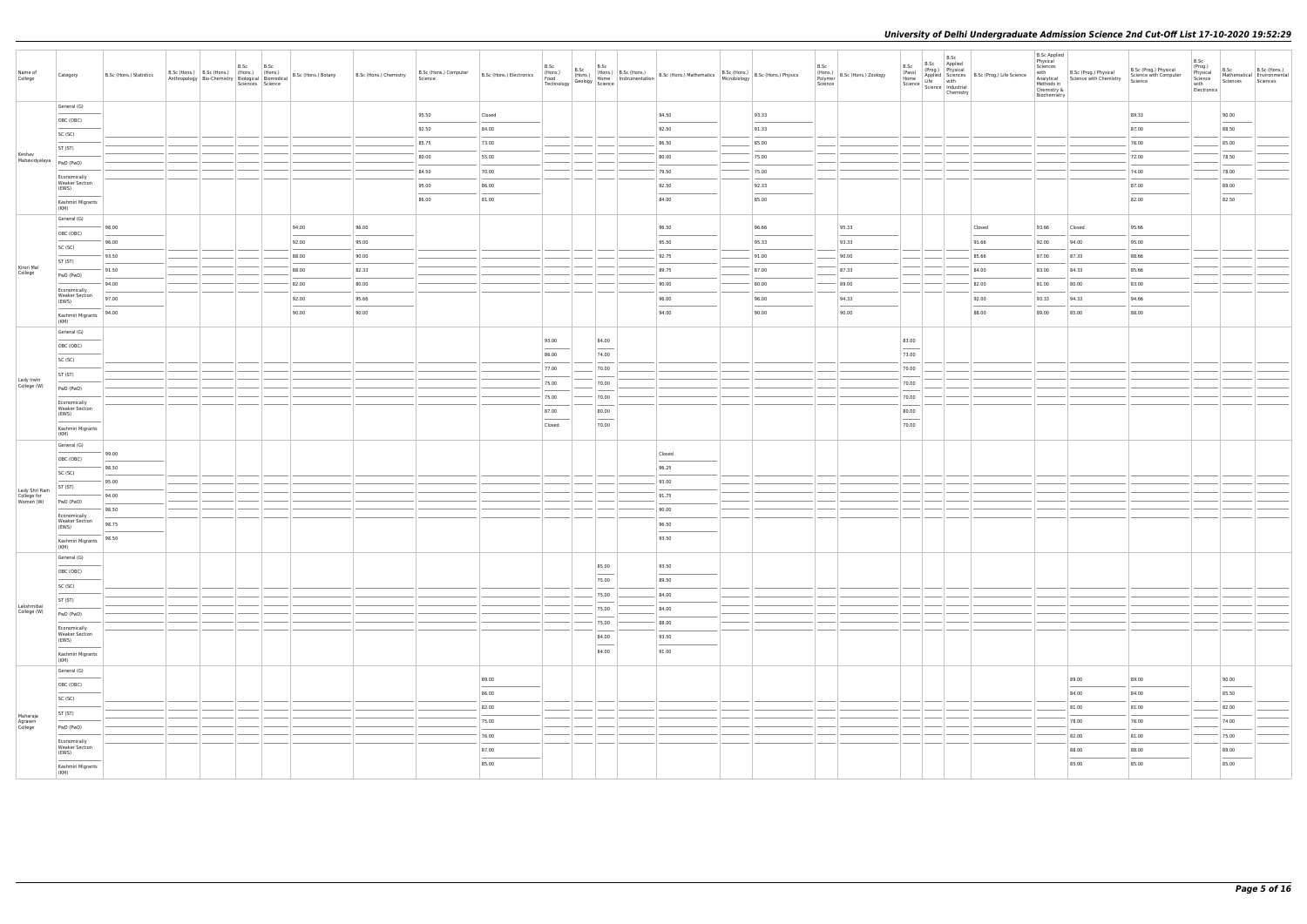| Name of<br>College                        | Category                                       | B.Sc (Hons.) Statistics | B.Sc (Hons.) B.Sc (Hons.) (Hons.) (Hons.)<br>Anthropology Bio-Chemistry Biological Biomedical | B.Sc | B.Sc<br>Sciences Science | B.Sc (Hons.) Botany | B.Sc (Hons.) Chemistry | B.Sc (Hons.) Computer<br>Science | B.Sc (Hons.) Electronics | B.Sc   | (Hons.)<br>Food (Hons.)<br>Technology Geology Home<br>Ceology Science                                                                                                                                                                                                                                                                                                                                                                                                               |                                                                                                                                                                                                                                                                                                                                                                                                                                                                                     | B.Sc B.Sc (Hons.)<br>(Hons.) (Hons.) B.Sc (Hons.) B.Sc (Hons.) Mathematics B.Sc (Hons.) B.Sc (Hons.) Physics<br>Geniony Home Instrumentation B.Sc (Hons.) Mathematics Microbiology B.Sc (Hons.) Physics | B.Sc<br>(Hons.)<br>Science | (Hons.)<br>Polymer   B.Sc (Hons.) Zoology | B.Sc<br>(Pass)  | B.Sc Applied<br>(Prog.) Physical | B.Sc | (Pass)<br>(Promes)<br>Applied Sciences<br>B.Sc (Prog.) Life Science<br>Science Life<br>Science Industrial<br>Chemistry<br>Chemistry | <b>B.Sc Applied</b><br>Physical<br>Sciences<br>with<br>Methods in<br>Chemistry &<br>Biochemistry | B.Sc (Prog.) Physical<br>Analytical Science with Chemistry | B.Sc (Prog.) Physical<br>Science with Computer<br>Science | B.Sc<br>(Prog.)<br>Physical<br>Science<br>with<br>Electronics | B.Sc<br>Sciences | B.Sc (Hons.)<br>Mathematical Environmental<br>Sciences |
|-------------------------------------------|------------------------------------------------|-------------------------|-----------------------------------------------------------------------------------------------|------|--------------------------|---------------------|------------------------|----------------------------------|--------------------------|--------|-------------------------------------------------------------------------------------------------------------------------------------------------------------------------------------------------------------------------------------------------------------------------------------------------------------------------------------------------------------------------------------------------------------------------------------------------------------------------------------|-------------------------------------------------------------------------------------------------------------------------------------------------------------------------------------------------------------------------------------------------------------------------------------------------------------------------------------------------------------------------------------------------------------------------------------------------------------------------------------|---------------------------------------------------------------------------------------------------------------------------------------------------------------------------------------------------------|----------------------------|-------------------------------------------|-----------------|----------------------------------|------|-------------------------------------------------------------------------------------------------------------------------------------|--------------------------------------------------------------------------------------------------|------------------------------------------------------------|-----------------------------------------------------------|---------------------------------------------------------------|------------------|--------------------------------------------------------|
|                                           | General (G)                                    |                         |                                                                                               |      |                          |                     |                        | 95.50                            | Closed                   |        |                                                                                                                                                                                                                                                                                                                                                                                                                                                                                     | 94.50                                                                                                                                                                                                                                                                                                                                                                                                                                                                               | 93.33                                                                                                                                                                                                   |                            |                                           |                 |                                  |      |                                                                                                                                     |                                                                                                  |                                                            | 89.33                                                     |                                                               | 90.00            |                                                        |
|                                           | OBC (OBC)                                      |                         |                                                                                               |      |                          |                     |                        | 92.50                            | 84.00                    |        |                                                                                                                                                                                                                                                                                                                                                                                                                                                                                     | 92.50                                                                                                                                                                                                                                                                                                                                                                                                                                                                               | 91.33                                                                                                                                                                                                   |                            |                                           |                 |                                  |      |                                                                                                                                     |                                                                                                  |                                                            | 87.00                                                     |                                                               | 88.50            |                                                        |
|                                           | SC (SC)                                        |                         |                                                                                               |      |                          |                     |                        | 85.75                            | 73.00                    |        |                                                                                                                                                                                                                                                                                                                                                                                                                                                                                     | 86.50                                                                                                                                                                                                                                                                                                                                                                                                                                                                               | 85.00                                                                                                                                                                                                   |                            |                                           |                 |                                  |      |                                                                                                                                     |                                                                                                  |                                                            | 76.00                                                     |                                                               | 85.00            |                                                        |
| Keshav<br>Mahavidyalaya                   | ST (ST)                                        |                         |                                                                                               |      |                          |                     |                        | 80.00                            | 55.00                    |        |                                                                                                                                                                                                                                                                                                                                                                                                                                                                                     | 80.00                                                                                                                                                                                                                                                                                                                                                                                                                                                                               | 75.00                                                                                                                                                                                                   |                            |                                           |                 |                                  |      |                                                                                                                                     |                                                                                                  |                                                            | 72.00                                                     |                                                               | 78.50            |                                                        |
|                                           | PwD (PwD)                                      |                         |                                                                                               |      |                          |                     |                        | 84.50                            | 70.00                    |        |                                                                                                                                                                                                                                                                                                                                                                                                                                                                                     | 79.50                                                                                                                                                                                                                                                                                                                                                                                                                                                                               | 75.00                                                                                                                                                                                                   |                            |                                           |                 |                                  |      |                                                                                                                                     |                                                                                                  |                                                            | 74.00                                                     |                                                               | 78.00            |                                                        |
|                                           | Economically<br><b>Weaker Section</b><br>(EWS) |                         |                                                                                               |      |                          |                     |                        | 95.00                            | 86.00                    |        |                                                                                                                                                                                                                                                                                                                                                                                                                                                                                     | 92.50                                                                                                                                                                                                                                                                                                                                                                                                                                                                               | 92.33                                                                                                                                                                                                   |                            |                                           |                 |                                  |      |                                                                                                                                     |                                                                                                  |                                                            | 87.00                                                     |                                                               | 89.00            |                                                        |
|                                           | Kashmiri Migrants                              |                         |                                                                                               |      |                          |                     |                        | 86.00                            | 81.00                    |        |                                                                                                                                                                                                                                                                                                                                                                                                                                                                                     | $\frac{1}{2} \left( \frac{1}{2} \right) \left( \frac{1}{2} \right) \left( \frac{1}{2} \right) \left( \frac{1}{2} \right) \left( \frac{1}{2} \right) \left( \frac{1}{2} \right) \left( \frac{1}{2} \right) \left( \frac{1}{2} \right) \left( \frac{1}{2} \right) \left( \frac{1}{2} \right) \left( \frac{1}{2} \right) \left( \frac{1}{2} \right) \left( \frac{1}{2} \right) \left( \frac{1}{2} \right) \left( \frac{1}{2} \right) \left( \frac{1}{2} \right) \left( \frac$<br>84.00 | 85.00                                                                                                                                                                                                   |                            |                                           |                 |                                  |      |                                                                                                                                     |                                                                                                  |                                                            | 82.00                                                     |                                                               | $\sim$<br>82.50  |                                                        |
|                                           | (KM)<br>General (G)                            |                         |                                                                                               |      |                          |                     |                        |                                  |                          |        |                                                                                                                                                                                                                                                                                                                                                                                                                                                                                     |                                                                                                                                                                                                                                                                                                                                                                                                                                                                                     |                                                                                                                                                                                                         |                            |                                           |                 |                                  |      |                                                                                                                                     |                                                                                                  |                                                            |                                                           |                                                               |                  |                                                        |
|                                           | OBC (OBC)                                      | 98.00                   |                                                                                               |      |                          | 94.00               | 96.00                  |                                  |                          |        |                                                                                                                                                                                                                                                                                                                                                                                                                                                                                     | 96.50                                                                                                                                                                                                                                                                                                                                                                                                                                                                               | 96.66                                                                                                                                                                                                   |                            | 95.33                                     |                 |                                  |      | Closed                                                                                                                              | 93.66                                                                                            | Closed                                                     | 95.66                                                     |                                                               |                  |                                                        |
|                                           | SC (SC)                                        | 96.00                   |                                                                                               |      |                          | 92.00               | 95.00                  |                                  |                          |        |                                                                                                                                                                                                                                                                                                                                                                                                                                                                                     | 95.50                                                                                                                                                                                                                                                                                                                                                                                                                                                                               | 95.33                                                                                                                                                                                                   |                            | 93.33                                     |                 |                                  |      | 91.66                                                                                                                               | 92.00                                                                                            | 94.00                                                      | 95.00                                                     |                                                               |                  |                                                        |
|                                           | ST (ST)                                        | 93.50                   |                                                                                               |      |                          | 88.00               | 90.00                  |                                  |                          |        |                                                                                                                                                                                                                                                                                                                                                                                                                                                                                     | 92.75                                                                                                                                                                                                                                                                                                                                                                                                                                                                               | 91.00                                                                                                                                                                                                   |                            | 90.00                                     |                 |                                  |      | 85.66                                                                                                                               | 87.00                                                                                            | 87.33                                                      | 88.66                                                     |                                                               |                  |                                                        |
| Kirori Mal<br>College                     | PwD (PwD)                                      | 91.50                   |                                                                                               |      |                          | 88.00               | 82.33                  |                                  |                          |        |                                                                                                                                                                                                                                                                                                                                                                                                                                                                                     | 89.75                                                                                                                                                                                                                                                                                                                                                                                                                                                                               | 87.00                                                                                                                                                                                                   |                            | 87.33                                     |                 |                                  |      | 84.00                                                                                                                               | 83.00                                                                                            | 84.33                                                      | 85.66                                                     |                                                               |                  |                                                        |
|                                           | Economically                                   | 94.00                   |                                                                                               |      |                          | 82.00               | 80.00                  |                                  |                          |        |                                                                                                                                                                                                                                                                                                                                                                                                                                                                                     | 90.00                                                                                                                                                                                                                                                                                                                                                                                                                                                                               | 80.00                                                                                                                                                                                                   |                            | 89.00                                     |                 |                                  |      | 82.00                                                                                                                               | 81.00                                                                                            | 80.00                                                      | 83.00                                                     |                                                               |                  |                                                        |
|                                           | <b>Weaker Section</b><br>(EWS)                 | 97.00                   |                                                                                               |      |                          | 92.00               | 95.66                  |                                  |                          |        |                                                                                                                                                                                                                                                                                                                                                                                                                                                                                     | 96.00                                                                                                                                                                                                                                                                                                                                                                                                                                                                               | 96.00                                                                                                                                                                                                   |                            | 94.33                                     |                 |                                  |      | 92.00                                                                                                                               | 93.33                                                                                            | 94.33                                                      | 94.66                                                     |                                                               |                  |                                                        |
|                                           | Kashmiri Migrants<br>(KM)                      | 94.00                   |                                                                                               |      |                          | 90.00               | 90.00                  |                                  |                          |        |                                                                                                                                                                                                                                                                                                                                                                                                                                                                                     | 94.00                                                                                                                                                                                                                                                                                                                                                                                                                                                                               | 90.00                                                                                                                                                                                                   |                            | 90.00                                     |                 |                                  |      | 88.00                                                                                                                               | 89.00                                                                                            | 85.00                                                      | 88.00                                                     |                                                               |                  |                                                        |
|                                           | General (G)                                    |                         |                                                                                               |      |                          |                     |                        |                                  |                          |        |                                                                                                                                                                                                                                                                                                                                                                                                                                                                                     |                                                                                                                                                                                                                                                                                                                                                                                                                                                                                     |                                                                                                                                                                                                         |                            |                                           |                 |                                  |      |                                                                                                                                     |                                                                                                  |                                                            |                                                           |                                                               |                  |                                                        |
|                                           | OBC (OBC)                                      |                         |                                                                                               |      |                          |                     |                        |                                  |                          | 93.00  | 84.00<br>$\frac{1}{2} \left( \frac{1}{2} \right) \left( \frac{1}{2} \right) \left( \frac{1}{2} \right) \left( \frac{1}{2} \right) \left( \frac{1}{2} \right) \left( \frac{1}{2} \right) \left( \frac{1}{2} \right) \left( \frac{1}{2} \right) \left( \frac{1}{2} \right) \left( \frac{1}{2} \right) \left( \frac{1}{2} \right) \left( \frac{1}{2} \right) \left( \frac{1}{2} \right) \left( \frac{1}{2} \right) \left( \frac{1}{2} \right) \left( \frac{1}{2} \right) \left( \frac$ |                                                                                                                                                                                                                                                                                                                                                                                                                                                                                     |                                                                                                                                                                                                         |                            |                                           | 83.00<br>$\sim$ |                                  |      |                                                                                                                                     |                                                                                                  |                                                            |                                                           |                                                               |                  |                                                        |
|                                           | SC (SC)                                        |                         |                                                                                               |      |                          |                     |                        |                                  |                          | 86.00  | 74.00                                                                                                                                                                                                                                                                                                                                                                                                                                                                               |                                                                                                                                                                                                                                                                                                                                                                                                                                                                                     |                                                                                                                                                                                                         |                            |                                           | 73.00           |                                  |      |                                                                                                                                     |                                                                                                  |                                                            |                                                           |                                                               |                  |                                                        |
|                                           | ST (ST)                                        |                         |                                                                                               |      |                          |                     |                        |                                  |                          | 77.00  | 70.00                                                                                                                                                                                                                                                                                                                                                                                                                                                                               |                                                                                                                                                                                                                                                                                                                                                                                                                                                                                     |                                                                                                                                                                                                         |                            |                                           | 70.00           |                                  |      |                                                                                                                                     |                                                                                                  |                                                            |                                                           |                                                               |                  |                                                        |
| Lady Irwin<br>College (W)                 | PwD (PwD)                                      |                         |                                                                                               |      |                          |                     |                        |                                  |                          | 75.00  | 70.00                                                                                                                                                                                                                                                                                                                                                                                                                                                                               |                                                                                                                                                                                                                                                                                                                                                                                                                                                                                     |                                                                                                                                                                                                         |                            |                                           | 70.00<br>$\sim$ |                                  |      |                                                                                                                                     |                                                                                                  |                                                            |                                                           |                                                               |                  |                                                        |
|                                           | Economically<br><b>Weaker Section</b>          |                         |                                                                                               |      |                          |                     |                        |                                  |                          | 75.00  | 70.00                                                                                                                                                                                                                                                                                                                                                                                                                                                                               |                                                                                                                                                                                                                                                                                                                                                                                                                                                                                     |                                                                                                                                                                                                         |                            |                                           | 70.00           |                                  |      |                                                                                                                                     |                                                                                                  |                                                            |                                                           |                                                               |                  |                                                        |
|                                           | (EWS)                                          |                         |                                                                                               |      |                          |                     |                        |                                  |                          | 87.00  | 80.00<br>$\overline{\phantom{a}}$                                                                                                                                                                                                                                                                                                                                                                                                                                                   |                                                                                                                                                                                                                                                                                                                                                                                                                                                                                     |                                                                                                                                                                                                         |                            |                                           | 80.00<br>$\sim$ |                                  |      |                                                                                                                                     |                                                                                                  |                                                            |                                                           |                                                               |                  |                                                        |
|                                           | Kashmiri Migrants<br>(KM)                      |                         |                                                                                               |      |                          |                     |                        |                                  |                          | Closed | 70.00                                                                                                                                                                                                                                                                                                                                                                                                                                                                               |                                                                                                                                                                                                                                                                                                                                                                                                                                                                                     |                                                                                                                                                                                                         |                            |                                           | 70.00           |                                  |      |                                                                                                                                     |                                                                                                  |                                                            |                                                           |                                                               |                  |                                                        |
|                                           | General (G)                                    |                         |                                                                                               |      |                          |                     |                        |                                  |                          |        |                                                                                                                                                                                                                                                                                                                                                                                                                                                                                     |                                                                                                                                                                                                                                                                                                                                                                                                                                                                                     |                                                                                                                                                                                                         |                            |                                           |                 |                                  |      |                                                                                                                                     |                                                                                                  |                                                            |                                                           |                                                               |                  |                                                        |
|                                           | OBC (OBC)                                      | 99.00<br>98.50          |                                                                                               |      |                          |                     |                        |                                  |                          |        |                                                                                                                                                                                                                                                                                                                                                                                                                                                                                     | Closed<br>96.25                                                                                                                                                                                                                                                                                                                                                                                                                                                                     |                                                                                                                                                                                                         |                            |                                           |                 |                                  |      |                                                                                                                                     |                                                                                                  |                                                            |                                                           |                                                               |                  |                                                        |
|                                           | SC (SC)                                        | 95.00                   |                                                                                               |      |                          |                     |                        |                                  |                          |        |                                                                                                                                                                                                                                                                                                                                                                                                                                                                                     | 93.00                                                                                                                                                                                                                                                                                                                                                                                                                                                                               |                                                                                                                                                                                                         |                            |                                           |                 |                                  |      |                                                                                                                                     |                                                                                                  |                                                            |                                                           |                                                               |                  |                                                        |
| Lady Shri Ram<br>College for<br>Women (W) | ST(ST)                                         | 94.00                   |                                                                                               |      |                          |                     |                        |                                  |                          |        |                                                                                                                                                                                                                                                                                                                                                                                                                                                                                     | 91.75                                                                                                                                                                                                                                                                                                                                                                                                                                                                               |                                                                                                                                                                                                         |                            |                                           |                 |                                  |      |                                                                                                                                     |                                                                                                  |                                                            |                                                           |                                                               |                  |                                                        |
|                                           | PwD (PwD)                                      | 98.50                   |                                                                                               |      |                          |                     |                        |                                  |                          |        |                                                                                                                                                                                                                                                                                                                                                                                                                                                                                     | 90.00                                                                                                                                                                                                                                                                                                                                                                                                                                                                               |                                                                                                                                                                                                         |                            |                                           |                 |                                  |      |                                                                                                                                     |                                                                                                  |                                                            |                                                           |                                                               |                  |                                                        |
|                                           | Economically<br><b>Weaker Section</b>          | 98.75                   |                                                                                               |      |                          |                     |                        |                                  |                          |        |                                                                                                                                                                                                                                                                                                                                                                                                                                                                                     | 96.50                                                                                                                                                                                                                                                                                                                                                                                                                                                                               |                                                                                                                                                                                                         |                            |                                           |                 |                                  |      |                                                                                                                                     |                                                                                                  |                                                            |                                                           |                                                               |                  |                                                        |
|                                           | (EWS)                                          | 98.50                   |                                                                                               |      |                          |                     |                        |                                  |                          |        |                                                                                                                                                                                                                                                                                                                                                                                                                                                                                     | $\frac{1}{2}$<br>93.50                                                                                                                                                                                                                                                                                                                                                                                                                                                              |                                                                                                                                                                                                         |                            |                                           |                 |                                  |      |                                                                                                                                     |                                                                                                  |                                                            |                                                           |                                                               |                  |                                                        |
|                                           | Kashmiri Migrants<br>(KM)                      |                         |                                                                                               |      |                          |                     |                        |                                  |                          |        |                                                                                                                                                                                                                                                                                                                                                                                                                                                                                     |                                                                                                                                                                                                                                                                                                                                                                                                                                                                                     |                                                                                                                                                                                                         |                            |                                           |                 |                                  |      |                                                                                                                                     |                                                                                                  |                                                            |                                                           |                                                               |                  |                                                        |
|                                           | General (G)                                    |                         |                                                                                               |      |                          |                     |                        |                                  |                          |        | 85.00                                                                                                                                                                                                                                                                                                                                                                                                                                                                               | 93.50                                                                                                                                                                                                                                                                                                                                                                                                                                                                               |                                                                                                                                                                                                         |                            |                                           |                 |                                  |      |                                                                                                                                     |                                                                                                  |                                                            |                                                           |                                                               |                  |                                                        |
|                                           | OBC (OBC)                                      |                         |                                                                                               |      |                          |                     |                        |                                  |                          |        | $\overline{\phantom{a}}$<br>75.00                                                                                                                                                                                                                                                                                                                                                                                                                                                   | 89.50                                                                                                                                                                                                                                                                                                                                                                                                                                                                               |                                                                                                                                                                                                         |                            |                                           |                 |                                  |      |                                                                                                                                     |                                                                                                  |                                                            |                                                           |                                                               |                  |                                                        |
|                                           | SC (SC)                                        |                         |                                                                                               |      |                          |                     |                        |                                  |                          |        | 75.00                                                                                                                                                                                                                                                                                                                                                                                                                                                                               | 84.00                                                                                                                                                                                                                                                                                                                                                                                                                                                                               |                                                                                                                                                                                                         |                            |                                           |                 |                                  |      |                                                                                                                                     |                                                                                                  |                                                            |                                                           |                                                               |                  |                                                        |
| Lakshmibai<br>College (W)                 | ST (ST)                                        |                         |                                                                                               |      |                          |                     |                        |                                  |                          |        | 75.00                                                                                                                                                                                                                                                                                                                                                                                                                                                                               | 84.00                                                                                                                                                                                                                                                                                                                                                                                                                                                                               |                                                                                                                                                                                                         |                            |                                           |                 |                                  |      |                                                                                                                                     |                                                                                                  |                                                            |                                                           |                                                               |                  |                                                        |
|                                           | PwD (PwD)                                      |                         |                                                                                               |      |                          |                     |                        |                                  |                          |        | 75.00                                                                                                                                                                                                                                                                                                                                                                                                                                                                               | 88.00                                                                                                                                                                                                                                                                                                                                                                                                                                                                               |                                                                                                                                                                                                         |                            |                                           |                 |                                  |      |                                                                                                                                     |                                                                                                  |                                                            |                                                           |                                                               |                  |                                                        |
|                                           | Economically<br><b>Weaker Section</b><br>(EWS) |                         |                                                                                               |      |                          |                     |                        |                                  |                          |        | 84.00                                                                                                                                                                                                                                                                                                                                                                                                                                                                               | 93.50                                                                                                                                                                                                                                                                                                                                                                                                                                                                               |                                                                                                                                                                                                         |                            |                                           |                 |                                  |      |                                                                                                                                     |                                                                                                  |                                                            |                                                           |                                                               |                  |                                                        |
|                                           | Kashmiri Migrants                              |                         |                                                                                               |      |                          |                     |                        |                                  |                          |        | $\sim$<br>84.00                                                                                                                                                                                                                                                                                                                                                                                                                                                                     | 91.00                                                                                                                                                                                                                                                                                                                                                                                                                                                                               |                                                                                                                                                                                                         |                            |                                           |                 |                                  |      |                                                                                                                                     |                                                                                                  |                                                            |                                                           |                                                               |                  |                                                        |
|                                           | (KM)                                           |                         |                                                                                               |      |                          |                     |                        |                                  |                          |        |                                                                                                                                                                                                                                                                                                                                                                                                                                                                                     |                                                                                                                                                                                                                                                                                                                                                                                                                                                                                     |                                                                                                                                                                                                         |                            |                                           |                 |                                  |      |                                                                                                                                     |                                                                                                  |                                                            |                                                           |                                                               |                  |                                                        |
|                                           | General (G)                                    |                         |                                                                                               |      |                          |                     |                        |                                  | 89.00                    |        |                                                                                                                                                                                                                                                                                                                                                                                                                                                                                     |                                                                                                                                                                                                                                                                                                                                                                                                                                                                                     |                                                                                                                                                                                                         |                            |                                           |                 |                                  |      |                                                                                                                                     |                                                                                                  | 89.00                                                      | 89.00                                                     |                                                               | 90.00            |                                                        |
|                                           | OBC (OBC)<br>SC (SC)                           |                         |                                                                                               |      |                          |                     |                        |                                  | 86.00                    |        |                                                                                                                                                                                                                                                                                                                                                                                                                                                                                     |                                                                                                                                                                                                                                                                                                                                                                                                                                                                                     |                                                                                                                                                                                                         |                            |                                           |                 |                                  |      |                                                                                                                                     |                                                                                                  | 84.00                                                      | 84.00                                                     |                                                               | $\sim$<br>85.50  |                                                        |
|                                           | ST (ST)                                        |                         |                                                                                               |      |                          |                     |                        |                                  | 82.00                    |        |                                                                                                                                                                                                                                                                                                                                                                                                                                                                                     |                                                                                                                                                                                                                                                                                                                                                                                                                                                                                     |                                                                                                                                                                                                         |                            |                                           |                 |                                  |      |                                                                                                                                     |                                                                                                  | 81.00                                                      | 81.00                                                     |                                                               | 82.00            |                                                        |
| Maharaja<br>Agrasen<br>College            | PwD (PwD)                                      |                         |                                                                                               |      |                          |                     |                        |                                  | 75.00                    |        |                                                                                                                                                                                                                                                                                                                                                                                                                                                                                     |                                                                                                                                                                                                                                                                                                                                                                                                                                                                                     |                                                                                                                                                                                                         |                            |                                           |                 |                                  |      |                                                                                                                                     |                                                                                                  | 78.00                                                      | 76.00                                                     |                                                               | 74.00            |                                                        |
|                                           | Economically                                   |                         |                                                                                               |      |                          |                     |                        |                                  | 76.00                    |        |                                                                                                                                                                                                                                                                                                                                                                                                                                                                                     |                                                                                                                                                                                                                                                                                                                                                                                                                                                                                     |                                                                                                                                                                                                         |                            |                                           |                 |                                  |      |                                                                                                                                     |                                                                                                  | 82.00                                                      | 81.00                                                     |                                                               | 75.00            |                                                        |
|                                           | <b>Weaker Section</b><br>(EWS)                 |                         |                                                                                               |      |                          |                     |                        |                                  | 87.00                    |        |                                                                                                                                                                                                                                                                                                                                                                                                                                                                                     |                                                                                                                                                                                                                                                                                                                                                                                                                                                                                     |                                                                                                                                                                                                         |                            |                                           |                 |                                  |      |                                                                                                                                     |                                                                                                  | 88.00                                                      | 88.00                                                     |                                                               | 89.00            |                                                        |
|                                           | Kashmiri Migrants                              |                         |                                                                                               |      |                          |                     |                        |                                  | 85.00                    |        |                                                                                                                                                                                                                                                                                                                                                                                                                                                                                     |                                                                                                                                                                                                                                                                                                                                                                                                                                                                                     |                                                                                                                                                                                                         |                            |                                           |                 |                                  |      |                                                                                                                                     |                                                                                                  | 85.00                                                      | 85.00                                                     |                                                               | 85.00            |                                                        |
|                                           | (KM)                                           |                         |                                                                                               |      |                          |                     |                        |                                  |                          |        |                                                                                                                                                                                                                                                                                                                                                                                                                                                                                     |                                                                                                                                                                                                                                                                                                                                                                                                                                                                                     |                                                                                                                                                                                                         |                            |                                           |                 |                                  |      |                                                                                                                                     |                                                                                                  |                                                            |                                                           |                                                               |                  |                                                        |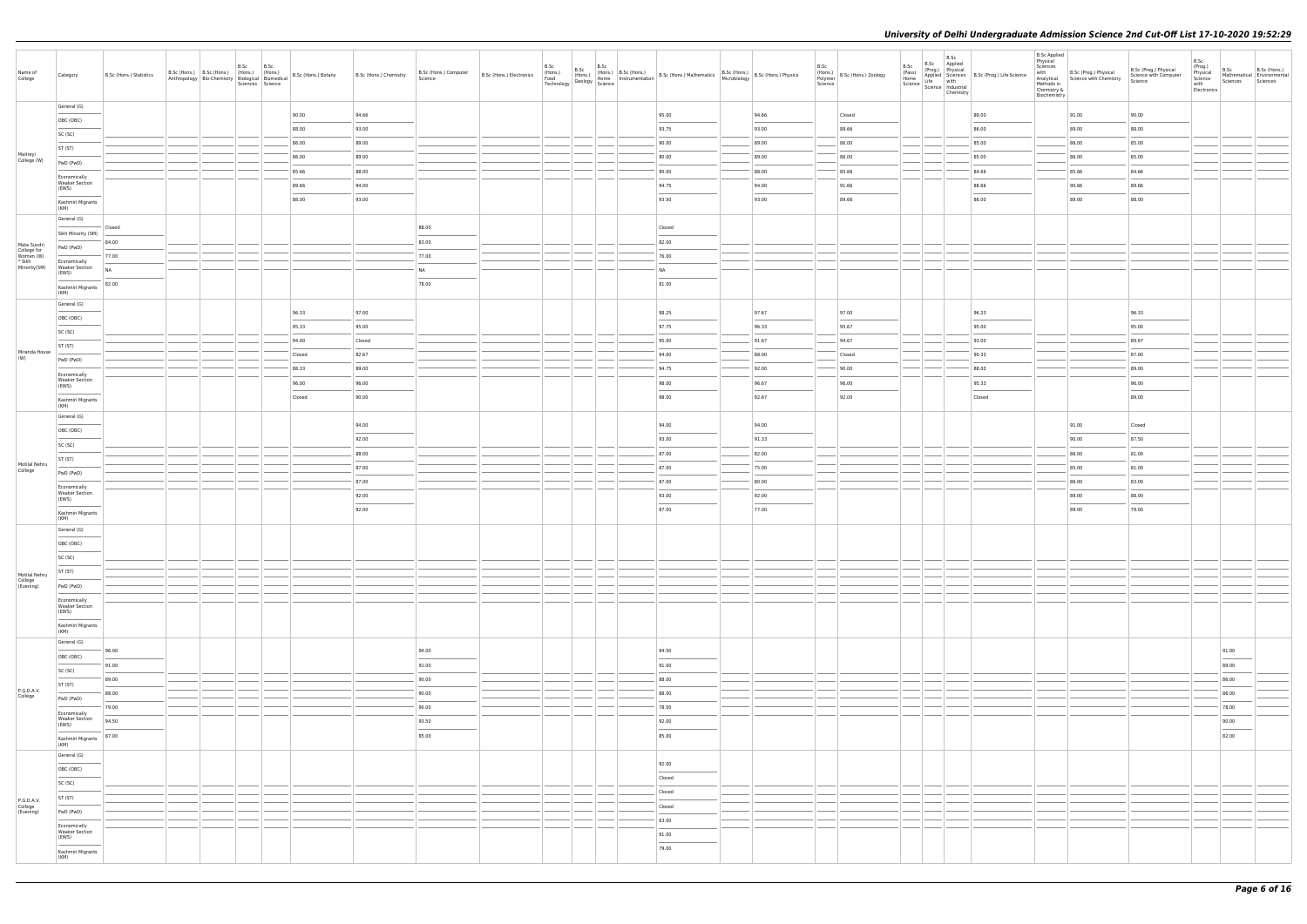| Name of<br>College                    | Category                                       | B.Sc (Hons.) Statistics    | B.Sc (Hons.) B.Sc (Hons.) (Hons.) (Hons.) | B.Sc<br>Sciences Science | B.Sc | Anthropology   Bio-Chemistry   $\left \frac{\text{triolis}}{\text{Biological}}\right $   Biomedical   B.Sc (Hons.) Botany | B.Sc (Hons.) Chemistry                                                                                                                                                                                                                                                                                                                                                                                                                                                              | B.Sc (Hons.) Computer<br>Science | B.Sc (Hons.) Electronics | B.Sc | B.Sc | Hons.) B.Sc (Hons.) B.Sc (Hons.) B.Sc (Hons.) B.Sc (Hons.) Mathematics B.Sc (Hons.) B.Sc (Hons.) Physics<br>Food Geology Home Instrumentation B.Sc (Hons.) Mathematics Microbiology B.Sc (Hons.) Physics<br>Technology Science |       | B.Sc<br>Science | (Hons.)<br>Polymer B.Sc (Hons.) Zoology | B.Sc<br>(Pass)<br>Home | B.Sc Applied<br>(Prog.)<br>Science   Life   Mustrial | B.Sc<br>Physical<br>Applied Sciences B.Sc (Prog.) Life Science<br>Life with<br>Chemistry | <b>B.Sc Applied</b><br>Physical<br>Sciences<br>with<br>Methods in<br>Chemistry &<br>Biochemistry | B.Sc (Prog.) Physical<br>Analytical Science with Chemistry                                                                                                                                                                                                                                                                                                                                                                                                                          | B.Sc (Prog.) Physical<br>Science with Computer<br>Science | B.Sc<br>(Prog.)<br>Physical<br>Science<br>with<br>Electronics | B.Sc<br>Sciences | B.Sc (Hons.)<br>Mathematical Environmental<br>Sciences |
|---------------------------------------|------------------------------------------------|----------------------------|-------------------------------------------|--------------------------|------|---------------------------------------------------------------------------------------------------------------------------|-------------------------------------------------------------------------------------------------------------------------------------------------------------------------------------------------------------------------------------------------------------------------------------------------------------------------------------------------------------------------------------------------------------------------------------------------------------------------------------|----------------------------------|--------------------------|------|------|--------------------------------------------------------------------------------------------------------------------------------------------------------------------------------------------------------------------------------|-------|-----------------|-----------------------------------------|------------------------|------------------------------------------------------|------------------------------------------------------------------------------------------|--------------------------------------------------------------------------------------------------|-------------------------------------------------------------------------------------------------------------------------------------------------------------------------------------------------------------------------------------------------------------------------------------------------------------------------------------------------------------------------------------------------------------------------------------------------------------------------------------|-----------------------------------------------------------|---------------------------------------------------------------|------------------|--------------------------------------------------------|
|                                       | General (G)                                    |                            |                                           |                          |      | 90.00                                                                                                                     | 94.66                                                                                                                                                                                                                                                                                                                                                                                                                                                                               |                                  |                          |      |      | 95.00                                                                                                                                                                                                                          | 94.66 |                 | Closed                                  |                        |                                                      | 89.00                                                                                    |                                                                                                  | 91.00                                                                                                                                                                                                                                                                                                                                                                                                                                                                               | 90.00                                                     |                                                               |                  |                                                        |
|                                       | OBC (OBC)                                      |                            |                                           |                          |      | 88.00                                                                                                                     | 93.00                                                                                                                                                                                                                                                                                                                                                                                                                                                                               |                                  |                          |      |      | 93.75                                                                                                                                                                                                                          | 93.00 |                 | 89.66                                   |                        |                                                      | 86.00                                                                                    |                                                                                                  | 89.00                                                                                                                                                                                                                                                                                                                                                                                                                                                                               | 88.00                                                     |                                                               |                  |                                                        |
|                                       | SC (SC)                                        |                            |                                           |                          |      | 86.00                                                                                                                     | 89.00                                                                                                                                                                                                                                                                                                                                                                                                                                                                               |                                  |                          |      |      | 90.00                                                                                                                                                                                                                          | 89.00 |                 | 86.00                                   |                        |                                                      | 85.00                                                                                    |                                                                                                  | 86.00                                                                                                                                                                                                                                                                                                                                                                                                                                                                               | 85.00                                                     |                                                               |                  |                                                        |
| Maitreyi                              | ST (ST)                                        |                            |                                           |                          |      | 86.00                                                                                                                     | 89.00                                                                                                                                                                                                                                                                                                                                                                                                                                                                               |                                  |                          |      |      | 90.00                                                                                                                                                                                                                          | 89.00 |                 | 86.00                                   |                        |                                                      | 85.00                                                                                    |                                                                                                  | 86.00                                                                                                                                                                                                                                                                                                                                                                                                                                                                               | 85.00                                                     |                                                               |                  |                                                        |
| College (W)                           | PwD (PwD)                                      |                            |                                           |                          |      |                                                                                                                           |                                                                                                                                                                                                                                                                                                                                                                                                                                                                                     |                                  |                          |      |      |                                                                                                                                                                                                                                |       |                 |                                         |                        |                                                      |                                                                                          |                                                                                                  |                                                                                                                                                                                                                                                                                                                                                                                                                                                                                     |                                                           |                                                               |                  |                                                        |
|                                       | Economically<br><b>Weaker Section</b>          |                            |                                           |                          |      | 85.66                                                                                                                     | 88.00                                                                                                                                                                                                                                                                                                                                                                                                                                                                               |                                  |                          |      |      | 90.00                                                                                                                                                                                                                          | 88.00 |                 | 85.66                                   |                        |                                                      | 84.66                                                                                    |                                                                                                  | 85.66                                                                                                                                                                                                                                                                                                                                                                                                                                                                               | 84.66                                                     |                                                               |                  |                                                        |
|                                       | (EWS)                                          |                            |                                           |                          |      | 89.66                                                                                                                     | 94.00                                                                                                                                                                                                                                                                                                                                                                                                                                                                               |                                  |                          |      |      | 94.75                                                                                                                                                                                                                          | 94.00 |                 | 91.66                                   |                        |                                                      | 88.66                                                                                    |                                                                                                  | 90.66                                                                                                                                                                                                                                                                                                                                                                                                                                                                               | 89.66                                                     |                                                               |                  |                                                        |
|                                       | Kashmiri Migrants<br>(KM)                      |                            |                                           |                          |      | 88.00                                                                                                                     | 93.00                                                                                                                                                                                                                                                                                                                                                                                                                                                                               |                                  |                          |      |      | 93.50                                                                                                                                                                                                                          | 93.00 |                 | 89.66                                   |                        |                                                      | 86.00                                                                                    |                                                                                                  | 89.00                                                                                                                                                                                                                                                                                                                                                                                                                                                                               | 88.00                                                     |                                                               |                  |                                                        |
|                                       | General (G)                                    |                            |                                           |                          |      |                                                                                                                           |                                                                                                                                                                                                                                                                                                                                                                                                                                                                                     |                                  |                          |      |      |                                                                                                                                                                                                                                |       |                 |                                         |                        |                                                      |                                                                                          |                                                                                                  |                                                                                                                                                                                                                                                                                                                                                                                                                                                                                     |                                                           |                                                               |                  |                                                        |
|                                       | Sikh Minority (SM)                             | Closed                     |                                           |                          |      |                                                                                                                           |                                                                                                                                                                                                                                                                                                                                                                                                                                                                                     | 88.00                            |                          |      |      | Closed                                                                                                                                                                                                                         |       |                 |                                         |                        |                                                      |                                                                                          |                                                                                                  |                                                                                                                                                                                                                                                                                                                                                                                                                                                                                     |                                                           |                                                               |                  |                                                        |
| Mata Sundri<br>College for            | PwD (PwD)                                      | 84.00                      |                                           |                          |      |                                                                                                                           |                                                                                                                                                                                                                                                                                                                                                                                                                                                                                     | 83.00                            |                          |      |      | 82.00                                                                                                                                                                                                                          |       |                 |                                         |                        |                                                      |                                                                                          |                                                                                                  |                                                                                                                                                                                                                                                                                                                                                                                                                                                                                     |                                                           |                                                               |                  |                                                        |
| Women (W)<br>* Sikh                   | Economically<br><b>Weaker Section</b>          | 77.00                      |                                           |                          |      |                                                                                                                           |                                                                                                                                                                                                                                                                                                                                                                                                                                                                                     | 77.00                            |                          |      |      | 76.00                                                                                                                                                                                                                          |       |                 |                                         |                        |                                                      |                                                                                          |                                                                                                  |                                                                                                                                                                                                                                                                                                                                                                                                                                                                                     |                                                           |                                                               |                  |                                                        |
| Minority(SM)                          | (EWS)                                          | NA                         |                                           |                          |      |                                                                                                                           |                                                                                                                                                                                                                                                                                                                                                                                                                                                                                     | <b>NA</b>                        |                          |      |      | NA                                                                                                                                                                                                                             |       |                 |                                         |                        |                                                      |                                                                                          |                                                                                                  |                                                                                                                                                                                                                                                                                                                                                                                                                                                                                     |                                                           |                                                               |                  |                                                        |
|                                       | Kashmiri Migrants<br>(KM)                      | 82.00                      |                                           |                          |      |                                                                                                                           |                                                                                                                                                                                                                                                                                                                                                                                                                                                                                     | 78.00                            |                          |      |      | 81.00                                                                                                                                                                                                                          |       |                 |                                         |                        |                                                      |                                                                                          |                                                                                                  |                                                                                                                                                                                                                                                                                                                                                                                                                                                                                     |                                                           |                                                               |                  |                                                        |
|                                       | General (G)                                    |                            |                                           |                          |      |                                                                                                                           |                                                                                                                                                                                                                                                                                                                                                                                                                                                                                     |                                  |                          |      |      |                                                                                                                                                                                                                                |       |                 |                                         |                        |                                                      |                                                                                          |                                                                                                  |                                                                                                                                                                                                                                                                                                                                                                                                                                                                                     |                                                           |                                                               |                  |                                                        |
|                                       | OBC (OBC)                                      |                            |                                           |                          |      | 96.33                                                                                                                     | 97.00                                                                                                                                                                                                                                                                                                                                                                                                                                                                               |                                  |                          |      |      | 98.25                                                                                                                                                                                                                          | 97.67 |                 | 97.00                                   |                        |                                                      | 96.33                                                                                    |                                                                                                  |                                                                                                                                                                                                                                                                                                                                                                                                                                                                                     | 96.33                                                     |                                                               |                  |                                                        |
|                                       | SC (SC)                                        |                            |                                           |                          |      | 95.33                                                                                                                     | 95.00                                                                                                                                                                                                                                                                                                                                                                                                                                                                               |                                  |                          |      |      | 97.75                                                                                                                                                                                                                          | 96.33 |                 | 95.67                                   |                        |                                                      | 95.00                                                                                    |                                                                                                  |                                                                                                                                                                                                                                                                                                                                                                                                                                                                                     | 95.00                                                     |                                                               |                  |                                                        |
|                                       | ST (ST)                                        |                            |                                           |                          |      | 94.00                                                                                                                     | Closed                                                                                                                                                                                                                                                                                                                                                                                                                                                                              |                                  |                          |      |      | 95.00                                                                                                                                                                                                                          | 91.67 |                 | 94.67                                   |                        |                                                      | 93.00                                                                                    |                                                                                                  |                                                                                                                                                                                                                                                                                                                                                                                                                                                                                     | 89.67                                                     |                                                               |                  |                                                        |
| Miranda House<br>(W)                  | PwD (PwD)                                      |                            |                                           |                          |      | Closed                                                                                                                    | 82.67                                                                                                                                                                                                                                                                                                                                                                                                                                                                               |                                  |                          |      |      | 94.00                                                                                                                                                                                                                          | 88.00 |                 | Closed                                  |                        |                                                      | 90.33                                                                                    |                                                                                                  |                                                                                                                                                                                                                                                                                                                                                                                                                                                                                     | 87.00                                                     |                                                               |                  |                                                        |
|                                       | Economically                                   |                            |                                           |                          |      | 88.33                                                                                                                     | 89.00                                                                                                                                                                                                                                                                                                                                                                                                                                                                               |                                  |                          |      |      | 94.75                                                                                                                                                                                                                          | 92.00 |                 | 90.00                                   |                        |                                                      | 88.00                                                                                    |                                                                                                  |                                                                                                                                                                                                                                                                                                                                                                                                                                                                                     | 89.00                                                     |                                                               |                  |                                                        |
|                                       | <b>Weaker Section</b><br>(EWS)                 |                            |                                           |                          |      | 96.00                                                                                                                     | 96.00                                                                                                                                                                                                                                                                                                                                                                                                                                                                               |                                  |                          |      |      | 98.00                                                                                                                                                                                                                          | 96.67 |                 | 96.00                                   |                        |                                                      | 95.33                                                                                    |                                                                                                  |                                                                                                                                                                                                                                                                                                                                                                                                                                                                                     | 96.00                                                     |                                                               |                  |                                                        |
|                                       | Kashmiri Migrants<br>(KM)                      |                            |                                           |                          |      | Closed                                                                                                                    | 90.00                                                                                                                                                                                                                                                                                                                                                                                                                                                                               |                                  |                          |      |      | 98.00                                                                                                                                                                                                                          | 92.67 |                 | 92.00                                   |                        |                                                      | Closed                                                                                   |                                                                                                  |                                                                                                                                                                                                                                                                                                                                                                                                                                                                                     | 89.00                                                     |                                                               |                  |                                                        |
|                                       | General (G)                                    |                            |                                           |                          |      |                                                                                                                           |                                                                                                                                                                                                                                                                                                                                                                                                                                                                                     |                                  |                          |      |      |                                                                                                                                                                                                                                |       |                 |                                         |                        |                                                      |                                                                                          |                                                                                                  |                                                                                                                                                                                                                                                                                                                                                                                                                                                                                     |                                                           |                                                               |                  |                                                        |
|                                       | OBC (OBC)                                      |                            |                                           |                          |      |                                                                                                                           | 94.00                                                                                                                                                                                                                                                                                                                                                                                                                                                                               |                                  |                          |      |      | 94.00                                                                                                                                                                                                                          | 94.00 |                 |                                         |                        |                                                      |                                                                                          |                                                                                                  | 91.00                                                                                                                                                                                                                                                                                                                                                                                                                                                                               | Closed                                                    |                                                               |                  |                                                        |
|                                       | SC (SC)                                        |                            |                                           |                          |      |                                                                                                                           | 92.00                                                                                                                                                                                                                                                                                                                                                                                                                                                                               |                                  |                          |      |      | 93.00                                                                                                                                                                                                                          | 91.33 |                 |                                         |                        |                                                      |                                                                                          |                                                                                                  | 90.00                                                                                                                                                                                                                                                                                                                                                                                                                                                                               | 87.50                                                     |                                                               |                  |                                                        |
|                                       | ST (ST)                                        |                            |                                           |                          |      |                                                                                                                           | 88.00                                                                                                                                                                                                                                                                                                                                                                                                                                                                               |                                  |                          |      |      | 87.00                                                                                                                                                                                                                          | 82.00 |                 |                                         |                        |                                                      |                                                                                          |                                                                                                  | 86.00                                                                                                                                                                                                                                                                                                                                                                                                                                                                               | 81.00                                                     |                                                               |                  |                                                        |
| Motilal Nehru<br>College              | PwD (PwD)                                      |                            |                                           |                          |      |                                                                                                                           | 87.00                                                                                                                                                                                                                                                                                                                                                                                                                                                                               |                                  |                          |      |      | 87.00                                                                                                                                                                                                                          | 75.00 |                 |                                         |                        |                                                      |                                                                                          |                                                                                                  | 85.00                                                                                                                                                                                                                                                                                                                                                                                                                                                                               | 81.00                                                     |                                                               |                  |                                                        |
|                                       | Economically                                   |                            |                                           |                          |      |                                                                                                                           | 87.00                                                                                                                                                                                                                                                                                                                                                                                                                                                                               |                                  |                          |      |      | 87.00                                                                                                                                                                                                                          | 80.00 |                 |                                         |                        |                                                      |                                                                                          |                                                                                                  | 86.00                                                                                                                                                                                                                                                                                                                                                                                                                                                                               | 83.00                                                     |                                                               |                  |                                                        |
|                                       | <b>Weaker Section</b><br>(EWS)                 |                            |                                           |                          |      |                                                                                                                           | 92.00<br>$\frac{1}{2} \left( \frac{1}{2} \right) \left( \frac{1}{2} \right) \left( \frac{1}{2} \right) \left( \frac{1}{2} \right) \left( \frac{1}{2} \right) \left( \frac{1}{2} \right) \left( \frac{1}{2} \right) \left( \frac{1}{2} \right) \left( \frac{1}{2} \right) \left( \frac{1}{2} \right) \left( \frac{1}{2} \right) \left( \frac{1}{2} \right) \left( \frac{1}{2} \right) \left( \frac{1}{2} \right) \left( \frac{1}{2} \right) \left( \frac{1}{2} \right) \left( \frac$ |                                  |                          |      |      | 93.00                                                                                                                                                                                                                          | 92.00 |                 |                                         |                        |                                                      |                                                                                          |                                                                                                  | 89.00<br>$\frac{1}{2} \left( \frac{1}{2} \right) \left( \frac{1}{2} \right) \left( \frac{1}{2} \right) \left( \frac{1}{2} \right) \left( \frac{1}{2} \right) \left( \frac{1}{2} \right) \left( \frac{1}{2} \right) \left( \frac{1}{2} \right) \left( \frac{1}{2} \right) \left( \frac{1}{2} \right) \left( \frac{1}{2} \right) \left( \frac{1}{2} \right) \left( \frac{1}{2} \right) \left( \frac{1}{2} \right) \left( \frac{1}{2} \right) \left( \frac{1}{2} \right) \left( \frac$ | 88.00                                                     |                                                               |                  |                                                        |
|                                       | Kashmiri Migrants                              |                            |                                           |                          |      |                                                                                                                           | 92.00                                                                                                                                                                                                                                                                                                                                                                                                                                                                               |                                  |                          |      |      | 87.00                                                                                                                                                                                                                          | 77.00 |                 |                                         |                        |                                                      |                                                                                          |                                                                                                  | 89.00                                                                                                                                                                                                                                                                                                                                                                                                                                                                               | 79.00                                                     |                                                               |                  |                                                        |
|                                       | (KM)<br>General (G)                            |                            |                                           |                          |      |                                                                                                                           |                                                                                                                                                                                                                                                                                                                                                                                                                                                                                     |                                  |                          |      |      |                                                                                                                                                                                                                                |       |                 |                                         |                        |                                                      |                                                                                          |                                                                                                  |                                                                                                                                                                                                                                                                                                                                                                                                                                                                                     |                                                           |                                                               |                  |                                                        |
|                                       | OBC (OBC)                                      |                            |                                           |                          |      |                                                                                                                           |                                                                                                                                                                                                                                                                                                                                                                                                                                                                                     |                                  |                          |      |      |                                                                                                                                                                                                                                |       |                 |                                         |                        |                                                      |                                                                                          |                                                                                                  |                                                                                                                                                                                                                                                                                                                                                                                                                                                                                     |                                                           |                                                               |                  |                                                        |
|                                       | SC (SC)                                        |                            |                                           |                          |      |                                                                                                                           |                                                                                                                                                                                                                                                                                                                                                                                                                                                                                     |                                  |                          |      |      |                                                                                                                                                                                                                                |       |                 |                                         |                        |                                                      |                                                                                          |                                                                                                  |                                                                                                                                                                                                                                                                                                                                                                                                                                                                                     |                                                           |                                                               |                  |                                                        |
|                                       | ST (ST)                                        |                            |                                           |                          |      |                                                                                                                           |                                                                                                                                                                                                                                                                                                                                                                                                                                                                                     |                                  |                          |      |      |                                                                                                                                                                                                                                |       |                 |                                         |                        |                                                      |                                                                                          |                                                                                                  |                                                                                                                                                                                                                                                                                                                                                                                                                                                                                     |                                                           |                                                               |                  |                                                        |
| Motilal Nehru<br>College<br>(Evening) | PwD (PwD)                                      |                            |                                           |                          |      |                                                                                                                           |                                                                                                                                                                                                                                                                                                                                                                                                                                                                                     |                                  |                          |      |      |                                                                                                                                                                                                                                |       |                 |                                         |                        |                                                      |                                                                                          |                                                                                                  |                                                                                                                                                                                                                                                                                                                                                                                                                                                                                     |                                                           |                                                               |                  |                                                        |
|                                       | Economically                                   |                            |                                           |                          |      |                                                                                                                           |                                                                                                                                                                                                                                                                                                                                                                                                                                                                                     |                                  |                          |      |      |                                                                                                                                                                                                                                |       |                 |                                         |                        |                                                      |                                                                                          |                                                                                                  |                                                                                                                                                                                                                                                                                                                                                                                                                                                                                     |                                                           |                                                               |                  |                                                        |
|                                       | <b>Weaker Section</b><br>(EWS)                 |                            |                                           |                          |      |                                                                                                                           |                                                                                                                                                                                                                                                                                                                                                                                                                                                                                     |                                  |                          |      |      |                                                                                                                                                                                                                                |       |                 |                                         |                        |                                                      |                                                                                          |                                                                                                  |                                                                                                                                                                                                                                                                                                                                                                                                                                                                                     |                                                           |                                                               |                  |                                                        |
|                                       | Kashmiri Migrants                              |                            |                                           |                          |      |                                                                                                                           |                                                                                                                                                                                                                                                                                                                                                                                                                                                                                     |                                  |                          |      |      |                                                                                                                                                                                                                                |       |                 |                                         |                        |                                                      |                                                                                          |                                                                                                  |                                                                                                                                                                                                                                                                                                                                                                                                                                                                                     |                                                           |                                                               |                  |                                                        |
|                                       | (KM)<br>General (G)                            |                            |                                           |                          |      |                                                                                                                           |                                                                                                                                                                                                                                                                                                                                                                                                                                                                                     |                                  |                          |      |      |                                                                                                                                                                                                                                |       |                 |                                         |                        |                                                      |                                                                                          |                                                                                                  |                                                                                                                                                                                                                                                                                                                                                                                                                                                                                     |                                                           |                                                               |                  |                                                        |
|                                       | OBC (OBC)                                      | 96.00                      |                                           |                          |      |                                                                                                                           |                                                                                                                                                                                                                                                                                                                                                                                                                                                                                     | 94.00                            |                          |      |      | 94.50                                                                                                                                                                                                                          |       |                 |                                         |                        |                                                      |                                                                                          |                                                                                                  |                                                                                                                                                                                                                                                                                                                                                                                                                                                                                     |                                                           |                                                               | 91.00            |                                                        |
|                                       | SC (SC)                                        | 91.00                      |                                           |                          |      |                                                                                                                           |                                                                                                                                                                                                                                                                                                                                                                                                                                                                                     | 91.00                            |                          |      |      | 91.00                                                                                                                                                                                                                          |       |                 |                                         |                        |                                                      |                                                                                          |                                                                                                  |                                                                                                                                                                                                                                                                                                                                                                                                                                                                                     |                                                           |                                                               | 89.00            |                                                        |
|                                       |                                                | 89.00                      |                                           |                          |      |                                                                                                                           |                                                                                                                                                                                                                                                                                                                                                                                                                                                                                     | 90.00                            |                          |      |      | 88.00                                                                                                                                                                                                                          |       |                 |                                         |                        |                                                      |                                                                                          |                                                                                                  |                                                                                                                                                                                                                                                                                                                                                                                                                                                                                     |                                                           |                                                               | 86.00            |                                                        |
| P.G.D.A.V.<br>College                 | ST (ST)                                        | 88.00                      |                                           |                          |      |                                                                                                                           |                                                                                                                                                                                                                                                                                                                                                                                                                                                                                     | 90.00                            |                          |      |      | 88.00                                                                                                                                                                                                                          |       |                 |                                         |                        |                                                      |                                                                                          |                                                                                                  |                                                                                                                                                                                                                                                                                                                                                                                                                                                                                     |                                                           |                                                               | 86.00            |                                                        |
|                                       | PwD (PwD)                                      | <b>STATISTICS</b><br>79.00 |                                           |                          |      |                                                                                                                           |                                                                                                                                                                                                                                                                                                                                                                                                                                                                                     | 90.00                            |                          |      |      | 78.00                                                                                                                                                                                                                          |       |                 |                                         |                        | <b>Contract Contract</b>                             |                                                                                          |                                                                                                  |                                                                                                                                                                                                                                                                                                                                                                                                                                                                                     |                                                           |                                                               | 78.00            |                                                        |
|                                       | Economically<br><b>Weaker Section</b><br>(EWS) | 94.50                      |                                           |                          |      |                                                                                                                           |                                                                                                                                                                                                                                                                                                                                                                                                                                                                                     | 93.50                            |                          |      |      | 92.00                                                                                                                                                                                                                          |       |                 |                                         |                        |                                                      |                                                                                          |                                                                                                  |                                                                                                                                                                                                                                                                                                                                                                                                                                                                                     |                                                           |                                                               | 90.00            |                                                        |
|                                       | Kashmiri Migrants                              | 87.00                      |                                           |                          |      |                                                                                                                           |                                                                                                                                                                                                                                                                                                                                                                                                                                                                                     | 85.00                            |                          |      |      | 85.00                                                                                                                                                                                                                          |       |                 |                                         |                        |                                                      |                                                                                          |                                                                                                  |                                                                                                                                                                                                                                                                                                                                                                                                                                                                                     |                                                           |                                                               | 82.00            |                                                        |
|                                       | (KM)                                           |                            |                                           |                          |      |                                                                                                                           |                                                                                                                                                                                                                                                                                                                                                                                                                                                                                     |                                  |                          |      |      |                                                                                                                                                                                                                                |       |                 |                                         |                        |                                                      |                                                                                          |                                                                                                  |                                                                                                                                                                                                                                                                                                                                                                                                                                                                                     |                                                           |                                                               |                  |                                                        |
|                                       | General (G)                                    |                            |                                           |                          |      |                                                                                                                           |                                                                                                                                                                                                                                                                                                                                                                                                                                                                                     |                                  |                          |      |      | 92.00                                                                                                                                                                                                                          |       |                 |                                         |                        |                                                      |                                                                                          |                                                                                                  |                                                                                                                                                                                                                                                                                                                                                                                                                                                                                     |                                                           |                                                               |                  |                                                        |
|                                       | OBC (OBC)                                      |                            |                                           |                          |      |                                                                                                                           |                                                                                                                                                                                                                                                                                                                                                                                                                                                                                     |                                  |                          |      |      | Closed                                                                                                                                                                                                                         |       |                 |                                         |                        |                                                      |                                                                                          |                                                                                                  |                                                                                                                                                                                                                                                                                                                                                                                                                                                                                     |                                                           |                                                               |                  |                                                        |
|                                       | SC (SC)                                        |                            |                                           |                          |      |                                                                                                                           |                                                                                                                                                                                                                                                                                                                                                                                                                                                                                     |                                  |                          |      |      | Closed                                                                                                                                                                                                                         |       |                 |                                         |                        |                                                      |                                                                                          |                                                                                                  |                                                                                                                                                                                                                                                                                                                                                                                                                                                                                     |                                                           |                                                               |                  |                                                        |
| P.G.D.A.V.                            | ST (ST)                                        |                            |                                           |                          |      |                                                                                                                           |                                                                                                                                                                                                                                                                                                                                                                                                                                                                                     |                                  |                          |      |      | Closed                                                                                                                                                                                                                         |       |                 |                                         |                        |                                                      |                                                                                          |                                                                                                  |                                                                                                                                                                                                                                                                                                                                                                                                                                                                                     |                                                           |                                                               |                  |                                                        |
| College<br>(Evening)                  | PwD (PwD)                                      |                            |                                           |                          |      |                                                                                                                           |                                                                                                                                                                                                                                                                                                                                                                                                                                                                                     |                                  |                          |      |      | 63.00                                                                                                                                                                                                                          |       |                 |                                         |                        |                                                      |                                                                                          |                                                                                                  |                                                                                                                                                                                                                                                                                                                                                                                                                                                                                     |                                                           |                                                               |                  |                                                        |
|                                       | Economically<br><b>Weaker Section</b>          |                            |                                           |                          |      |                                                                                                                           |                                                                                                                                                                                                                                                                                                                                                                                                                                                                                     |                                  |                          |      |      | 91.00                                                                                                                                                                                                                          |       |                 |                                         |                        |                                                      |                                                                                          |                                                                                                  |                                                                                                                                                                                                                                                                                                                                                                                                                                                                                     |                                                           |                                                               |                  |                                                        |
|                                       | (EWS)                                          |                            |                                           |                          |      |                                                                                                                           |                                                                                                                                                                                                                                                                                                                                                                                                                                                                                     |                                  |                          |      |      | 79.00                                                                                                                                                                                                                          |       |                 |                                         |                        |                                                      |                                                                                          |                                                                                                  |                                                                                                                                                                                                                                                                                                                                                                                                                                                                                     |                                                           |                                                               |                  |                                                        |
|                                       | Kashmiri Migrants<br>(KM)                      |                            |                                           |                          |      |                                                                                                                           |                                                                                                                                                                                                                                                                                                                                                                                                                                                                                     |                                  |                          |      |      |                                                                                                                                                                                                                                |       |                 |                                         |                        |                                                      |                                                                                          |                                                                                                  |                                                                                                                                                                                                                                                                                                                                                                                                                                                                                     |                                                           |                                                               |                  |                                                        |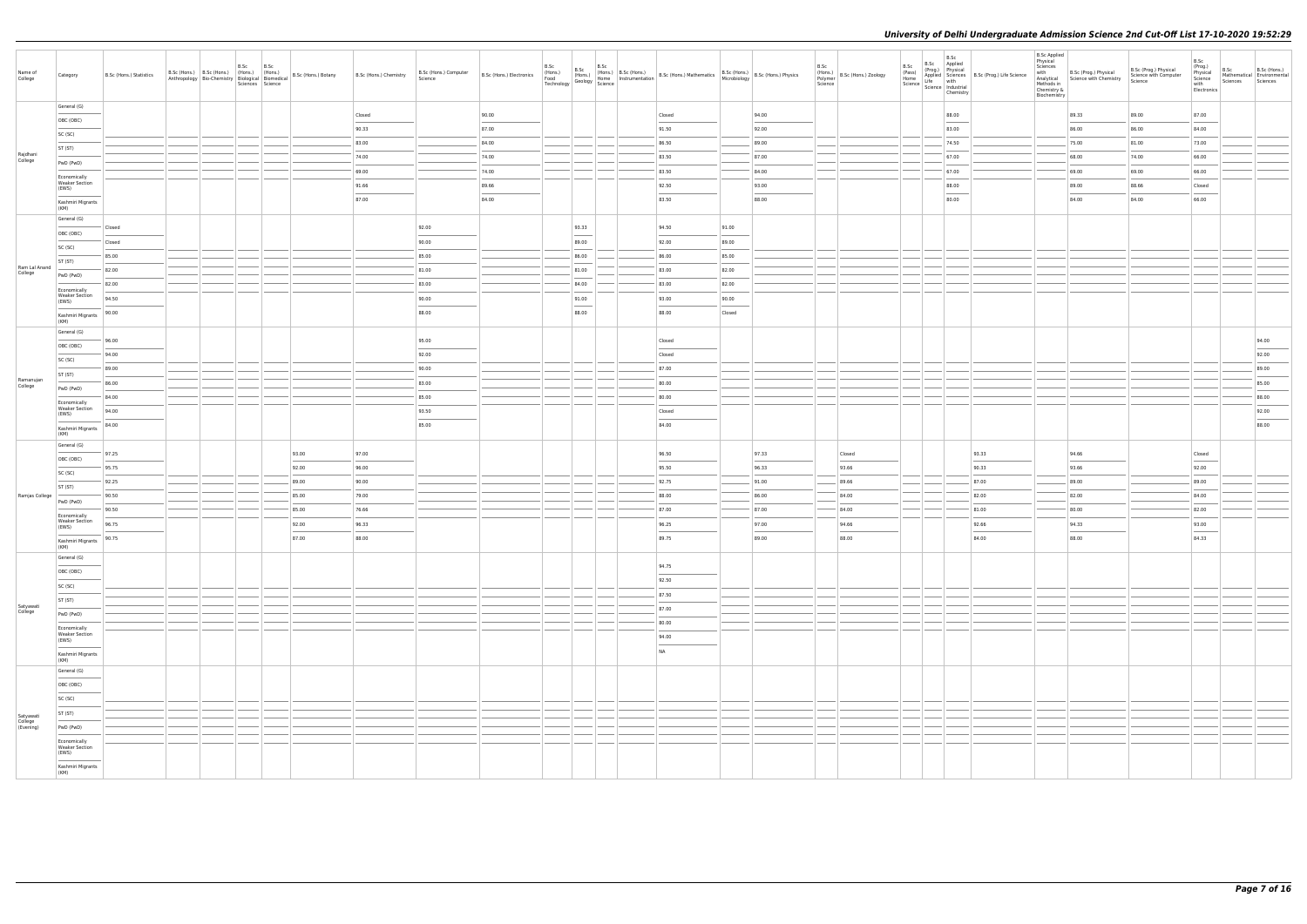| Name of<br>College   | Category                                                                                                                                                                                                                                                                                                                                                                                                                                                                            | B.Sc (Hons.) Statistics |  | B.Sc<br>B.Sc<br>B.Sc (Hons.) B.Sc (Hons.) (Hons.) (Hons.)<br>Sciences Science | Anthropology   Bio-Chemistry   $\begin{bmatrix} 1110115 \\ 110100 \end{bmatrix}$   Biomedical   B.Sc (Hons.) Botany | B.Sc (Hons.) Chemistry | B.Sc (Hons.) Computer<br>Science | B.Sc (Hons.) Electronics (Hons.) (Hons.) B.Sc (Hons.) B.Sc (Hons.) Mathematics B.Sc (Hons.) R.Sc (Hons.) Physics<br>Technology Geology Science Instrumentation B.Sc (Hons.) Mathematics B.Sc (Hons.) R.Sc (Hons.) Physics<br>Techn | B.Sc | B.Sc            | B.Sc |           |        |       | B.Sc | (Hons.)<br>Polymer B.Sc (Hons.) Zoology<br>Science | B.Sc<br>(Pass)<br>(Pass)<br>Applied Sciences<br>Science Life with<br>Science Industrial | B.Sc Applied | B.Sc<br>Chemistry      | (Prog.) Physical<br>Applied Sciences<br>Life with B.Sc (Prog.) Life Science | <b>B.Sc Applied</b><br>Physical<br>Sciences<br>with<br>Methods in<br>Chemistry &<br>Biochemistry | B.Sc (Prog.) Physical<br>Analytical Science with Chemistry | B.Sc (Prog.) Physical<br>Science with Computer<br>Science | B.Sc<br>(Prog.)<br>Physical<br>Science<br>with<br>Electronics | B.Sc<br>Sciences | B.Sc (Hons.)<br>Mathematical Environmental<br>Sciences |
|----------------------|-------------------------------------------------------------------------------------------------------------------------------------------------------------------------------------------------------------------------------------------------------------------------------------------------------------------------------------------------------------------------------------------------------------------------------------------------------------------------------------|-------------------------|--|-------------------------------------------------------------------------------|---------------------------------------------------------------------------------------------------------------------|------------------------|----------------------------------|------------------------------------------------------------------------------------------------------------------------------------------------------------------------------------------------------------------------------------|------|-----------------|------|-----------|--------|-------|------|----------------------------------------------------|-----------------------------------------------------------------------------------------|--------------|------------------------|-----------------------------------------------------------------------------|--------------------------------------------------------------------------------------------------|------------------------------------------------------------|-----------------------------------------------------------|---------------------------------------------------------------|------------------|--------------------------------------------------------|
|                      | General (G)                                                                                                                                                                                                                                                                                                                                                                                                                                                                         |                         |  |                                                                               |                                                                                                                     | Closed                 |                                  | 90.00                                                                                                                                                                                                                              |      |                 |      | Closed    |        | 94.00 |      |                                                    |                                                                                         |              | 88.00                  |                                                                             |                                                                                                  | 89.33                                                      | 89.00                                                     | 87.00                                                         |                  |                                                        |
|                      | OBC (OBC)                                                                                                                                                                                                                                                                                                                                                                                                                                                                           |                         |  |                                                                               |                                                                                                                     | 90.33                  |                                  | 87.00                                                                                                                                                                                                                              |      |                 |      | 91.50     |        | 92.00 |      |                                                    |                                                                                         |              | $\sim$<br>83.00        |                                                                             |                                                                                                  | 86.00                                                      | 86.00                                                     | 84.00                                                         |                  |                                                        |
|                      | SC (SC)                                                                                                                                                                                                                                                                                                                                                                                                                                                                             |                         |  |                                                                               |                                                                                                                     | 83.00                  |                                  | 84.00                                                                                                                                                                                                                              |      |                 |      | 86.50     |        | 89.00 |      |                                                    |                                                                                         |              | 74.50                  |                                                                             |                                                                                                  | 75.00                                                      | 81.00                                                     | 73.00                                                         |                  |                                                        |
| Rajdhani<br>College  | ST (ST)                                                                                                                                                                                                                                                                                                                                                                                                                                                                             |                         |  |                                                                               |                                                                                                                     | 74.00                  |                                  | 74.00                                                                                                                                                                                                                              |      |                 |      | 83.50     |        | 87.00 |      |                                                    |                                                                                         |              | 67.00                  |                                                                             |                                                                                                  | 68.00                                                      | 74.00                                                     | 66.00                                                         |                  |                                                        |
|                      | PwD (PwD)                                                                                                                                                                                                                                                                                                                                                                                                                                                                           |                         |  |                                                                               |                                                                                                                     | 69.00                  |                                  | 74.00                                                                                                                                                                                                                              |      |                 |      | 83.50     |        | 84.00 |      |                                                    |                                                                                         |              | 67.00                  |                                                                             |                                                                                                  | 69.00                                                      | 69.00                                                     | 66.00                                                         |                  |                                                        |
|                      | Economically<br><b>Weaker Section</b>                                                                                                                                                                                                                                                                                                                                                                                                                                               |                         |  |                                                                               |                                                                                                                     | 91.66                  |                                  | 89.66                                                                                                                                                                                                                              |      |                 |      | 92.50     |        | 93.00 |      |                                                    |                                                                                         |              | 88.00                  |                                                                             |                                                                                                  | 89.00                                                      | 88.66                                                     | Closed                                                        |                  |                                                        |
|                      | (EWS)                                                                                                                                                                                                                                                                                                                                                                                                                                                                               |                         |  |                                                                               |                                                                                                                     | 87.00                  |                                  | 84.00                                                                                                                                                                                                                              |      |                 |      | 83.50     |        | 88.00 |      |                                                    |                                                                                         |              | $\frac{1}{2}$<br>80.00 |                                                                             |                                                                                                  | 84.00                                                      | 84.00                                                     | 66.00                                                         |                  |                                                        |
|                      | Kashmiri Migrants<br>(KM)                                                                                                                                                                                                                                                                                                                                                                                                                                                           |                         |  |                                                                               |                                                                                                                     |                        |                                  |                                                                                                                                                                                                                                    |      |                 |      |           |        |       |      |                                                    |                                                                                         |              |                        |                                                                             |                                                                                                  |                                                            |                                                           |                                                               |                  |                                                        |
|                      | General (G)                                                                                                                                                                                                                                                                                                                                                                                                                                                                         | Closed                  |  |                                                                               |                                                                                                                     |                        | 92.00                            |                                                                                                                                                                                                                                    |      | 93.33           |      | 94.50     | 91.00  |       |      |                                                    |                                                                                         |              |                        |                                                                             |                                                                                                  |                                                            |                                                           |                                                               |                  |                                                        |
|                      | OBC (OBC)                                                                                                                                                                                                                                                                                                                                                                                                                                                                           | Closed                  |  |                                                                               |                                                                                                                     |                        | 90.00                            |                                                                                                                                                                                                                                    |      | 89.00           |      | 92.00     | 89.00  |       |      |                                                    |                                                                                         |              |                        |                                                                             |                                                                                                  |                                                            |                                                           |                                                               |                  |                                                        |
|                      | SC (SC)                                                                                                                                                                                                                                                                                                                                                                                                                                                                             | 85.00                   |  |                                                                               |                                                                                                                     |                        | 85.00                            |                                                                                                                                                                                                                                    |      | 86.00           |      | 86.00     | 85.00  |       |      |                                                    |                                                                                         |              |                        |                                                                             |                                                                                                  |                                                            |                                                           |                                                               |                  |                                                        |
| Ram Lal Anand        | ST (ST)                                                                                                                                                                                                                                                                                                                                                                                                                                                                             | 82.00                   |  |                                                                               |                                                                                                                     |                        | 81.00                            |                                                                                                                                                                                                                                    |      | 81.00           |      | 83.00     | 82.00  |       |      |                                                    |                                                                                         |              |                        |                                                                             |                                                                                                  |                                                            |                                                           |                                                               |                  |                                                        |
| College              | PwD (PwD)                                                                                                                                                                                                                                                                                                                                                                                                                                                                           | 82.00                   |  |                                                                               |                                                                                                                     |                        | 83.00                            |                                                                                                                                                                                                                                    |      | 84.00           |      | 83.00     | 82.00  |       |      |                                                    |                                                                                         |              |                        |                                                                             |                                                                                                  |                                                            |                                                           |                                                               |                  |                                                        |
|                      | Economically<br><b>Weaker Section</b><br>(EWS)                                                                                                                                                                                                                                                                                                                                                                                                                                      | 94.50                   |  |                                                                               |                                                                                                                     |                        | 90.00                            |                                                                                                                                                                                                                                    |      | 91.00           |      | 93.00     | 90.00  |       |      |                                                    |                                                                                         |              |                        |                                                                             |                                                                                                  |                                                            |                                                           |                                                               |                  |                                                        |
|                      | Kashmiri Migrants                                                                                                                                                                                                                                                                                                                                                                                                                                                                   | 90.00                   |  |                                                                               |                                                                                                                     |                        | 88.00                            |                                                                                                                                                                                                                                    |      | $\sim$<br>88.00 |      | 88.00     | Closed |       |      |                                                    |                                                                                         |              |                        |                                                                             |                                                                                                  |                                                            |                                                           |                                                               |                  |                                                        |
|                      | (KM)                                                                                                                                                                                                                                                                                                                                                                                                                                                                                |                         |  |                                                                               |                                                                                                                     |                        |                                  |                                                                                                                                                                                                                                    |      |                 |      |           |        |       |      |                                                    |                                                                                         |              |                        |                                                                             |                                                                                                  |                                                            |                                                           |                                                               |                  |                                                        |
|                      | General (G)                                                                                                                                                                                                                                                                                                                                                                                                                                                                         | 96.00                   |  |                                                                               |                                                                                                                     |                        | 95.00                            |                                                                                                                                                                                                                                    |      |                 |      | Closed    |        |       |      |                                                    |                                                                                         |              |                        |                                                                             |                                                                                                  |                                                            |                                                           |                                                               |                  | 94.00                                                  |
|                      | OBC (OBC)                                                                                                                                                                                                                                                                                                                                                                                                                                                                           | 94.00                   |  |                                                                               |                                                                                                                     |                        | 92.00                            |                                                                                                                                                                                                                                    |      |                 |      | Closed    |        |       |      |                                                    |                                                                                         |              |                        |                                                                             |                                                                                                  |                                                            |                                                           |                                                               |                  | 92.00                                                  |
|                      | SC (SC)                                                                                                                                                                                                                                                                                                                                                                                                                                                                             | 89.00                   |  |                                                                               |                                                                                                                     |                        | 90.00                            |                                                                                                                                                                                                                                    |      |                 |      | 87.00     |        |       |      |                                                    |                                                                                         |              |                        |                                                                             |                                                                                                  |                                                            |                                                           |                                                               |                  | 89.00                                                  |
| Ramanujan<br>College | ST (ST)                                                                                                                                                                                                                                                                                                                                                                                                                                                                             | 86.00                   |  |                                                                               |                                                                                                                     |                        | 83.00                            |                                                                                                                                                                                                                                    |      |                 |      | 80.00     |        |       |      |                                                    |                                                                                         |              |                        |                                                                             |                                                                                                  |                                                            |                                                           |                                                               |                  | 85.00                                                  |
|                      | PwD (PwD)<br>Economically                                                                                                                                                                                                                                                                                                                                                                                                                                                           | 84.00                   |  |                                                                               |                                                                                                                     |                        | 85.00                            |                                                                                                                                                                                                                                    |      |                 |      | 80.00     |        |       |      |                                                    |                                                                                         |              |                        |                                                                             |                                                                                                  |                                                            |                                                           |                                                               |                  | 88.00                                                  |
|                      | <b>Weaker Section</b><br>(EWS)                                                                                                                                                                                                                                                                                                                                                                                                                                                      | 94.00                   |  |                                                                               |                                                                                                                     |                        | 93.50                            |                                                                                                                                                                                                                                    |      |                 |      | Closed    |        |       |      |                                                    |                                                                                         |              |                        |                                                                             |                                                                                                  |                                                            |                                                           |                                                               |                  | 92.00                                                  |
|                      | Kashmiri Migrants                                                                                                                                                                                                                                                                                                                                                                                                                                                                   | 84.00                   |  |                                                                               |                                                                                                                     |                        | 85.00                            |                                                                                                                                                                                                                                    |      |                 |      | 84.00     |        |       |      |                                                    |                                                                                         |              |                        |                                                                             |                                                                                                  |                                                            |                                                           |                                                               |                  | 88.00                                                  |
|                      | (KM)<br>General (G)                                                                                                                                                                                                                                                                                                                                                                                                                                                                 |                         |  |                                                                               |                                                                                                                     |                        |                                  |                                                                                                                                                                                                                                    |      |                 |      |           |        |       |      |                                                    |                                                                                         |              |                        |                                                                             |                                                                                                  |                                                            |                                                           |                                                               |                  |                                                        |
|                      | OBC (OBC)                                                                                                                                                                                                                                                                                                                                                                                                                                                                           | 97.25                   |  |                                                                               | 93.00                                                                                                               | 97.00                  |                                  |                                                                                                                                                                                                                                    |      |                 |      | 96.50     |        | 97.33 |      | Closed                                             |                                                                                         |              |                        | 93.33                                                                       |                                                                                                  | 94.66                                                      |                                                           | Closed                                                        |                  |                                                        |
|                      | SC (SC)                                                                                                                                                                                                                                                                                                                                                                                                                                                                             | 95.75                   |  |                                                                               | 92.00                                                                                                               | 96.00                  |                                  |                                                                                                                                                                                                                                    |      |                 |      | 95.50     |        | 96.33 |      | 93.66                                              |                                                                                         |              |                        | 90.33                                                                       |                                                                                                  | 93.66                                                      |                                                           | 92.00                                                         |                  |                                                        |
|                      | ST (ST)                                                                                                                                                                                                                                                                                                                                                                                                                                                                             | 92.25                   |  |                                                                               | 89.00                                                                                                               | 90.00                  |                                  |                                                                                                                                                                                                                                    |      |                 |      | 92.75     |        | 91.00 |      | 89.66                                              |                                                                                         |              |                        | 87.00                                                                       |                                                                                                  | 89.00                                                      |                                                           | 89.00                                                         |                  |                                                        |
| Ramjas College       | PwD (PwD)                                                                                                                                                                                                                                                                                                                                                                                                                                                                           | 90.50                   |  |                                                                               | 85.00                                                                                                               | 79.00                  |                                  |                                                                                                                                                                                                                                    |      |                 |      | 88.00     |        | 86.00 |      | 84.00                                              |                                                                                         |              |                        | 82.00                                                                       |                                                                                                  | 82.00                                                      |                                                           | 84.00                                                         |                  |                                                        |
|                      | Economically                                                                                                                                                                                                                                                                                                                                                                                                                                                                        | 90.50                   |  |                                                                               | 85.00                                                                                                               | 76.66                  |                                  |                                                                                                                                                                                                                                    |      |                 |      | 87.00     |        | 87.00 |      | 84.00                                              |                                                                                         |              |                        | 81.00                                                                       |                                                                                                  | 80.00                                                      |                                                           | 82.00                                                         |                  |                                                        |
|                      | <b>Weaker Section</b><br>(EWS)                                                                                                                                                                                                                                                                                                                                                                                                                                                      | 96.75                   |  |                                                                               | 92.00                                                                                                               | 96.33                  |                                  |                                                                                                                                                                                                                                    |      |                 |      | 96.25     |        | 97.00 |      | 94.66                                              |                                                                                         |              |                        | 92.66                                                                       |                                                                                                  | 94.33                                                      |                                                           | 93.00<br>$\frac{1}{2}$                                        |                  |                                                        |
|                      | Kashmiri Migrants<br>(KM)                                                                                                                                                                                                                                                                                                                                                                                                                                                           | 90.75                   |  |                                                                               | 87.00                                                                                                               | 88.00                  |                                  |                                                                                                                                                                                                                                    |      |                 |      | 89.75     |        | 89.00 |      | 88.00                                              |                                                                                         |              |                        | 84.00                                                                       |                                                                                                  | 88.00                                                      |                                                           | 84.33                                                         |                  |                                                        |
|                      | General (G)                                                                                                                                                                                                                                                                                                                                                                                                                                                                         |                         |  |                                                                               |                                                                                                                     |                        |                                  |                                                                                                                                                                                                                                    |      |                 |      |           |        |       |      |                                                    |                                                                                         |              |                        |                                                                             |                                                                                                  |                                                            |                                                           |                                                               |                  |                                                        |
|                      | OBC (OBC)                                                                                                                                                                                                                                                                                                                                                                                                                                                                           |                         |  |                                                                               |                                                                                                                     |                        |                                  |                                                                                                                                                                                                                                    |      |                 |      | 94.75     |        |       |      |                                                    |                                                                                         |              |                        |                                                                             |                                                                                                  |                                                            |                                                           |                                                               |                  |                                                        |
|                      | SC (SC)                                                                                                                                                                                                                                                                                                                                                                                                                                                                             |                         |  |                                                                               |                                                                                                                     |                        |                                  |                                                                                                                                                                                                                                    |      |                 |      | 92.50     |        |       |      |                                                    |                                                                                         |              |                        |                                                                             |                                                                                                  |                                                            |                                                           |                                                               |                  |                                                        |
| Satyawati            | ST (ST)                                                                                                                                                                                                                                                                                                                                                                                                                                                                             |                         |  |                                                                               |                                                                                                                     |                        |                                  |                                                                                                                                                                                                                                    |      |                 |      | 87.50     |        |       |      |                                                    |                                                                                         |              |                        |                                                                             |                                                                                                  |                                                            |                                                           |                                                               |                  |                                                        |
| College              | PwD (PwD)                                                                                                                                                                                                                                                                                                                                                                                                                                                                           |                         |  |                                                                               |                                                                                                                     |                        |                                  |                                                                                                                                                                                                                                    |      |                 |      | 87.00     |        |       |      |                                                    |                                                                                         |              |                        |                                                                             |                                                                                                  |                                                            |                                                           |                                                               |                  |                                                        |
|                      | Economically<br><b>Weaker Section</b>                                                                                                                                                                                                                                                                                                                                                                                                                                               |                         |  |                                                                               |                                                                                                                     |                        |                                  |                                                                                                                                                                                                                                    |      |                 |      | 80.00     |        |       |      |                                                    |                                                                                         |              |                        |                                                                             |                                                                                                  |                                                            |                                                           |                                                               |                  |                                                        |
|                      | (EWS)                                                                                                                                                                                                                                                                                                                                                                                                                                                                               |                         |  |                                                                               |                                                                                                                     |                        |                                  |                                                                                                                                                                                                                                    |      |                 |      | 94.00     |        |       |      |                                                    |                                                                                         |              |                        |                                                                             |                                                                                                  |                                                            |                                                           |                                                               |                  |                                                        |
|                      | Kashmiri Migrants<br>(KM)                                                                                                                                                                                                                                                                                                                                                                                                                                                           |                         |  |                                                                               |                                                                                                                     |                        |                                  |                                                                                                                                                                                                                                    |      |                 |      | <b>NA</b> |        |       |      |                                                    |                                                                                         |              |                        |                                                                             |                                                                                                  |                                                            |                                                           |                                                               |                  |                                                        |
|                      | General (G)                                                                                                                                                                                                                                                                                                                                                                                                                                                                         |                         |  |                                                                               |                                                                                                                     |                        |                                  |                                                                                                                                                                                                                                    |      |                 |      |           |        |       |      |                                                    |                                                                                         |              |                        |                                                                             |                                                                                                  |                                                            |                                                           |                                                               |                  |                                                        |
|                      | OBC (OBC)                                                                                                                                                                                                                                                                                                                                                                                                                                                                           |                         |  |                                                                               |                                                                                                                     |                        |                                  |                                                                                                                                                                                                                                    |      |                 |      |           |        |       |      |                                                    |                                                                                         |              |                        |                                                                             |                                                                                                  |                                                            |                                                           |                                                               |                  |                                                        |
|                      | SC (SC)                                                                                                                                                                                                                                                                                                                                                                                                                                                                             |                         |  |                                                                               |                                                                                                                     |                        |                                  |                                                                                                                                                                                                                                    |      |                 |      |           |        |       |      |                                                    |                                                                                         |              |                        |                                                                             |                                                                                                  |                                                            |                                                           |                                                               |                  |                                                        |
| Satyawati            | ST (ST)                                                                                                                                                                                                                                                                                                                                                                                                                                                                             |                         |  |                                                                               |                                                                                                                     |                        |                                  |                                                                                                                                                                                                                                    |      |                 |      |           |        |       |      |                                                    |                                                                                         |              |                        |                                                                             |                                                                                                  |                                                            |                                                           |                                                               |                  |                                                        |
| College<br>(Evening) | PwD (PwD)                                                                                                                                                                                                                                                                                                                                                                                                                                                                           |                         |  |                                                                               |                                                                                                                     |                        |                                  |                                                                                                                                                                                                                                    |      |                 |      |           |        |       |      |                                                    |                                                                                         |              |                        |                                                                             |                                                                                                  |                                                            |                                                           |                                                               |                  |                                                        |
|                      | Economically<br><b>Weaker Section</b>                                                                                                                                                                                                                                                                                                                                                                                                                                               |                         |  |                                                                               |                                                                                                                     |                        |                                  |                                                                                                                                                                                                                                    |      |                 |      |           |        |       |      |                                                    |                                                                                         |              |                        |                                                                             |                                                                                                  |                                                            |                                                           |                                                               |                  |                                                        |
|                      | (EWS)<br>$\frac{1}{2} \left( \frac{1}{2} \right) \left( \frac{1}{2} \right) \left( \frac{1}{2} \right) \left( \frac{1}{2} \right) \left( \frac{1}{2} \right) \left( \frac{1}{2} \right) \left( \frac{1}{2} \right) \left( \frac{1}{2} \right) \left( \frac{1}{2} \right) \left( \frac{1}{2} \right) \left( \frac{1}{2} \right) \left( \frac{1}{2} \right) \left( \frac{1}{2} \right) \left( \frac{1}{2} \right) \left( \frac{1}{2} \right) \left( \frac{1}{2} \right) \left( \frac$ |                         |  |                                                                               |                                                                                                                     |                        |                                  |                                                                                                                                                                                                                                    |      |                 |      |           |        |       |      |                                                    |                                                                                         |              |                        |                                                                             |                                                                                                  |                                                            |                                                           |                                                               |                  |                                                        |
|                      | Kashmiri Migrants<br>(KM)                                                                                                                                                                                                                                                                                                                                                                                                                                                           |                         |  |                                                                               |                                                                                                                     |                        |                                  |                                                                                                                                                                                                                                    |      |                 |      |           |        |       |      |                                                    |                                                                                         |              |                        |                                                                             |                                                                                                  |                                                            |                                                           |                                                               |                  |                                                        |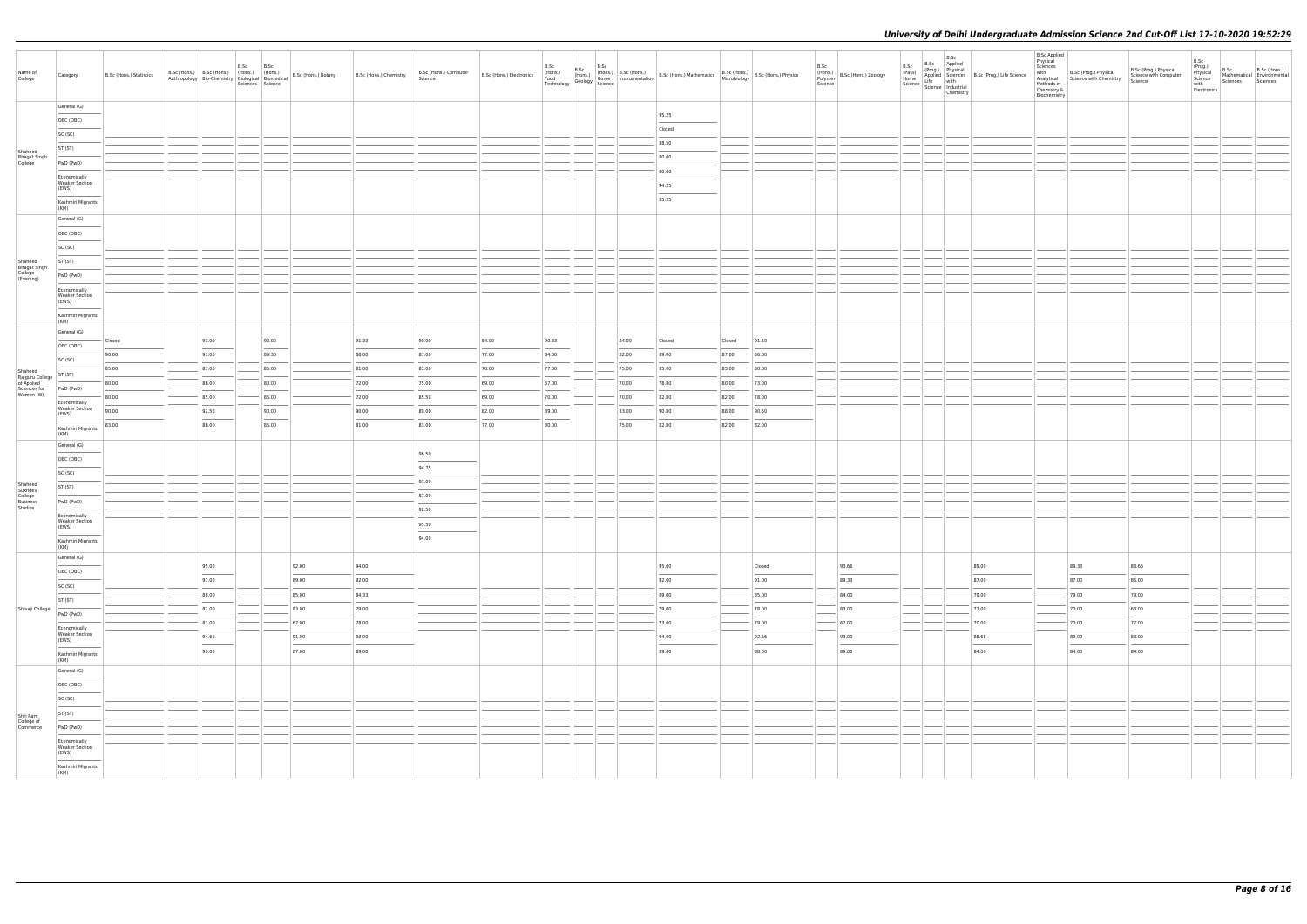| Name of<br>College                              | Category                                       | B.Sc (Hons.) Statistics | B.Sc (Hons.) B.Sc (Hons.) (Hons.) (Hons.)<br>Anthropology Bio-Chemistry Biological Biomedical |       | B.Sc | B.Sc<br>Sciences Science | B.Sc (Hons.) Botany | B.Sc (Hons.) Chemistry | B.Sc (Hons.) Computer<br>Science | B.Sc (Hons.) Electronics | B.Sc<br>B.Sc<br>(Hons.)<br>Food<br>Technology | B.Sc |       | B.Sc (Hons.) B.Sc (Hons.)<br>(Hons.) Home Instrumentation B.Sc (Hons.) Mathematics B.Sc (Hons.) Rhysics<br>y Geology Science (Secology Science 1999) |        |        | B.Sc<br>Science | (Hons.)<br>Polymer B.Sc (Hons.) Zoology | B.Sc<br>(Pass)<br>Home<br>Science   Lite<br>Science   Industrial | B.Sc Applied<br>(Prog.) Physical | B.Sc<br>Chemistry | Applied Sciences B.Sc (Prog.) Life Science<br>Life with | <b>B.Sc Applied</b><br>Physical<br>Sciences<br>with<br>Methods in<br>Chemistry &<br>Biochemistry | B.Sc (Prog.) Physical<br>Analytical Science with Chemistry | B.Sc (Prog.) Physical<br>Science with Computer<br>Science | B.Sc<br>(Prog.)<br>Physical<br>Science<br>with<br>Electronics | B.Sc<br>Sciences | B.Sc (Hons.)<br>Mathematical Environmental<br>Sciences |
|-------------------------------------------------|------------------------------------------------|-------------------------|-----------------------------------------------------------------------------------------------|-------|------|--------------------------|---------------------|------------------------|----------------------------------|--------------------------|-----------------------------------------------|------|-------|------------------------------------------------------------------------------------------------------------------------------------------------------|--------|--------|-----------------|-----------------------------------------|------------------------------------------------------------------|----------------------------------|-------------------|---------------------------------------------------------|--------------------------------------------------------------------------------------------------|------------------------------------------------------------|-----------------------------------------------------------|---------------------------------------------------------------|------------------|--------------------------------------------------------|
|                                                 | General (G)                                    |                         |                                                                                               |       |      |                          |                     |                        |                                  |                          |                                               |      |       | 95.25                                                                                                                                                |        |        |                 |                                         |                                                                  |                                  |                   |                                                         |                                                                                                  |                                                            |                                                           |                                                               |                  |                                                        |
|                                                 | OBC (OBC)                                      |                         |                                                                                               |       |      |                          |                     |                        |                                  |                          |                                               |      |       | Closed                                                                                                                                               |        |        |                 |                                         |                                                                  |                                  |                   |                                                         |                                                                                                  |                                                            |                                                           |                                                               |                  |                                                        |
|                                                 | SC (SC)                                        |                         |                                                                                               |       |      |                          |                     |                        |                                  |                          |                                               |      |       | 88.50                                                                                                                                                |        |        |                 |                                         |                                                                  |                                  |                   |                                                         |                                                                                                  |                                                            |                                                           |                                                               |                  |                                                        |
| Shaheed                                         | ST (ST)                                        |                         |                                                                                               |       |      |                          |                     |                        |                                  |                          |                                               |      |       | 80.00                                                                                                                                                |        |        |                 |                                         |                                                                  |                                  |                   |                                                         |                                                                                                  |                                                            |                                                           |                                                               |                  |                                                        |
| Bhagat Singh<br>College                         | PwD (PwD)                                      |                         |                                                                                               |       |      |                          |                     |                        |                                  |                          |                                               |      |       | 80.00                                                                                                                                                |        |        |                 |                                         |                                                                  |                                  |                   |                                                         |                                                                                                  |                                                            |                                                           |                                                               |                  |                                                        |
|                                                 | Economically<br><b>Weaker Section</b><br>(EWS) |                         |                                                                                               |       |      |                          |                     |                        |                                  |                          |                                               |      |       | 94.25                                                                                                                                                |        |        |                 |                                         |                                                                  |                                  |                   |                                                         |                                                                                                  |                                                            |                                                           |                                                               |                  |                                                        |
|                                                 | Kashmiri Migrants                              |                         |                                                                                               |       |      |                          |                     |                        |                                  |                          |                                               |      |       | 85.25                                                                                                                                                |        |        |                 |                                         |                                                                  |                                  |                   |                                                         |                                                                                                  |                                                            |                                                           |                                                               |                  |                                                        |
|                                                 | (KM)                                           |                         |                                                                                               |       |      |                          |                     |                        |                                  |                          |                                               |      |       |                                                                                                                                                      |        |        |                 |                                         |                                                                  |                                  |                   |                                                         |                                                                                                  |                                                            |                                                           |                                                               |                  |                                                        |
|                                                 | General (G)                                    |                         |                                                                                               |       |      |                          |                     |                        |                                  |                          |                                               |      |       |                                                                                                                                                      |        |        |                 |                                         |                                                                  |                                  |                   |                                                         |                                                                                                  |                                                            |                                                           |                                                               |                  |                                                        |
|                                                 | OBC (OBC)                                      |                         |                                                                                               |       |      |                          |                     |                        |                                  |                          |                                               |      |       |                                                                                                                                                      |        |        |                 |                                         |                                                                  |                                  |                   |                                                         |                                                                                                  |                                                            |                                                           |                                                               |                  |                                                        |
|                                                 | SC (SC)                                        |                         |                                                                                               |       |      |                          |                     |                        |                                  |                          |                                               |      |       |                                                                                                                                                      |        |        |                 |                                         |                                                                  |                                  |                   |                                                         |                                                                                                  |                                                            |                                                           |                                                               |                  |                                                        |
| Shaheed<br>Bhagat Singh<br>College<br>(Evening) | ST (ST)                                        |                         |                                                                                               |       |      |                          |                     |                        |                                  |                          |                                               |      |       |                                                                                                                                                      |        |        |                 |                                         |                                                                  |                                  |                   |                                                         |                                                                                                  |                                                            |                                                           |                                                               |                  |                                                        |
|                                                 | PwD (PwD)<br>Economically                      |                         |                                                                                               |       |      |                          |                     |                        |                                  |                          |                                               |      |       |                                                                                                                                                      |        |        |                 |                                         |                                                                  |                                  |                   |                                                         |                                                                                                  |                                                            |                                                           |                                                               |                  |                                                        |
|                                                 | <b>Weaker Section</b><br>(EWS)                 |                         |                                                                                               |       |      |                          |                     |                        |                                  |                          |                                               |      |       |                                                                                                                                                      |        |        |                 |                                         |                                                                  |                                  |                   |                                                         |                                                                                                  |                                                            |                                                           |                                                               |                  |                                                        |
|                                                 | Kashmiri Migrants<br>(KM)                      |                         |                                                                                               |       |      |                          |                     |                        |                                  |                          |                                               |      |       |                                                                                                                                                      |        |        |                 |                                         |                                                                  |                                  |                   |                                                         |                                                                                                  |                                                            |                                                           |                                                               |                  |                                                        |
|                                                 | General (G)                                    |                         |                                                                                               |       |      |                          |                     |                        |                                  |                          |                                               |      |       |                                                                                                                                                      |        |        |                 |                                         |                                                                  |                                  |                   |                                                         |                                                                                                  |                                                            |                                                           |                                                               |                  |                                                        |
|                                                 | OBC (OBC)                                      | Closed                  |                                                                                               | 93.00 |      | 92.00                    |                     | 91.33                  | 90.00                            | 84.00                    | 90.33                                         |      | 84.00 | Closed                                                                                                                                               | Closed | 91.50  |                 |                                         |                                                                  |                                  |                   |                                                         |                                                                                                  |                                                            |                                                           |                                                               |                  |                                                        |
|                                                 | SC (SC)                                        | 90.00                   |                                                                                               | 91.00 |      | 89.30                    |                     | 88.00                  | 87.00                            | 77.00                    | 84.00                                         |      | 82.00 | 89.00                                                                                                                                                | 87.00  | 86.00  |                 |                                         |                                                                  |                                  |                   |                                                         |                                                                                                  |                                                            |                                                           |                                                               |                  |                                                        |
| Shaheed<br>Rajguru College                      | ST (ST)                                        | 85.00                   |                                                                                               | 87.00 |      | 85.00                    |                     | 81.00                  | 81.00                            | 70.00                    | 77.00                                         |      | 75.00 | 85.00                                                                                                                                                | 85.00  | 80.00  |                 |                                         |                                                                  |                                  |                   |                                                         |                                                                                                  |                                                            |                                                           |                                                               |                  |                                                        |
| of Applied<br>Sciences for<br>Women (W)         | PwD (PwD)                                      | 80.00                   |                                                                                               | 86.00 |      | 80.00                    |                     | 72.00                  | 75.00                            | 69.00                    | 67.00                                         |      | 70.00 | 78.00                                                                                                                                                | 80.00  | 73.00  |                 |                                         |                                                                  |                                  |                   |                                                         |                                                                                                  |                                                            |                                                           |                                                               |                  |                                                        |
|                                                 | Economically<br><b>Weaker Section</b>          | 80.00                   |                                                                                               | 85.00 |      | 85.00                    |                     | 72.00                  | 85.50                            | 69.00                    | 70.00                                         |      | 70.00 | 82.00                                                                                                                                                | 82.00  | 78.00  |                 |                                         |                                                                  |                                  |                   |                                                         |                                                                                                  |                                                            |                                                           |                                                               |                  |                                                        |
|                                                 | (EWS)                                          | 90.00                   |                                                                                               | 92.50 |      | 90.00                    |                     | 90.00                  | 89.00                            | 82.00                    | 89.00                                         |      | 83.00 | 90.00                                                                                                                                                | 88.00  | 90.50  |                 |                                         |                                                                  |                                  |                   |                                                         |                                                                                                  |                                                            |                                                           |                                                               |                  |                                                        |
|                                                 | Kashmiri Migrants<br>(KM)                      | 83.00                   |                                                                                               | 86.00 |      | 85.00                    |                     | 81.00                  | 83.00                            | 77.00                    | 80.00                                         |      | 75.00 | 82.00                                                                                                                                                | 82.00  | 82.00  |                 |                                         |                                                                  |                                  |                   |                                                         |                                                                                                  |                                                            |                                                           |                                                               |                  |                                                        |
|                                                 | General (G)                                    |                         |                                                                                               |       |      |                          |                     |                        | 96.50                            |                          |                                               |      |       |                                                                                                                                                      |        |        |                 |                                         |                                                                  |                                  |                   |                                                         |                                                                                                  |                                                            |                                                           |                                                               |                  |                                                        |
|                                                 | OBC (OBC)                                      |                         |                                                                                               |       |      |                          |                     |                        | 94.75                            |                          |                                               |      |       |                                                                                                                                                      |        |        |                 |                                         |                                                                  |                                  |                   |                                                         |                                                                                                  |                                                            |                                                           |                                                               |                  |                                                        |
|                                                 | SC (SC)                                        |                         |                                                                                               |       |      |                          |                     |                        | 93.00                            |                          |                                               |      |       |                                                                                                                                                      |        |        |                 |                                         |                                                                  |                                  |                   |                                                         |                                                                                                  |                                                            |                                                           |                                                               |                  |                                                        |
| Shaheed<br>Sukhdev<br>College<br>Business       | ST (ST)                                        |                         |                                                                                               |       |      |                          |                     |                        | 87.00                            |                          |                                               |      |       |                                                                                                                                                      |        |        |                 |                                         |                                                                  |                                  |                   |                                                         |                                                                                                  |                                                            |                                                           |                                                               |                  |                                                        |
| Studies                                         | PwD (PwD)                                      |                         |                                                                                               |       |      |                          |                     |                        | 92.50                            |                          |                                               |      |       |                                                                                                                                                      |        |        |                 |                                         |                                                                  |                                  |                   |                                                         |                                                                                                  |                                                            |                                                           |                                                               |                  |                                                        |
|                                                 | Economically<br><b>Weaker Section</b>          |                         |                                                                                               |       |      |                          |                     |                        | 95.50                            |                          |                                               |      |       |                                                                                                                                                      |        |        |                 |                                         |                                                                  |                                  |                   |                                                         |                                                                                                  |                                                            |                                                           |                                                               |                  |                                                        |
|                                                 | (EWS)<br>$\sim$<br>Kashmiri Migrants           |                         |                                                                                               |       |      |                          |                     |                        | 94.00                            |                          |                                               |      |       |                                                                                                                                                      |        |        |                 |                                         |                                                                  |                                  |                   |                                                         |                                                                                                  |                                                            |                                                           |                                                               |                  |                                                        |
|                                                 | (KM)<br>General (G)                            |                         |                                                                                               |       |      |                          |                     |                        |                                  |                          |                                               |      |       |                                                                                                                                                      |        |        |                 |                                         |                                                                  |                                  |                   |                                                         |                                                                                                  |                                                            |                                                           |                                                               |                  |                                                        |
|                                                 | OBC (OBC)                                      |                         |                                                                                               | 95.00 |      |                          | 92.00               | 94.00                  |                                  |                          |                                               |      |       | 95.00                                                                                                                                                |        | Closed |                 | 93.66                                   |                                                                  |                                  |                   | 89.00                                                   |                                                                                                  | 89.33                                                      | 88.66                                                     |                                                               |                  |                                                        |
|                                                 | SC (SC)                                        |                         |                                                                                               | 91.00 |      |                          | 89.00               | 92.00                  |                                  |                          |                                               |      |       | 92.00                                                                                                                                                |        | 91.00  |                 | 89.33                                   |                                                                  |                                  |                   | 87.00                                                   |                                                                                                  | 87.00                                                      | 86.00                                                     |                                                               |                  |                                                        |
|                                                 | ST (ST)                                        |                         |                                                                                               | 88.00 |      |                          | 85.00               | 84.33                  |                                  |                          |                                               |      |       | 89.00                                                                                                                                                |        | 85.00  |                 | 84.00                                   |                                                                  |                                  |                   | 79.00                                                   |                                                                                                  | 79.00                                                      | 79.00                                                     |                                                               |                  |                                                        |
| Shivaji College                                 | PwD (PwD)                                      |                         |                                                                                               | 82.00 |      |                          | 83.00               | 79.00                  |                                  |                          |                                               |      |       | 79.00                                                                                                                                                |        | 78.00  |                 | 83.00                                   |                                                                  |                                  |                   | 77.00                                                   |                                                                                                  | 70.00                                                      | 68.00                                                     |                                                               |                  |                                                        |
|                                                 | Economically<br>Weaker Section                 |                         |                                                                                               | 81.00 |      |                          | 67.00               | 78.00                  |                                  |                          |                                               |      |       | 73.00                                                                                                                                                |        | 79.00  |                 | 67.00                                   |                                                                  |                                  |                   | 70.00                                                   |                                                                                                  | 70.00                                                      | 72.00                                                     |                                                               |                  |                                                        |
|                                                 | (EWS)                                          |                         |                                                                                               | 94.66 |      |                          | 91.00               | 93.00                  |                                  |                          |                                               |      |       | 94.00                                                                                                                                                |        | 92.66  |                 | 93.00                                   |                                                                  |                                  |                   | 88.66                                                   |                                                                                                  | 89.00                                                      | 88.00                                                     |                                                               |                  |                                                        |
|                                                 | Kashmiri Migrants<br>(KM)                      |                         |                                                                                               | 90.00 |      |                          | 87.00               | 89.00                  |                                  |                          |                                               |      |       | 89.00                                                                                                                                                |        | 88.00  |                 | 89.00                                   |                                                                  |                                  |                   | 84.00                                                   |                                                                                                  | 84.00                                                      | 84.00                                                     |                                                               |                  |                                                        |
|                                                 | General (G)                                    |                         |                                                                                               |       |      |                          |                     |                        |                                  |                          |                                               |      |       |                                                                                                                                                      |        |        |                 |                                         |                                                                  |                                  |                   |                                                         |                                                                                                  |                                                            |                                                           |                                                               |                  |                                                        |
|                                                 | OBC (OBC)                                      |                         |                                                                                               |       |      |                          |                     |                        |                                  |                          |                                               |      |       |                                                                                                                                                      |        |        |                 |                                         |                                                                  |                                  |                   |                                                         |                                                                                                  |                                                            |                                                           |                                                               |                  |                                                        |
|                                                 | SC (SC)                                        |                         |                                                                                               |       |      |                          |                     |                        |                                  |                          |                                               |      |       |                                                                                                                                                      |        |        |                 |                                         |                                                                  |                                  |                   |                                                         |                                                                                                  |                                                            |                                                           |                                                               |                  |                                                        |
| Shri Ram                                        | ST (ST)                                        |                         |                                                                                               |       |      |                          |                     |                        |                                  |                          |                                               |      |       |                                                                                                                                                      |        |        |                 |                                         |                                                                  |                                  |                   |                                                         |                                                                                                  |                                                            |                                                           |                                                               |                  |                                                        |
| College of<br>Commerce                          | PwD (PwD)                                      |                         |                                                                                               |       |      |                          |                     |                        |                                  |                          |                                               |      |       |                                                                                                                                                      |        |        |                 |                                         |                                                                  |                                  |                   |                                                         |                                                                                                  |                                                            |                                                           |                                                               |                  |                                                        |
|                                                 | Economically<br><b>Weaker Section</b><br>(EWS) |                         |                                                                                               |       |      |                          |                     |                        |                                  |                          |                                               |      |       |                                                                                                                                                      |        |        |                 |                                         |                                                                  |                                  |                   |                                                         |                                                                                                  |                                                            |                                                           |                                                               |                  |                                                        |
|                                                 | Kashmiri Migrants<br>(KM)                      |                         |                                                                                               |       |      |                          |                     |                        |                                  |                          |                                               |      |       |                                                                                                                                                      |        |        |                 |                                         |                                                                  |                                  |                   |                                                         |                                                                                                  |                                                            |                                                           |                                                               |                  |                                                        |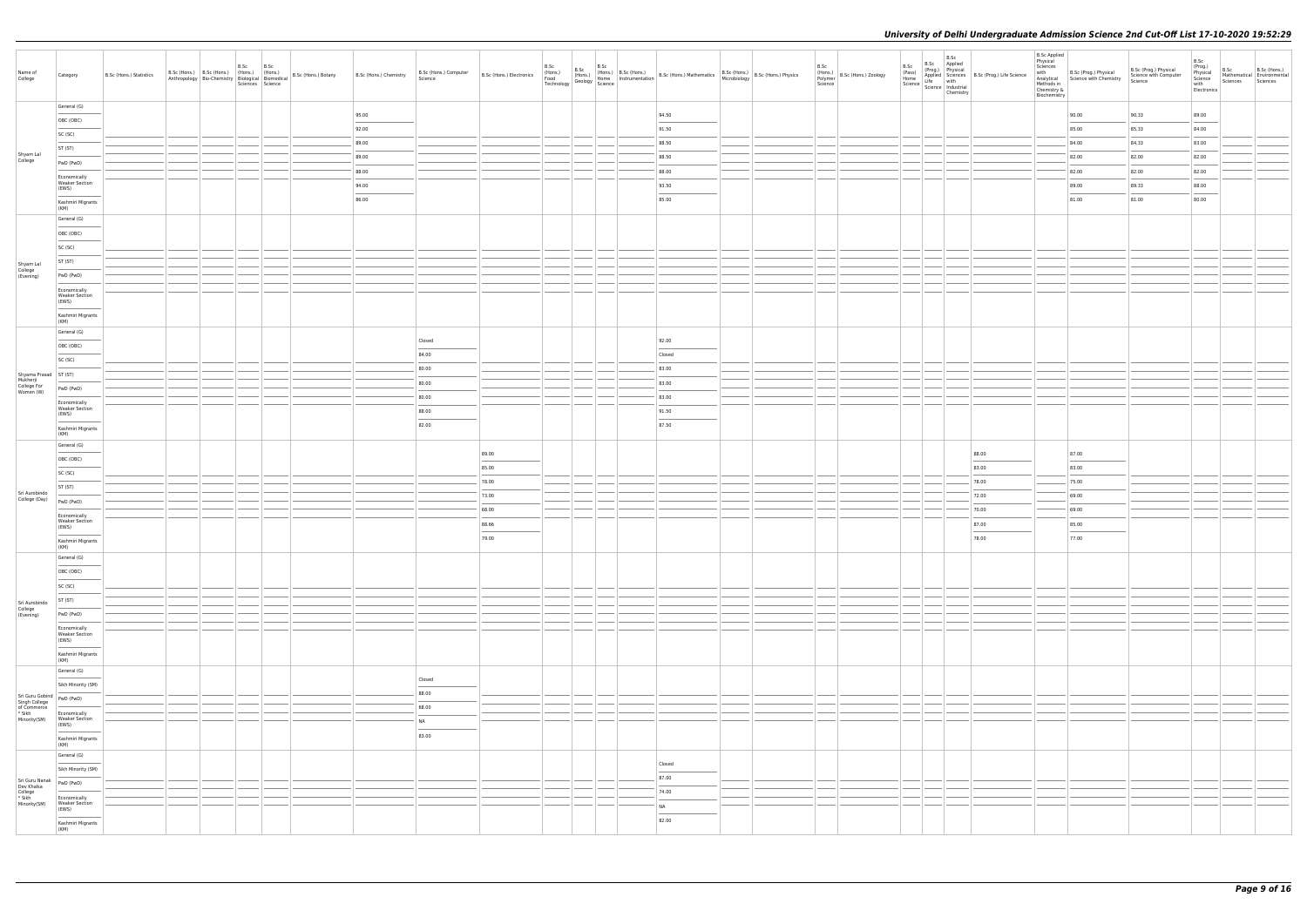| Name of<br>College                                        | Category                                                                                                                                                                                                                                                                                                                                                                                                                                                                                                | B.Sc (Hons.) Statistics |  | B.Sc B.Sc<br>B.Sc (Hons.) B.Sc (Hons.) (Hons.) (Hons.) | Anthropology Bio-Chemistry Biological Biomedical B.Sc (Hons.) Botany<br>Sciences Science<br>Science Science | B.Sc (Hons.) Chemistry | B.Sc (Hons.) Computer<br>Science | B.Sc (Hons.) Electronics (Hons.) B.Sc (Hons.) B.Sc (Hons.) B.Sc (Hons.) Assets (Hons.) B.Sc (Hons.) B.Sc (Hons.) B.Sc (Hons.) B.Sc (Hons.) B.Sc (Hons.) Physics (Hons.) Physics (Hons.) Physics (Hons.) Physics (Hons.) Physic |  |  |                                                                                                                                                                                                                                                                                                                                                                                                                                                                                     |  | B.Sc | (Hons.)<br>Polymer<br>Science |  | $\begin{tabular}{l c c c} & $\mathsf{B}.\mathsf{Sc}$ & $\mathsf{B}.\mathsf{Sc}$ \\ & $\mathsf{R}.\mathsf{Dec}$ & \mathsf{Prop}_3$ & \mathsf{Applied} \\ & $\mathsf{F} \mathsf{Prop}_3$ & \mathsf{Propirical} \\ \mathsf{Home} & $\mathsf{Apple} \text{ Sciences} $ & $\mathsf{B}.\mathsf{Sc} \left(\mathsf{Prog}\right)$. & \mathsf{Life} Science \\ \mathsf{Science} & $\mathsf{I} \mathsf{c} \mathsf{t} \mathsf{enc} \mathsf{e}$ & \mathsf{Industrial} \\ \hline \end{tabular}$   | <b>B.Sc Applied</b><br>Physical<br>Sciences<br>with<br>Chemistry &<br>Biochemistry | B.Sc (Prog.) Physical<br>Analytical Science with Chemistry<br>Methods in | B.Sc (Prog.) Physical<br>Science with Computer<br>Science | B.Sc<br>(Prog.)<br>Physical<br>Science<br>with<br>Electronics | B.Sc<br>Sciences | B.Sc (Hons.)<br>Mathematical Environmental<br>Sciences Sciences |
|-----------------------------------------------------------|---------------------------------------------------------------------------------------------------------------------------------------------------------------------------------------------------------------------------------------------------------------------------------------------------------------------------------------------------------------------------------------------------------------------------------------------------------------------------------------------------------|-------------------------|--|--------------------------------------------------------|-------------------------------------------------------------------------------------------------------------|------------------------|----------------------------------|--------------------------------------------------------------------------------------------------------------------------------------------------------------------------------------------------------------------------------|--|--|-------------------------------------------------------------------------------------------------------------------------------------------------------------------------------------------------------------------------------------------------------------------------------------------------------------------------------------------------------------------------------------------------------------------------------------------------------------------------------------|--|------|-------------------------------|--|-------------------------------------------------------------------------------------------------------------------------------------------------------------------------------------------------------------------------------------------------------------------------------------------------------------------------------------------------------------------------------------------------------------------------------------------------------------------------------------|------------------------------------------------------------------------------------|--------------------------------------------------------------------------|-----------------------------------------------------------|---------------------------------------------------------------|------------------|-----------------------------------------------------------------|
|                                                           | General (G)                                                                                                                                                                                                                                                                                                                                                                                                                                                                                             |                         |  |                                                        |                                                                                                             | 95.00                  |                                  |                                                                                                                                                                                                                                |  |  | 94.50                                                                                                                                                                                                                                                                                                                                                                                                                                                                               |  |      |                               |  |                                                                                                                                                                                                                                                                                                                                                                                                                                                                                     |                                                                                    | 90.00                                                                    | 90.33                                                     | 89.00                                                         |                  |                                                                 |
|                                                           | OBC (OBC)                                                                                                                                                                                                                                                                                                                                                                                                                                                                                               |                         |  |                                                        |                                                                                                             | 92.00                  |                                  |                                                                                                                                                                                                                                |  |  | 91.50                                                                                                                                                                                                                                                                                                                                                                                                                                                                               |  |      |                               |  |                                                                                                                                                                                                                                                                                                                                                                                                                                                                                     |                                                                                    | 85.00                                                                    | 85.33                                                     | 84.00                                                         |                  |                                                                 |
|                                                           | SC (SC)                                                                                                                                                                                                                                                                                                                                                                                                                                                                                                 |                         |  |                                                        |                                                                                                             | 89.00                  |                                  |                                                                                                                                                                                                                                |  |  | 88.50                                                                                                                                                                                                                                                                                                                                                                                                                                                                               |  |      |                               |  |                                                                                                                                                                                                                                                                                                                                                                                                                                                                                     |                                                                                    | 84.00                                                                    | 84.33                                                     | 83.00                                                         |                  |                                                                 |
| Shyam Lal<br>College                                      | ST (ST)                                                                                                                                                                                                                                                                                                                                                                                                                                                                                                 |                         |  |                                                        |                                                                                                             | 89.00                  |                                  |                                                                                                                                                                                                                                |  |  | 88.50                                                                                                                                                                                                                                                                                                                                                                                                                                                                               |  |      |                               |  |                                                                                                                                                                                                                                                                                                                                                                                                                                                                                     |                                                                                    | 82.00                                                                    | 82.00                                                     | 82.00                                                         |                  |                                                                 |
|                                                           | PwD (PwD)                                                                                                                                                                                                                                                                                                                                                                                                                                                                                               |                         |  |                                                        |                                                                                                             | 88.00                  |                                  |                                                                                                                                                                                                                                |  |  | 88.00                                                                                                                                                                                                                                                                                                                                                                                                                                                                               |  |      |                               |  |                                                                                                                                                                                                                                                                                                                                                                                                                                                                                     |                                                                                    | 82.00                                                                    | 82.00                                                     | 82.00                                                         |                  |                                                                 |
|                                                           | Economically<br><b>Weaker Section</b>                                                                                                                                                                                                                                                                                                                                                                                                                                                                   |                         |  |                                                        |                                                                                                             | 94.00                  |                                  |                                                                                                                                                                                                                                |  |  | 93.50                                                                                                                                                                                                                                                                                                                                                                                                                                                                               |  |      |                               |  |                                                                                                                                                                                                                                                                                                                                                                                                                                                                                     |                                                                                    | 89.00                                                                    | 89.33                                                     | 88.00                                                         |                  |                                                                 |
|                                                           | (EWS)<br>$\frac{1}{2} \left( \frac{1}{2} \right) \left( \frac{1}{2} \right) \left( \frac{1}{2} \right) \left( \frac{1}{2} \right) \left( \frac{1}{2} \right) \left( \frac{1}{2} \right) \left( \frac{1}{2} \right) \left( \frac{1}{2} \right) \left( \frac{1}{2} \right) \left( \frac{1}{2} \right) \left( \frac{1}{2} \right) \left( \frac{1}{2} \right) \left( \frac{1}{2} \right) \left( \frac{1}{2} \right) \left( \frac{1}{2} \right) \left( \frac{1}{2} \right) \left( \frac$                     |                         |  |                                                        |                                                                                                             | 86.00                  |                                  |                                                                                                                                                                                                                                |  |  | $\frac{1}{2} \left( \frac{1}{2} \right) \left( \frac{1}{2} \right) \left( \frac{1}{2} \right) \left( \frac{1}{2} \right) \left( \frac{1}{2} \right) \left( \frac{1}{2} \right) \left( \frac{1}{2} \right) \left( \frac{1}{2} \right) \left( \frac{1}{2} \right) \left( \frac{1}{2} \right) \left( \frac{1}{2} \right) \left( \frac{1}{2} \right) \left( \frac{1}{2} \right) \left( \frac{1}{2} \right) \left( \frac{1}{2} \right) \left( \frac{1}{2} \right) \left( \frac$<br>85.00 |  |      |                               |  |                                                                                                                                                                                                                                                                                                                                                                                                                                                                                     |                                                                                    | 81.00                                                                    | 81.00                                                     | 80.00                                                         |                  |                                                                 |
|                                                           | Kashmiri Migrants<br>(KM)                                                                                                                                                                                                                                                                                                                                                                                                                                                                               |                         |  |                                                        |                                                                                                             |                        |                                  |                                                                                                                                                                                                                                |  |  |                                                                                                                                                                                                                                                                                                                                                                                                                                                                                     |  |      |                               |  |                                                                                                                                                                                                                                                                                                                                                                                                                                                                                     |                                                                                    |                                                                          |                                                           |                                                               |                  |                                                                 |
|                                                           | General (G)                                                                                                                                                                                                                                                                                                                                                                                                                                                                                             |                         |  |                                                        |                                                                                                             |                        |                                  |                                                                                                                                                                                                                                |  |  |                                                                                                                                                                                                                                                                                                                                                                                                                                                                                     |  |      |                               |  |                                                                                                                                                                                                                                                                                                                                                                                                                                                                                     |                                                                                    |                                                                          |                                                           |                                                               |                  |                                                                 |
|                                                           | OBC (OBC)                                                                                                                                                                                                                                                                                                                                                                                                                                                                                               |                         |  |                                                        |                                                                                                             |                        |                                  |                                                                                                                                                                                                                                |  |  |                                                                                                                                                                                                                                                                                                                                                                                                                                                                                     |  |      |                               |  |                                                                                                                                                                                                                                                                                                                                                                                                                                                                                     |                                                                                    |                                                                          |                                                           |                                                               |                  |                                                                 |
|                                                           | SC (SC)                                                                                                                                                                                                                                                                                                                                                                                                                                                                                                 |                         |  |                                                        |                                                                                                             |                        |                                  |                                                                                                                                                                                                                                |  |  |                                                                                                                                                                                                                                                                                                                                                                                                                                                                                     |  |      |                               |  |                                                                                                                                                                                                                                                                                                                                                                                                                                                                                     |                                                                                    |                                                                          |                                                           |                                                               |                  |                                                                 |
| Shyam Lal<br>College<br>(Evening)                         | ST (ST)                                                                                                                                                                                                                                                                                                                                                                                                                                                                                                 |                         |  |                                                        |                                                                                                             |                        |                                  |                                                                                                                                                                                                                                |  |  |                                                                                                                                                                                                                                                                                                                                                                                                                                                                                     |  |      |                               |  |                                                                                                                                                                                                                                                                                                                                                                                                                                                                                     |                                                                                    |                                                                          |                                                           |                                                               |                  |                                                                 |
|                                                           | PwD (PwD)                                                                                                                                                                                                                                                                                                                                                                                                                                                                                               |                         |  |                                                        |                                                                                                             |                        |                                  |                                                                                                                                                                                                                                |  |  |                                                                                                                                                                                                                                                                                                                                                                                                                                                                                     |  |      |                               |  |                                                                                                                                                                                                                                                                                                                                                                                                                                                                                     |                                                                                    |                                                                          |                                                           |                                                               |                  |                                                                 |
|                                                           | Economically<br><b>Weaker Section</b><br>(EWS)                                                                                                                                                                                                                                                                                                                                                                                                                                                          |                         |  |                                                        |                                                                                                             |                        |                                  |                                                                                                                                                                                                                                |  |  |                                                                                                                                                                                                                                                                                                                                                                                                                                                                                     |  |      |                               |  |                                                                                                                                                                                                                                                                                                                                                                                                                                                                                     |                                                                                    |                                                                          |                                                           |                                                               |                  |                                                                 |
|                                                           | Kashmiri Migrants                                                                                                                                                                                                                                                                                                                                                                                                                                                                                       |                         |  |                                                        |                                                                                                             |                        |                                  |                                                                                                                                                                                                                                |  |  |                                                                                                                                                                                                                                                                                                                                                                                                                                                                                     |  |      |                               |  |                                                                                                                                                                                                                                                                                                                                                                                                                                                                                     |                                                                                    |                                                                          |                                                           |                                                               |                  |                                                                 |
|                                                           | (KM)<br>General (G)                                                                                                                                                                                                                                                                                                                                                                                                                                                                                     |                         |  |                                                        |                                                                                                             |                        |                                  |                                                                                                                                                                                                                                |  |  |                                                                                                                                                                                                                                                                                                                                                                                                                                                                                     |  |      |                               |  |                                                                                                                                                                                                                                                                                                                                                                                                                                                                                     |                                                                                    |                                                                          |                                                           |                                                               |                  |                                                                 |
|                                                           | OBC (OBC)                                                                                                                                                                                                                                                                                                                                                                                                                                                                                               |                         |  |                                                        |                                                                                                             |                        | Closed                           |                                                                                                                                                                                                                                |  |  | 92.00                                                                                                                                                                                                                                                                                                                                                                                                                                                                               |  |      |                               |  |                                                                                                                                                                                                                                                                                                                                                                                                                                                                                     |                                                                                    |                                                                          |                                                           |                                                               |                  |                                                                 |
|                                                           | SC (SC)                                                                                                                                                                                                                                                                                                                                                                                                                                                                                                 |                         |  |                                                        |                                                                                                             |                        | 84.00                            |                                                                                                                                                                                                                                |  |  | Closed                                                                                                                                                                                                                                                                                                                                                                                                                                                                              |  |      |                               |  |                                                                                                                                                                                                                                                                                                                                                                                                                                                                                     |                                                                                    |                                                                          |                                                           |                                                               |                  |                                                                 |
|                                                           |                                                                                                                                                                                                                                                                                                                                                                                                                                                                                                         |                         |  |                                                        |                                                                                                             |                        | 80.00                            |                                                                                                                                                                                                                                |  |  | 83.00                                                                                                                                                                                                                                                                                                                                                                                                                                                                               |  |      |                               |  |                                                                                                                                                                                                                                                                                                                                                                                                                                                                                     |                                                                                    |                                                                          |                                                           |                                                               |                  |                                                                 |
| Shyama Prasad<br>Mukherji<br>College For<br>Women (W)     | PwD (PwD)                                                                                                                                                                                                                                                                                                                                                                                                                                                                                               |                         |  |                                                        |                                                                                                             |                        | 80.00                            |                                                                                                                                                                                                                                |  |  | 83.00                                                                                                                                                                                                                                                                                                                                                                                                                                                                               |  |      |                               |  |                                                                                                                                                                                                                                                                                                                                                                                                                                                                                     |                                                                                    |                                                                          |                                                           |                                                               |                  |                                                                 |
|                                                           | Economically                                                                                                                                                                                                                                                                                                                                                                                                                                                                                            |                         |  |                                                        |                                                                                                             |                        | 80.00                            |                                                                                                                                                                                                                                |  |  | 83.00                                                                                                                                                                                                                                                                                                                                                                                                                                                                               |  |      |                               |  |                                                                                                                                                                                                                                                                                                                                                                                                                                                                                     |                                                                                    |                                                                          |                                                           |                                                               |                  |                                                                 |
|                                                           | <b>Weaker Section</b><br>(EWS)                                                                                                                                                                                                                                                                                                                                                                                                                                                                          |                         |  |                                                        |                                                                                                             |                        | 88.00                            |                                                                                                                                                                                                                                |  |  | 91.50                                                                                                                                                                                                                                                                                                                                                                                                                                                                               |  |      |                               |  |                                                                                                                                                                                                                                                                                                                                                                                                                                                                                     |                                                                                    |                                                                          |                                                           |                                                               |                  |                                                                 |
|                                                           | Kashmiri Migrants<br>(KM)                                                                                                                                                                                                                                                                                                                                                                                                                                                                               |                         |  |                                                        |                                                                                                             |                        | 82.00                            |                                                                                                                                                                                                                                |  |  | 87.50                                                                                                                                                                                                                                                                                                                                                                                                                                                                               |  |      |                               |  |                                                                                                                                                                                                                                                                                                                                                                                                                                                                                     |                                                                                    |                                                                          |                                                           |                                                               |                  |                                                                 |
|                                                           | General (G)                                                                                                                                                                                                                                                                                                                                                                                                                                                                                             |                         |  |                                                        |                                                                                                             |                        |                                  |                                                                                                                                                                                                                                |  |  |                                                                                                                                                                                                                                                                                                                                                                                                                                                                                     |  |      |                               |  |                                                                                                                                                                                                                                                                                                                                                                                                                                                                                     |                                                                                    |                                                                          |                                                           |                                                               |                  |                                                                 |
|                                                           | OBC (OBC)                                                                                                                                                                                                                                                                                                                                                                                                                                                                                               |                         |  |                                                        |                                                                                                             |                        |                                  | 89.00                                                                                                                                                                                                                          |  |  |                                                                                                                                                                                                                                                                                                                                                                                                                                                                                     |  |      |                               |  | 88.00                                                                                                                                                                                                                                                                                                                                                                                                                                                                               |                                                                                    | 87.00                                                                    |                                                           |                                                               |                  |                                                                 |
|                                                           | SC (SC)                                                                                                                                                                                                                                                                                                                                                                                                                                                                                                 |                         |  |                                                        |                                                                                                             |                        |                                  | 85.00                                                                                                                                                                                                                          |  |  |                                                                                                                                                                                                                                                                                                                                                                                                                                                                                     |  |      |                               |  | 83.00                                                                                                                                                                                                                                                                                                                                                                                                                                                                               |                                                                                    | 83.00                                                                    |                                                           |                                                               |                  |                                                                 |
|                                                           | ST (ST)                                                                                                                                                                                                                                                                                                                                                                                                                                                                                                 |                         |  |                                                        |                                                                                                             |                        |                                  | 78.00                                                                                                                                                                                                                          |  |  |                                                                                                                                                                                                                                                                                                                                                                                                                                                                                     |  |      |                               |  | 78.00                                                                                                                                                                                                                                                                                                                                                                                                                                                                               |                                                                                    | 75.00                                                                    |                                                           |                                                               |                  |                                                                 |
| Sri Aurobindo<br>College (Day)                            | PwD (PwD)                                                                                                                                                                                                                                                                                                                                                                                                                                                                                               |                         |  |                                                        |                                                                                                             |                        |                                  | 73.00                                                                                                                                                                                                                          |  |  |                                                                                                                                                                                                                                                                                                                                                                                                                                                                                     |  |      |                               |  | 72.00                                                                                                                                                                                                                                                                                                                                                                                                                                                                               |                                                                                    | 69.00                                                                    |                                                           |                                                               |                  |                                                                 |
|                                                           | Economically<br><b>Weaker Section</b>                                                                                                                                                                                                                                                                                                                                                                                                                                                                   |                         |  |                                                        |                                                                                                             |                        |                                  | 68.00<br>88.66                                                                                                                                                                                                                 |  |  |                                                                                                                                                                                                                                                                                                                                                                                                                                                                                     |  |      |                               |  | 70.00<br>87.00                                                                                                                                                                                                                                                                                                                                                                                                                                                                      |                                                                                    | 69.00<br>85.00                                                           |                                                           |                                                               |                  |                                                                 |
|                                                           | (EWS)                                                                                                                                                                                                                                                                                                                                                                                                                                                                                                   |                         |  |                                                        |                                                                                                             |                        |                                  | $\sim$<br>79.00                                                                                                                                                                                                                |  |  |                                                                                                                                                                                                                                                                                                                                                                                                                                                                                     |  |      |                               |  | $\frac{1}{2} \left( \frac{1}{2} \right) \left( \frac{1}{2} \right) \left( \frac{1}{2} \right) \left( \frac{1}{2} \right) \left( \frac{1}{2} \right) \left( \frac{1}{2} \right) \left( \frac{1}{2} \right) \left( \frac{1}{2} \right) \left( \frac{1}{2} \right) \left( \frac{1}{2} \right) \left( \frac{1}{2} \right) \left( \frac{1}{2} \right) \left( \frac{1}{2} \right) \left( \frac{1}{2} \right) \left( \frac{1}{2} \right) \left( \frac{1}{2} \right) \left( \frac$<br>78.00 |                                                                                    | $\frac{1}{2}$<br>77.00                                                   |                                                           |                                                               |                  |                                                                 |
|                                                           | Kashmiri Migrants<br>(KM)                                                                                                                                                                                                                                                                                                                                                                                                                                                                               |                         |  |                                                        |                                                                                                             |                        |                                  |                                                                                                                                                                                                                                |  |  |                                                                                                                                                                                                                                                                                                                                                                                                                                                                                     |  |      |                               |  |                                                                                                                                                                                                                                                                                                                                                                                                                                                                                     |                                                                                    |                                                                          |                                                           |                                                               |                  |                                                                 |
|                                                           | General (G)                                                                                                                                                                                                                                                                                                                                                                                                                                                                                             |                         |  |                                                        |                                                                                                             |                        |                                  |                                                                                                                                                                                                                                |  |  |                                                                                                                                                                                                                                                                                                                                                                                                                                                                                     |  |      |                               |  |                                                                                                                                                                                                                                                                                                                                                                                                                                                                                     |                                                                                    |                                                                          |                                                           |                                                               |                  |                                                                 |
|                                                           | OBC (OBC)                                                                                                                                                                                                                                                                                                                                                                                                                                                                                               |                         |  |                                                        |                                                                                                             |                        |                                  |                                                                                                                                                                                                                                |  |  |                                                                                                                                                                                                                                                                                                                                                                                                                                                                                     |  |      |                               |  |                                                                                                                                                                                                                                                                                                                                                                                                                                                                                     |                                                                                    |                                                                          |                                                           |                                                               |                  |                                                                 |
|                                                           | SC (SC)                                                                                                                                                                                                                                                                                                                                                                                                                                                                                                 |                         |  |                                                        |                                                                                                             |                        |                                  |                                                                                                                                                                                                                                |  |  |                                                                                                                                                                                                                                                                                                                                                                                                                                                                                     |  |      |                               |  |                                                                                                                                                                                                                                                                                                                                                                                                                                                                                     |                                                                                    |                                                                          |                                                           |                                                               |                  |                                                                 |
| Sri Aurobindo<br>College<br>(Evening)                     | ST (ST)<br>PwD (PwD)                                                                                                                                                                                                                                                                                                                                                                                                                                                                                    |                         |  |                                                        |                                                                                                             |                        |                                  |                                                                                                                                                                                                                                |  |  |                                                                                                                                                                                                                                                                                                                                                                                                                                                                                     |  |      |                               |  |                                                                                                                                                                                                                                                                                                                                                                                                                                                                                     |                                                                                    |                                                                          |                                                           |                                                               |                  |                                                                 |
|                                                           | Economically                                                                                                                                                                                                                                                                                                                                                                                                                                                                                            |                         |  |                                                        |                                                                                                             |                        |                                  |                                                                                                                                                                                                                                |  |  |                                                                                                                                                                                                                                                                                                                                                                                                                                                                                     |  |      |                               |  |                                                                                                                                                                                                                                                                                                                                                                                                                                                                                     |                                                                                    |                                                                          |                                                           |                                                               |                  |                                                                 |
|                                                           | <b>Weaker Section</b><br>(EWS)                                                                                                                                                                                                                                                                                                                                                                                                                                                                          |                         |  |                                                        |                                                                                                             |                        |                                  |                                                                                                                                                                                                                                |  |  |                                                                                                                                                                                                                                                                                                                                                                                                                                                                                     |  |      |                               |  |                                                                                                                                                                                                                                                                                                                                                                                                                                                                                     |                                                                                    |                                                                          |                                                           |                                                               |                  |                                                                 |
|                                                           | $\frac{1}{2} \left( \frac{1}{2} \right) \left( \frac{1}{2} \right) \left( \frac{1}{2} \right) \left( \frac{1}{2} \right) \left( \frac{1}{2} \right) \left( \frac{1}{2} \right) \left( \frac{1}{2} \right) \left( \frac{1}{2} \right) \left( \frac{1}{2} \right) \left( \frac{1}{2} \right) \left( \frac{1}{2} \right) \left( \frac{1}{2} \right) \left( \frac{1}{2} \right) \left( \frac{1}{2} \right) \left( \frac{1}{2} \right) \left( \frac{1}{2} \right) \left( \frac$<br>Kashmiri Migrants<br>(KM) |                         |  |                                                        |                                                                                                             |                        |                                  |                                                                                                                                                                                                                                |  |  |                                                                                                                                                                                                                                                                                                                                                                                                                                                                                     |  |      |                               |  |                                                                                                                                                                                                                                                                                                                                                                                                                                                                                     |                                                                                    |                                                                          |                                                           |                                                               |                  |                                                                 |
|                                                           | General (G)                                                                                                                                                                                                                                                                                                                                                                                                                                                                                             |                         |  |                                                        |                                                                                                             |                        |                                  |                                                                                                                                                                                                                                |  |  |                                                                                                                                                                                                                                                                                                                                                                                                                                                                                     |  |      |                               |  |                                                                                                                                                                                                                                                                                                                                                                                                                                                                                     |                                                                                    |                                                                          |                                                           |                                                               |                  |                                                                 |
|                                                           | Sikh Minority (SM)                                                                                                                                                                                                                                                                                                                                                                                                                                                                                      |                         |  |                                                        |                                                                                                             |                        | Closed                           |                                                                                                                                                                                                                                |  |  |                                                                                                                                                                                                                                                                                                                                                                                                                                                                                     |  |      |                               |  |                                                                                                                                                                                                                                                                                                                                                                                                                                                                                     |                                                                                    |                                                                          |                                                           |                                                               |                  |                                                                 |
| Sri Guru Gobind<br>Singh College<br>of Commerce<br>* Sikh | PwD (PwD)                                                                                                                                                                                                                                                                                                                                                                                                                                                                                               |                         |  |                                                        |                                                                                                             |                        | 88.00                            |                                                                                                                                                                                                                                |  |  |                                                                                                                                                                                                                                                                                                                                                                                                                                                                                     |  |      |                               |  |                                                                                                                                                                                                                                                                                                                                                                                                                                                                                     |                                                                                    |                                                                          |                                                           |                                                               |                  |                                                                 |
|                                                           | Economically                                                                                                                                                                                                                                                                                                                                                                                                                                                                                            |                         |  |                                                        |                                                                                                             |                        | 68.00                            |                                                                                                                                                                                                                                |  |  |                                                                                                                                                                                                                                                                                                                                                                                                                                                                                     |  |      |                               |  |                                                                                                                                                                                                                                                                                                                                                                                                                                                                                     |                                                                                    |                                                                          |                                                           |                                                               |                  |                                                                 |
| Minority(SM)                                              | <b>Weaker Section</b><br>(EWS)<br>$\sim$                                                                                                                                                                                                                                                                                                                                                                                                                                                                |                         |  |                                                        |                                                                                                             |                        | <b>NA</b>                        |                                                                                                                                                                                                                                |  |  |                                                                                                                                                                                                                                                                                                                                                                                                                                                                                     |  |      |                               |  |                                                                                                                                                                                                                                                                                                                                                                                                                                                                                     |                                                                                    |                                                                          |                                                           |                                                               |                  |                                                                 |
|                                                           | Kashmiri Migrants<br>(KM)                                                                                                                                                                                                                                                                                                                                                                                                                                                                               |                         |  |                                                        |                                                                                                             |                        | 83.00                            |                                                                                                                                                                                                                                |  |  |                                                                                                                                                                                                                                                                                                                                                                                                                                                                                     |  |      |                               |  |                                                                                                                                                                                                                                                                                                                                                                                                                                                                                     |                                                                                    |                                                                          |                                                           |                                                               |                  |                                                                 |
|                                                           | General (G)                                                                                                                                                                                                                                                                                                                                                                                                                                                                                             |                         |  |                                                        |                                                                                                             |                        |                                  |                                                                                                                                                                                                                                |  |  |                                                                                                                                                                                                                                                                                                                                                                                                                                                                                     |  |      |                               |  |                                                                                                                                                                                                                                                                                                                                                                                                                                                                                     |                                                                                    |                                                                          |                                                           |                                                               |                  |                                                                 |
|                                                           | Sikh Minority (SM)                                                                                                                                                                                                                                                                                                                                                                                                                                                                                      |                         |  |                                                        |                                                                                                             |                        |                                  |                                                                                                                                                                                                                                |  |  | Closed                                                                                                                                                                                                                                                                                                                                                                                                                                                                              |  |      |                               |  |                                                                                                                                                                                                                                                                                                                                                                                                                                                                                     |                                                                                    |                                                                          |                                                           |                                                               |                  |                                                                 |
| Sri Guru Nanak                                            | PwD (PwD)                                                                                                                                                                                                                                                                                                                                                                                                                                                                                               |                         |  |                                                        |                                                                                                             |                        |                                  |                                                                                                                                                                                                                                |  |  | 87.00<br>74.00                                                                                                                                                                                                                                                                                                                                                                                                                                                                      |  |      |                               |  |                                                                                                                                                                                                                                                                                                                                                                                                                                                                                     |                                                                                    |                                                                          |                                                           |                                                               |                  |                                                                 |
| Dev Khalsa<br>College<br>* Sikh<br>Minority(SM)           | Economically<br><b>Weaker Section</b>                                                                                                                                                                                                                                                                                                                                                                                                                                                                   |                         |  |                                                        |                                                                                                             |                        |                                  |                                                                                                                                                                                                                                |  |  |                                                                                                                                                                                                                                                                                                                                                                                                                                                                                     |  |      |                               |  |                                                                                                                                                                                                                                                                                                                                                                                                                                                                                     |                                                                                    |                                                                          |                                                           |                                                               |                  |                                                                 |
|                                                           | (EWS)                                                                                                                                                                                                                                                                                                                                                                                                                                                                                                   |                         |  |                                                        |                                                                                                             |                        |                                  |                                                                                                                                                                                                                                |  |  | <b>NA</b>                                                                                                                                                                                                                                                                                                                                                                                                                                                                           |  |      |                               |  |                                                                                                                                                                                                                                                                                                                                                                                                                                                                                     |                                                                                    |                                                                          |                                                           |                                                               |                  |                                                                 |
|                                                           | Kashmiri Migrants<br>(KM)                                                                                                                                                                                                                                                                                                                                                                                                                                                                               |                         |  |                                                        |                                                                                                             |                        |                                  |                                                                                                                                                                                                                                |  |  | 82.00                                                                                                                                                                                                                                                                                                                                                                                                                                                                               |  |      |                               |  |                                                                                                                                                                                                                                                                                                                                                                                                                                                                                     |                                                                                    |                                                                          |                                                           |                                                               |                  |                                                                 |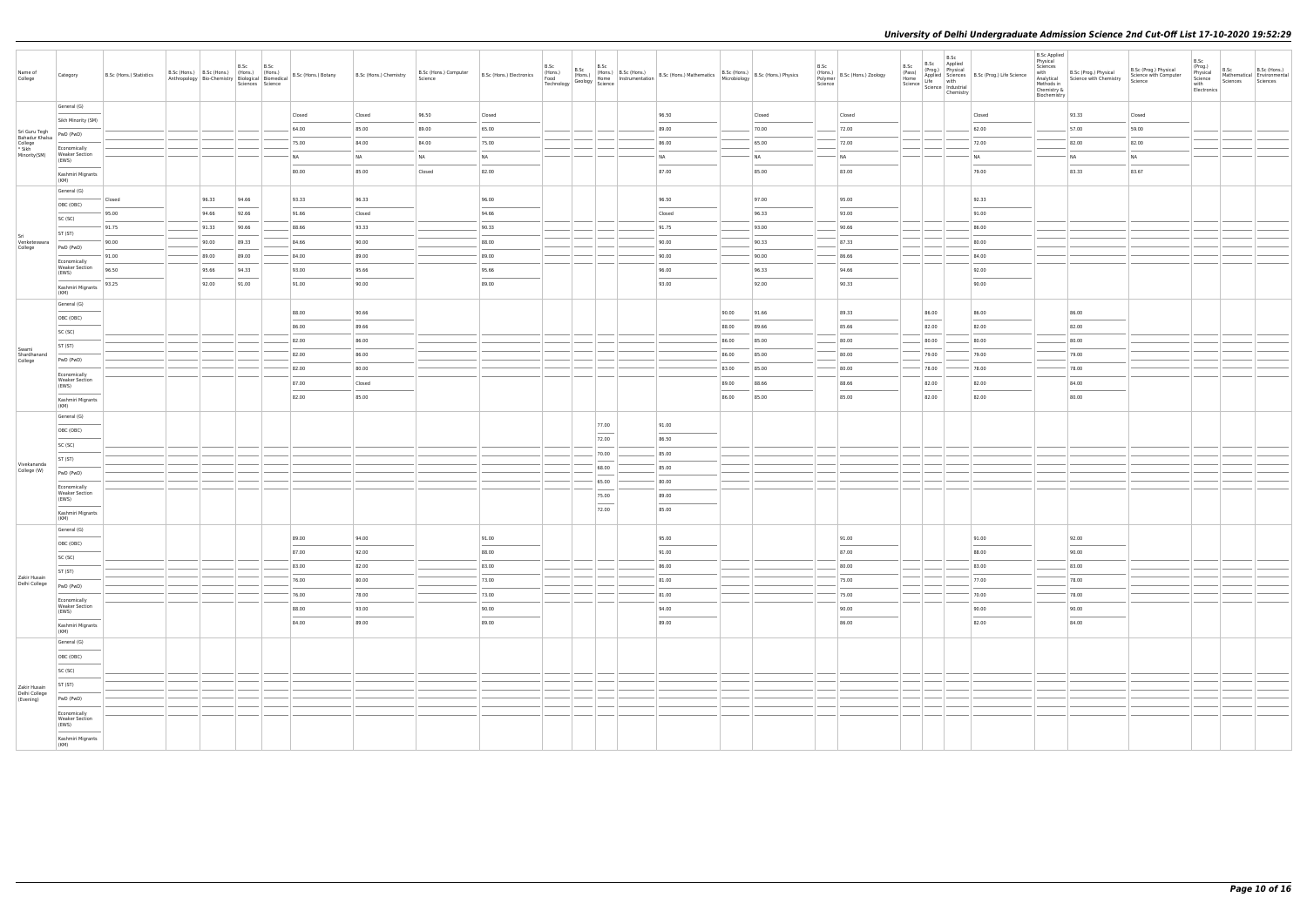| Name of<br>College                                  | Category                                                   | B.Sc (Hons.) Statistics | B.Sc (Hons.) B.Sc (Hons.) (Hons.) (Hons.) |       | B.Sc  | B.Sc<br>Sciences Science | Anthropology Bio-Chemistry Bological Biomedical B.Sc (Hons.) Botany                                                                                                                                                                                                                                                                                                                                                                                                                 | B.Sc (Hons.) Chemistry | B.Sc (Hons.) Computer<br>Science | B.Sc (Hons.) Electronics                                                                                                                                                                                                                                                                                                                                                                                                                                                            | B.Sc<br>(Hons.)<br>Food<br>Technology | B.Sc (Hons.)<br>(Hons.) (Hons.)<br>Geology Science | B.Sc<br>(Hons.) B.Sc (Hons.) | (Hons.) B.Sc (Hons.) B.Sc (Hons.) Mathematics B.Sc (Hons.) B.Sc (Hons.) Physics<br>Home Instrumentation B.Sc (Hons.) Mathematics Microbiology B.Sc (Hons.) Physics                                                                                                                                                                                                                                                                                                                  |       |        | B.Sc<br>(Hons.)<br>Polymer   B.Sc (Hons.) Zoology<br>Science | B.Sc<br>(Pass)<br>Home<br>Science   Live   Live   Live   Live   Live   Live   Live   Live   Live   Live   Live   Live   Live   Live   Live   Live   Live   Live   Live   Live   Live   Live   Live   Live   Live   Live   Live   Live   Live   Live   Li                                                                                                                                                                                                                            | B.Sc<br>B.Sc Applied<br>Life with<br>Chemistry | (Prog.) Physical<br>Applied Sciences B.Sc (Prog.) Life Science | <b>B.Sc Applied</b><br>Physical<br>Sciences<br>with<br>Methods in<br>Chemistry &<br>Biochemistry | B.Sc (Prog.) Physical<br>Analytical Science with Chemistry | B.Sc (Prog.) Physical<br>Science with Computer<br>Science | B.Sc<br>(Prog.)<br>Physical<br>Science<br>with<br>Electronics | B.Sc<br>Sciences | B.Sc (Hons.)<br>Mathematical Environmental<br>Sciences |
|-----------------------------------------------------|------------------------------------------------------------|-------------------------|-------------------------------------------|-------|-------|--------------------------|-------------------------------------------------------------------------------------------------------------------------------------------------------------------------------------------------------------------------------------------------------------------------------------------------------------------------------------------------------------------------------------------------------------------------------------------------------------------------------------|------------------------|----------------------------------|-------------------------------------------------------------------------------------------------------------------------------------------------------------------------------------------------------------------------------------------------------------------------------------------------------------------------------------------------------------------------------------------------------------------------------------------------------------------------------------|---------------------------------------|----------------------------------------------------|------------------------------|-------------------------------------------------------------------------------------------------------------------------------------------------------------------------------------------------------------------------------------------------------------------------------------------------------------------------------------------------------------------------------------------------------------------------------------------------------------------------------------|-------|--------|--------------------------------------------------------------|-------------------------------------------------------------------------------------------------------------------------------------------------------------------------------------------------------------------------------------------------------------------------------------------------------------------------------------------------------------------------------------------------------------------------------------------------------------------------------------|------------------------------------------------|----------------------------------------------------------------|--------------------------------------------------------------------------------------------------|------------------------------------------------------------|-----------------------------------------------------------|---------------------------------------------------------------|------------------|--------------------------------------------------------|
|                                                     | General (G)                                                |                         |                                           |       |       |                          | Closed                                                                                                                                                                                                                                                                                                                                                                                                                                                                              | Closed                 | 96.50                            | Closed                                                                                                                                                                                                                                                                                                                                                                                                                                                                              |                                       |                                                    |                              | 96.50                                                                                                                                                                                                                                                                                                                                                                                                                                                                               |       | Closed | Closed                                                       |                                                                                                                                                                                                                                                                                                                                                                                                                                                                                     |                                                | Closed                                                         |                                                                                                  | 93.33                                                      | Closed                                                    |                                                               |                  |                                                        |
| Sri Guru Tegh                                       | Sikh Minority (SM)                                         |                         |                                           |       |       |                          | 64.00                                                                                                                                                                                                                                                                                                                                                                                                                                                                               | 85.00                  | 89.00                            | 65.00                                                                                                                                                                                                                                                                                                                                                                                                                                                                               |                                       |                                                    |                              | 89.00                                                                                                                                                                                                                                                                                                                                                                                                                                                                               |       | 70.00  | 72.00                                                        |                                                                                                                                                                                                                                                                                                                                                                                                                                                                                     |                                                | 62.00                                                          |                                                                                                  | 57.00                                                      | 59.00                                                     |                                                               |                  |                                                        |
| Bahadur Khalsa<br>College<br>* Sikh<br>Minority(SM) | PwD (PwD)<br>Economically                                  |                         |                                           |       |       |                          | 75.00                                                                                                                                                                                                                                                                                                                                                                                                                                                                               | 84.00                  | 84.00                            | 75.00                                                                                                                                                                                                                                                                                                                                                                                                                                                                               |                                       |                                                    |                              | 86.00                                                                                                                                                                                                                                                                                                                                                                                                                                                                               |       | 65.00  | 72.00                                                        |                                                                                                                                                                                                                                                                                                                                                                                                                                                                                     |                                                | 72.00                                                          |                                                                                                  | 82.00                                                      | 82.00                                                     |                                                               |                  |                                                        |
|                                                     | <b>Weaker Section</b><br>(EWS)                             |                         |                                           |       |       |                          | <b>NA</b>                                                                                                                                                                                                                                                                                                                                                                                                                                                                           | NA                     | <b>NA</b>                        | NA                                                                                                                                                                                                                                                                                                                                                                                                                                                                                  |                                       |                                                    |                              | <b>NA</b>                                                                                                                                                                                                                                                                                                                                                                                                                                                                           |       | NA     | NA                                                           |                                                                                                                                                                                                                                                                                                                                                                                                                                                                                     |                                                | <b>NA</b>                                                      |                                                                                                  | <b>NA</b>                                                  | NA                                                        |                                                               |                  |                                                        |
|                                                     | Kashmiri Migrants                                          |                         |                                           |       |       |                          | 80.00                                                                                                                                                                                                                                                                                                                                                                                                                                                                               | 85.00                  | Closed                           | 82.00                                                                                                                                                                                                                                                                                                                                                                                                                                                                               |                                       |                                                    |                              | 87.00                                                                                                                                                                                                                                                                                                                                                                                                                                                                               |       | 85.00  | 83.00                                                        |                                                                                                                                                                                                                                                                                                                                                                                                                                                                                     |                                                | 79.00                                                          |                                                                                                  | 83.33                                                      | 83.67                                                     |                                                               |                  |                                                        |
|                                                     | (KM)<br>General (G)                                        |                         |                                           |       |       |                          |                                                                                                                                                                                                                                                                                                                                                                                                                                                                                     |                        |                                  |                                                                                                                                                                                                                                                                                                                                                                                                                                                                                     |                                       |                                                    |                              |                                                                                                                                                                                                                                                                                                                                                                                                                                                                                     |       |        |                                                              |                                                                                                                                                                                                                                                                                                                                                                                                                                                                                     |                                                |                                                                |                                                                                                  |                                                            |                                                           |                                                               |                  |                                                        |
|                                                     | OBC (OBC)                                                  | Closed                  |                                           | 96.33 | 94.66 |                          | 93.33                                                                                                                                                                                                                                                                                                                                                                                                                                                                               | 96.33                  |                                  | 96.00                                                                                                                                                                                                                                                                                                                                                                                                                                                                               |                                       |                                                    |                              | 96.50                                                                                                                                                                                                                                                                                                                                                                                                                                                                               |       | 97.00  | 95.00                                                        |                                                                                                                                                                                                                                                                                                                                                                                                                                                                                     |                                                | 92.33                                                          |                                                                                                  |                                                            |                                                           |                                                               |                  |                                                        |
|                                                     | SC (SC)                                                    | 95.00                   |                                           | 94.66 | 92.66 |                          | 91.66                                                                                                                                                                                                                                                                                                                                                                                                                                                                               | Closed                 |                                  | 94.66                                                                                                                                                                                                                                                                                                                                                                                                                                                                               |                                       |                                                    |                              | Closed                                                                                                                                                                                                                                                                                                                                                                                                                                                                              |       | 96.33  | 93.00                                                        |                                                                                                                                                                                                                                                                                                                                                                                                                                                                                     |                                                | 91.00                                                          |                                                                                                  |                                                            |                                                           |                                                               |                  |                                                        |
|                                                     | ST (ST)                                                    | 91.75                   |                                           | 91.33 | 90.66 |                          | 88.66                                                                                                                                                                                                                                                                                                                                                                                                                                                                               | 93.33                  |                                  | 90.33                                                                                                                                                                                                                                                                                                                                                                                                                                                                               |                                       |                                                    |                              | 91.75                                                                                                                                                                                                                                                                                                                                                                                                                                                                               |       | 93.00  | 90.66                                                        |                                                                                                                                                                                                                                                                                                                                                                                                                                                                                     |                                                | 86.00                                                          |                                                                                                  |                                                            |                                                           |                                                               |                  |                                                        |
| Sri<br>Venketeswara<br>College                      | PwD (PwD)                                                  | 90.00                   |                                           | 90.00 | 89.33 |                          | 84.66                                                                                                                                                                                                                                                                                                                                                                                                                                                                               | 90.00                  |                                  | 88.00                                                                                                                                                                                                                                                                                                                                                                                                                                                                               |                                       |                                                    |                              | 90.00                                                                                                                                                                                                                                                                                                                                                                                                                                                                               |       | 90.33  | 87.33                                                        |                                                                                                                                                                                                                                                                                                                                                                                                                                                                                     |                                                | 80.00                                                          |                                                                                                  |                                                            |                                                           |                                                               |                  |                                                        |
|                                                     | Economically                                               | 91.00                   |                                           | 89.00 | 89.00 |                          | 84.00                                                                                                                                                                                                                                                                                                                                                                                                                                                                               | 89.00                  |                                  | 89.00                                                                                                                                                                                                                                                                                                                                                                                                                                                                               |                                       |                                                    |                              | 90.00                                                                                                                                                                                                                                                                                                                                                                                                                                                                               |       | 90.00  | 86.66                                                        |                                                                                                                                                                                                                                                                                                                                                                                                                                                                                     |                                                | 84.00                                                          |                                                                                                  |                                                            |                                                           |                                                               |                  |                                                        |
|                                                     | <b>Weaker Section</b><br>(EWS)                             | 96.50                   |                                           | 95.66 | 94.33 |                          | 93.00                                                                                                                                                                                                                                                                                                                                                                                                                                                                               | 95.66                  |                                  | 95.66                                                                                                                                                                                                                                                                                                                                                                                                                                                                               |                                       |                                                    |                              | 96.00                                                                                                                                                                                                                                                                                                                                                                                                                                                                               |       | 96.33  | 94.66                                                        |                                                                                                                                                                                                                                                                                                                                                                                                                                                                                     |                                                | 92.00                                                          |                                                                                                  |                                                            |                                                           |                                                               |                  |                                                        |
|                                                     | Kashmiri Migrants<br>(KM)                                  | 93.25                   |                                           | 92.00 | 91.00 |                          | 91.00                                                                                                                                                                                                                                                                                                                                                                                                                                                                               | 90.00                  |                                  | 89.00                                                                                                                                                                                                                                                                                                                                                                                                                                                                               |                                       |                                                    |                              | 93.00                                                                                                                                                                                                                                                                                                                                                                                                                                                                               |       | 92.00  | 90.33                                                        |                                                                                                                                                                                                                                                                                                                                                                                                                                                                                     |                                                | 90.00                                                          |                                                                                                  |                                                            |                                                           |                                                               |                  |                                                        |
|                                                     | General (G)                                                |                         |                                           |       |       |                          |                                                                                                                                                                                                                                                                                                                                                                                                                                                                                     |                        |                                  |                                                                                                                                                                                                                                                                                                                                                                                                                                                                                     |                                       |                                                    |                              |                                                                                                                                                                                                                                                                                                                                                                                                                                                                                     |       |        |                                                              |                                                                                                                                                                                                                                                                                                                                                                                                                                                                                     |                                                |                                                                |                                                                                                  |                                                            |                                                           |                                                               |                  |                                                        |
|                                                     | OBC (OBC)                                                  |                         |                                           |       |       |                          | 88.00                                                                                                                                                                                                                                                                                                                                                                                                                                                                               | 90.66                  |                                  |                                                                                                                                                                                                                                                                                                                                                                                                                                                                                     |                                       |                                                    |                              |                                                                                                                                                                                                                                                                                                                                                                                                                                                                                     | 90.00 | 91.66  | 89.33                                                        | 86.00<br>$\frac{1}{2} \left( \frac{1}{2} \right) \left( \frac{1}{2} \right) \left( \frac{1}{2} \right) \left( \frac{1}{2} \right) \left( \frac{1}{2} \right) \left( \frac{1}{2} \right) \left( \frac{1}{2} \right) \left( \frac{1}{2} \right) \left( \frac{1}{2} \right) \left( \frac{1}{2} \right) \left( \frac{1}{2} \right) \left( \frac{1}{2} \right) \left( \frac{1}{2} \right) \left( \frac{1}{2} \right) \left( \frac{1}{2} \right) \left( \frac{1}{2} \right) \left( \frac$ |                                                | 86.00                                                          |                                                                                                  | 86.00                                                      |                                                           |                                                               |                  |                                                        |
|                                                     | SC (SC)                                                    |                         |                                           |       |       |                          | 86.00                                                                                                                                                                                                                                                                                                                                                                                                                                                                               | 89.66                  |                                  |                                                                                                                                                                                                                                                                                                                                                                                                                                                                                     |                                       |                                                    |                              |                                                                                                                                                                                                                                                                                                                                                                                                                                                                                     | 88.00 | 89.66  | 85.66                                                        | 82.00                                                                                                                                                                                                                                                                                                                                                                                                                                                                               |                                                | 82.00                                                          |                                                                                                  | 82.00                                                      |                                                           |                                                               |                  |                                                        |
| Swami                                               | ST (ST)                                                    |                         |                                           |       |       |                          | 82.00                                                                                                                                                                                                                                                                                                                                                                                                                                                                               | 86.00                  |                                  |                                                                                                                                                                                                                                                                                                                                                                                                                                                                                     |                                       |                                                    |                              |                                                                                                                                                                                                                                                                                                                                                                                                                                                                                     | 86.00 | 85.00  | 80.00                                                        | 80.00                                                                                                                                                                                                                                                                                                                                                                                                                                                                               |                                                | 80.00                                                          |                                                                                                  | 80.00                                                      |                                                           |                                                               |                  |                                                        |
| Shardhanand<br>College                              | PwD (PwD)                                                  |                         |                                           |       |       |                          | 82.00                                                                                                                                                                                                                                                                                                                                                                                                                                                                               | 86.00                  |                                  |                                                                                                                                                                                                                                                                                                                                                                                                                                                                                     |                                       |                                                    |                              |                                                                                                                                                                                                                                                                                                                                                                                                                                                                                     | 86.00 | 85.00  | 80.00                                                        | 79.00                                                                                                                                                                                                                                                                                                                                                                                                                                                                               |                                                | 79.00                                                          |                                                                                                  | 79.00                                                      |                                                           |                                                               |                  |                                                        |
|                                                     | Economically                                               |                         |                                           |       |       |                          | 82.00                                                                                                                                                                                                                                                                                                                                                                                                                                                                               | 80.00                  |                                  |                                                                                                                                                                                                                                                                                                                                                                                                                                                                                     |                                       |                                                    |                              |                                                                                                                                                                                                                                                                                                                                                                                                                                                                                     | 83.00 | 85.00  | 80.00                                                        | 78.00                                                                                                                                                                                                                                                                                                                                                                                                                                                                               |                                                | 78.00                                                          |                                                                                                  | 78.00                                                      |                                                           |                                                               |                  |                                                        |
|                                                     | <b>Weaker Section</b><br>(EWS)                             |                         |                                           |       |       |                          | 87.00                                                                                                                                                                                                                                                                                                                                                                                                                                                                               | Closed                 |                                  |                                                                                                                                                                                                                                                                                                                                                                                                                                                                                     |                                       |                                                    |                              |                                                                                                                                                                                                                                                                                                                                                                                                                                                                                     | 89.00 | 88.66  | 88.66                                                        | 82.00                                                                                                                                                                                                                                                                                                                                                                                                                                                                               |                                                | 82.00                                                          |                                                                                                  | 84.00                                                      |                                                           |                                                               |                  |                                                        |
|                                                     | Kashmiri Migrants<br>(KM)                                  |                         |                                           |       |       |                          | 82.00                                                                                                                                                                                                                                                                                                                                                                                                                                                                               | 85.00                  |                                  |                                                                                                                                                                                                                                                                                                                                                                                                                                                                                     |                                       |                                                    |                              |                                                                                                                                                                                                                                                                                                                                                                                                                                                                                     | 86.00 | 85.00  | 85.00                                                        | 82.00                                                                                                                                                                                                                                                                                                                                                                                                                                                                               |                                                | 82.00                                                          |                                                                                                  | 80.00                                                      |                                                           |                                                               |                  |                                                        |
|                                                     | General (G)                                                |                         |                                           |       |       |                          |                                                                                                                                                                                                                                                                                                                                                                                                                                                                                     |                        |                                  |                                                                                                                                                                                                                                                                                                                                                                                                                                                                                     |                                       |                                                    |                              |                                                                                                                                                                                                                                                                                                                                                                                                                                                                                     |       |        |                                                              |                                                                                                                                                                                                                                                                                                                                                                                                                                                                                     |                                                |                                                                |                                                                                                  |                                                            |                                                           |                                                               |                  |                                                        |
|                                                     | OBC (OBC)                                                  |                         |                                           |       |       |                          |                                                                                                                                                                                                                                                                                                                                                                                                                                                                                     |                        |                                  |                                                                                                                                                                                                                                                                                                                                                                                                                                                                                     |                                       | 77.00                                              |                              | 91.00                                                                                                                                                                                                                                                                                                                                                                                                                                                                               |       |        |                                                              |                                                                                                                                                                                                                                                                                                                                                                                                                                                                                     |                                                |                                                                |                                                                                                  |                                                            |                                                           |                                                               |                  |                                                        |
|                                                     | SC (SC)                                                    |                         |                                           |       |       |                          |                                                                                                                                                                                                                                                                                                                                                                                                                                                                                     |                        |                                  |                                                                                                                                                                                                                                                                                                                                                                                                                                                                                     |                                       | 72.00                                              |                              | 86.50                                                                                                                                                                                                                                                                                                                                                                                                                                                                               |       |        |                                                              |                                                                                                                                                                                                                                                                                                                                                                                                                                                                                     |                                                |                                                                |                                                                                                  |                                                            |                                                           |                                                               |                  |                                                        |
| Vivekananda                                         | ST (ST)                                                    |                         |                                           |       |       |                          |                                                                                                                                                                                                                                                                                                                                                                                                                                                                                     |                        |                                  |                                                                                                                                                                                                                                                                                                                                                                                                                                                                                     |                                       | 70.00                                              |                              | 85.00                                                                                                                                                                                                                                                                                                                                                                                                                                                                               |       |        |                                                              |                                                                                                                                                                                                                                                                                                                                                                                                                                                                                     |                                                |                                                                |                                                                                                  |                                                            |                                                           |                                                               |                  |                                                        |
| College (W)                                         | PwD (PwD)                                                  |                         |                                           |       |       |                          |                                                                                                                                                                                                                                                                                                                                                                                                                                                                                     |                        |                                  |                                                                                                                                                                                                                                                                                                                                                                                                                                                                                     |                                       | 68.00                                              |                              | 85.00                                                                                                                                                                                                                                                                                                                                                                                                                                                                               |       |        |                                                              |                                                                                                                                                                                                                                                                                                                                                                                                                                                                                     |                                                |                                                                |                                                                                                  |                                                            |                                                           |                                                               |                  |                                                        |
|                                                     | Economically<br><b>Weaker Section</b>                      |                         |                                           |       |       |                          |                                                                                                                                                                                                                                                                                                                                                                                                                                                                                     |                        |                                  |                                                                                                                                                                                                                                                                                                                                                                                                                                                                                     |                                       | 65.00                                              |                              | 80.00                                                                                                                                                                                                                                                                                                                                                                                                                                                                               |       |        |                                                              |                                                                                                                                                                                                                                                                                                                                                                                                                                                                                     |                                                |                                                                |                                                                                                  |                                                            |                                                           |                                                               |                  |                                                        |
|                                                     | (EWS)<br>Kashmiri Migrants                                 |                         |                                           |       |       |                          |                                                                                                                                                                                                                                                                                                                                                                                                                                                                                     |                        |                                  |                                                                                                                                                                                                                                                                                                                                                                                                                                                                                     |                                       | 75.00<br>$\sim$<br>72.00                           |                              | 89.00<br>85.00                                                                                                                                                                                                                                                                                                                                                                                                                                                                      |       |        |                                                              |                                                                                                                                                                                                                                                                                                                                                                                                                                                                                     |                                                |                                                                |                                                                                                  |                                                            |                                                           |                                                               |                  |                                                        |
|                                                     | (KM)<br>General (G)                                        |                         |                                           |       |       |                          |                                                                                                                                                                                                                                                                                                                                                                                                                                                                                     |                        |                                  |                                                                                                                                                                                                                                                                                                                                                                                                                                                                                     |                                       |                                                    |                              |                                                                                                                                                                                                                                                                                                                                                                                                                                                                                     |       |        |                                                              |                                                                                                                                                                                                                                                                                                                                                                                                                                                                                     |                                                |                                                                |                                                                                                  |                                                            |                                                           |                                                               |                  |                                                        |
|                                                     | OBC (OBC)                                                  |                         |                                           |       |       |                          | 89.00                                                                                                                                                                                                                                                                                                                                                                                                                                                                               | 94.00                  |                                  | 91.00                                                                                                                                                                                                                                                                                                                                                                                                                                                                               |                                       |                                                    |                              | 95.00                                                                                                                                                                                                                                                                                                                                                                                                                                                                               |       |        | 91.00                                                        |                                                                                                                                                                                                                                                                                                                                                                                                                                                                                     |                                                | 91.00                                                          |                                                                                                  | 92.00                                                      |                                                           |                                                               |                  |                                                        |
|                                                     | SC (SC)                                                    |                         |                                           |       |       |                          | 87.00                                                                                                                                                                                                                                                                                                                                                                                                                                                                               | 92.00                  |                                  | 88.00                                                                                                                                                                                                                                                                                                                                                                                                                                                                               |                                       |                                                    |                              | 91.00                                                                                                                                                                                                                                                                                                                                                                                                                                                                               |       |        | 87.00                                                        |                                                                                                                                                                                                                                                                                                                                                                                                                                                                                     |                                                | 88.00                                                          |                                                                                                  | 90.00                                                      |                                                           |                                                               |                  |                                                        |
|                                                     | ST (ST)                                                    |                         |                                           |       |       |                          | 83.00                                                                                                                                                                                                                                                                                                                                                                                                                                                                               | 82.00                  |                                  | 83.00                                                                                                                                                                                                                                                                                                                                                                                                                                                                               |                                       |                                                    |                              | 86.00                                                                                                                                                                                                                                                                                                                                                                                                                                                                               |       |        | 80.00                                                        |                                                                                                                                                                                                                                                                                                                                                                                                                                                                                     |                                                | 83.00                                                          |                                                                                                  | 83.00                                                      |                                                           |                                                               |                  |                                                        |
| Zakir Husain<br>Delhi College                       | PwD (PwD)                                                  |                         |                                           |       |       |                          | 76.00                                                                                                                                                                                                                                                                                                                                                                                                                                                                               | 80.00                  |                                  | 73.00                                                                                                                                                                                                                                                                                                                                                                                                                                                                               |                                       |                                                    |                              | 81.00                                                                                                                                                                                                                                                                                                                                                                                                                                                                               |       |        | 75.00                                                        |                                                                                                                                                                                                                                                                                                                                                                                                                                                                                     |                                                | 77.00                                                          |                                                                                                  | 78.00                                                      |                                                           |                                                               |                  |                                                        |
|                                                     | Economically                                               |                         |                                           |       |       |                          | 76.00                                                                                                                                                                                                                                                                                                                                                                                                                                                                               | 78.00                  |                                  | 73.00                                                                                                                                                                                                                                                                                                                                                                                                                                                                               |                                       |                                                    |                              | 81.00                                                                                                                                                                                                                                                                                                                                                                                                                                                                               |       |        | 75.00                                                        |                                                                                                                                                                                                                                                                                                                                                                                                                                                                                     |                                                | 70.00                                                          |                                                                                                  | 78.00                                                      |                                                           |                                                               |                  |                                                        |
|                                                     | Weaker Section<br>(EWS)                                    |                         |                                           |       |       |                          | 88.00<br>$\frac{1}{2} \left( \frac{1}{2} \right) \left( \frac{1}{2} \right) \left( \frac{1}{2} \right) \left( \frac{1}{2} \right) \left( \frac{1}{2} \right) \left( \frac{1}{2} \right) \left( \frac{1}{2} \right) \left( \frac{1}{2} \right) \left( \frac{1}{2} \right) \left( \frac{1}{2} \right) \left( \frac{1}{2} \right) \left( \frac{1}{2} \right) \left( \frac{1}{2} \right) \left( \frac{1}{2} \right) \left( \frac{1}{2} \right) \left( \frac{1}{2} \right) \left( \frac$ | 93.00                  |                                  | 90.00<br>$\frac{1}{2} \left( \frac{1}{2} \right) \left( \frac{1}{2} \right) \left( \frac{1}{2} \right) \left( \frac{1}{2} \right) \left( \frac{1}{2} \right) \left( \frac{1}{2} \right) \left( \frac{1}{2} \right) \left( \frac{1}{2} \right) \left( \frac{1}{2} \right) \left( \frac{1}{2} \right) \left( \frac{1}{2} \right) \left( \frac{1}{2} \right) \left( \frac{1}{2} \right) \left( \frac{1}{2} \right) \left( \frac{1}{2} \right) \left( \frac{1}{2} \right) \left( \frac$ |                                       |                                                    |                              | 94.00<br>$\frac{1}{2} \left( \frac{1}{2} \right) \left( \frac{1}{2} \right) \left( \frac{1}{2} \right) \left( \frac{1}{2} \right) \left( \frac{1}{2} \right) \left( \frac{1}{2} \right) \left( \frac{1}{2} \right) \left( \frac{1}{2} \right) \left( \frac{1}{2} \right) \left( \frac{1}{2} \right) \left( \frac{1}{2} \right) \left( \frac{1}{2} \right) \left( \frac{1}{2} \right) \left( \frac{1}{2} \right) \left( \frac{1}{2} \right) \left( \frac{1}{2} \right) \left( \frac$ |       |        | 90.00<br>$\overline{\phantom{a}}$                            |                                                                                                                                                                                                                                                                                                                                                                                                                                                                                     |                                                | 90.00                                                          |                                                                                                  | 90.00<br>$\sim$                                            |                                                           |                                                               |                  |                                                        |
|                                                     | Kashmiri Migrants<br>(KM)                                  |                         |                                           |       |       |                          | 84.00                                                                                                                                                                                                                                                                                                                                                                                                                                                                               | 89.00                  |                                  | 89.00                                                                                                                                                                                                                                                                                                                                                                                                                                                                               |                                       |                                                    |                              | 89.00                                                                                                                                                                                                                                                                                                                                                                                                                                                                               |       |        | 86.00                                                        |                                                                                                                                                                                                                                                                                                                                                                                                                                                                                     |                                                | 82.00                                                          |                                                                                                  | 84.00                                                      |                                                           |                                                               |                  |                                                        |
|                                                     | General (G)                                                |                         |                                           |       |       |                          |                                                                                                                                                                                                                                                                                                                                                                                                                                                                                     |                        |                                  |                                                                                                                                                                                                                                                                                                                                                                                                                                                                                     |                                       |                                                    |                              |                                                                                                                                                                                                                                                                                                                                                                                                                                                                                     |       |        |                                                              |                                                                                                                                                                                                                                                                                                                                                                                                                                                                                     |                                                |                                                                |                                                                                                  |                                                            |                                                           |                                                               |                  |                                                        |
|                                                     | OBC (OBC)                                                  |                         |                                           |       |       |                          |                                                                                                                                                                                                                                                                                                                                                                                                                                                                                     |                        |                                  |                                                                                                                                                                                                                                                                                                                                                                                                                                                                                     |                                       |                                                    |                              |                                                                                                                                                                                                                                                                                                                                                                                                                                                                                     |       |        |                                                              |                                                                                                                                                                                                                                                                                                                                                                                                                                                                                     |                                                |                                                                |                                                                                                  |                                                            |                                                           |                                                               |                  |                                                        |
|                                                     | SC (SC)                                                    |                         |                                           |       |       |                          |                                                                                                                                                                                                                                                                                                                                                                                                                                                                                     |                        |                                  |                                                                                                                                                                                                                                                                                                                                                                                                                                                                                     |                                       |                                                    |                              |                                                                                                                                                                                                                                                                                                                                                                                                                                                                                     |       |        |                                                              |                                                                                                                                                                                                                                                                                                                                                                                                                                                                                     |                                                |                                                                |                                                                                                  |                                                            |                                                           |                                                               |                  |                                                        |
| Zakir Husain                                        | ST (ST)                                                    |                         |                                           |       |       |                          |                                                                                                                                                                                                                                                                                                                                                                                                                                                                                     |                        |                                  |                                                                                                                                                                                                                                                                                                                                                                                                                                                                                     |                                       |                                                    |                              |                                                                                                                                                                                                                                                                                                                                                                                                                                                                                     |       |        |                                                              |                                                                                                                                                                                                                                                                                                                                                                                                                                                                                     |                                                |                                                                |                                                                                                  |                                                            |                                                           |                                                               |                  |                                                        |
| Delhi College<br>(Evening)                          | PwD (PwD)                                                  |                         |                                           |       |       |                          |                                                                                                                                                                                                                                                                                                                                                                                                                                                                                     |                        |                                  |                                                                                                                                                                                                                                                                                                                                                                                                                                                                                     |                                       |                                                    |                              |                                                                                                                                                                                                                                                                                                                                                                                                                                                                                     |       |        |                                                              |                                                                                                                                                                                                                                                                                                                                                                                                                                                                                     |                                                |                                                                |                                                                                                  |                                                            |                                                           |                                                               |                  |                                                        |
|                                                     | Economically                                               |                         |                                           |       |       |                          |                                                                                                                                                                                                                                                                                                                                                                                                                                                                                     |                        |                                  |                                                                                                                                                                                                                                                                                                                                                                                                                                                                                     |                                       |                                                    |                              |                                                                                                                                                                                                                                                                                                                                                                                                                                                                                     |       |        |                                                              |                                                                                                                                                                                                                                                                                                                                                                                                                                                                                     |                                                |                                                                |                                                                                                  |                                                            |                                                           |                                                               |                  |                                                        |
|                                                     | <b>Weaker Section</b><br>(EWS)<br><b>Contract Contract</b> |                         |                                           |       |       |                          |                                                                                                                                                                                                                                                                                                                                                                                                                                                                                     |                        |                                  |                                                                                                                                                                                                                                                                                                                                                                                                                                                                                     |                                       |                                                    |                              |                                                                                                                                                                                                                                                                                                                                                                                                                                                                                     |       |        |                                                              |                                                                                                                                                                                                                                                                                                                                                                                                                                                                                     |                                                |                                                                |                                                                                                  |                                                            |                                                           |                                                               |                  |                                                        |
|                                                     | Kashmiri Migrants<br>(KM)                                  |                         |                                           |       |       |                          |                                                                                                                                                                                                                                                                                                                                                                                                                                                                                     |                        |                                  |                                                                                                                                                                                                                                                                                                                                                                                                                                                                                     |                                       |                                                    |                              |                                                                                                                                                                                                                                                                                                                                                                                                                                                                                     |       |        |                                                              |                                                                                                                                                                                                                                                                                                                                                                                                                                                                                     |                                                |                                                                |                                                                                                  |                                                            |                                                           |                                                               |                  |                                                        |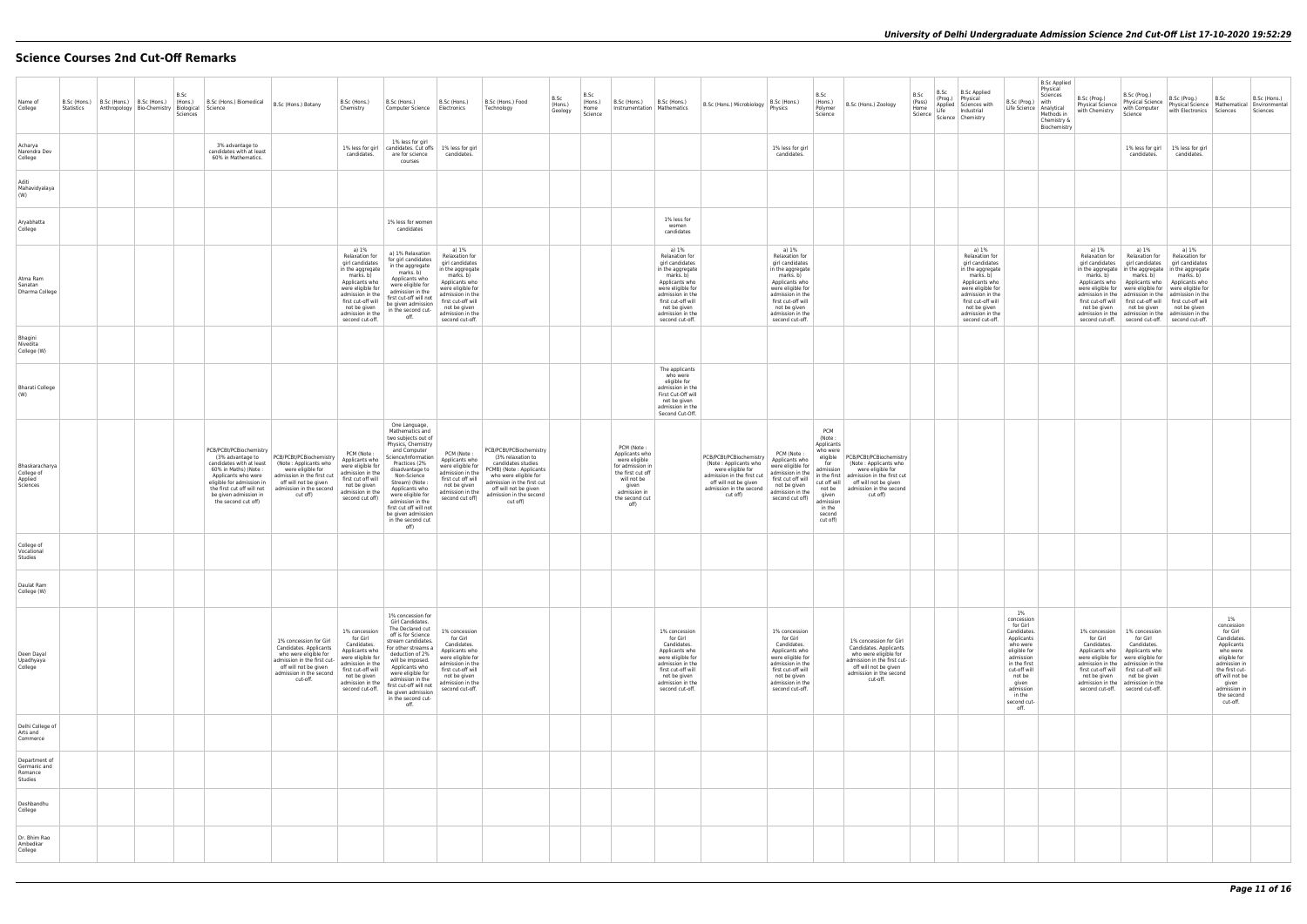# **Science Courses 2nd Cut-Off Remarks**

| Name of<br>College                                  | Statistics |  | B.Sc<br>B.Sc (Hons.) B.Sc (Hons.) B.Sc (Hons.)   B.Sc (Hons.)   B.Sc (Hons.) Biomedical   B.Sc (Hons.) Botany<br>Anthropology Bio-Chemistry Biological Science<br>Sciences |                                                                                                                                                                                                                                                                                                  | B.Sc (Hons.)<br>Chemistry                                                                                                                                                                                           | B.Sc (Hons.)<br>Computer Science   Electronics                                                                                                                                                                                                                                                                                    | B.Sc (Hons.)                                                                                                                                                                                                        | B.Sc (Hons.) Food<br>Technology                                                                                                                                                                                      | B.Sc<br>(Hons.)<br>Geology | B.Sc<br>(Hons.)<br>Home<br>Science | B.Sc (Hons.) B.Sc (Hons.)<br>Instrumentation   Mathematics                                                                                               |                                                                                                                                                                                                                     | B.Sc (Hons.) Microbiology   Physics                                                                                                                                 | B.Sc (Hons.)                                                                                                                                                                                                        | B.Sc<br>(Hons.)<br>Polymer<br>Science                                                                      | B.Sc (Hons.) Zoology                                                                                                                                                                                               | B.Sc<br>(Pass)<br>Home | (Prog.) | B.Sc B.Sc Applied<br>Physical<br>Applied Sciences with<br>Life   Industrial<br>Science   Science   Chemistry                                                                                                        | <b>B.Sc Applied</b><br>Physical<br>Sciences<br>B.Sc (Prog.)   with<br>Life Science   Analytical<br>Methods in<br>Chemistry &<br>Biochemistry                                                | B.Sc (Prog.)<br>Physical Science   Frigance Data<br>with Chemistry | B.Sc (Prog.)<br>Physical Science<br>Science                                                                                                                                                                                                                                                                                                                                                                                                                                                                                                         | B.Sc (Prog.)<br>Physical Science   Mathematical   Environmental<br>with Electronics Sciences | B.Sc                                                                                                                                                                                          | B.Sc (Hons.)<br>Sciences |
|-----------------------------------------------------|------------|--|----------------------------------------------------------------------------------------------------------------------------------------------------------------------------|--------------------------------------------------------------------------------------------------------------------------------------------------------------------------------------------------------------------------------------------------------------------------------------------------|---------------------------------------------------------------------------------------------------------------------------------------------------------------------------------------------------------------------|-----------------------------------------------------------------------------------------------------------------------------------------------------------------------------------------------------------------------------------------------------------------------------------------------------------------------------------|---------------------------------------------------------------------------------------------------------------------------------------------------------------------------------------------------------------------|----------------------------------------------------------------------------------------------------------------------------------------------------------------------------------------------------------------------|----------------------------|------------------------------------|----------------------------------------------------------------------------------------------------------------------------------------------------------|---------------------------------------------------------------------------------------------------------------------------------------------------------------------------------------------------------------------|---------------------------------------------------------------------------------------------------------------------------------------------------------------------|---------------------------------------------------------------------------------------------------------------------------------------------------------------------------------------------------------------------|------------------------------------------------------------------------------------------------------------|--------------------------------------------------------------------------------------------------------------------------------------------------------------------------------------------------------------------|------------------------|---------|---------------------------------------------------------------------------------------------------------------------------------------------------------------------------------------------------------------------|---------------------------------------------------------------------------------------------------------------------------------------------------------------------------------------------|--------------------------------------------------------------------|-----------------------------------------------------------------------------------------------------------------------------------------------------------------------------------------------------------------------------------------------------------------------------------------------------------------------------------------------------------------------------------------------------------------------------------------------------------------------------------------------------------------------------------------------------|----------------------------------------------------------------------------------------------|-----------------------------------------------------------------------------------------------------------------------------------------------------------------------------------------------|--------------------------|
| Acharya<br>Narendra Dev<br>College                  |            |  | 3% advantage to<br>candidates with at least<br>60% in Mathematics.                                                                                                         |                                                                                                                                                                                                                                                                                                  | 1% less for girl<br>candidates.                                                                                                                                                                                     | 1% less for girl<br>candidates. Cut offs   1% less for girl<br>are for science<br>courses                                                                                                                                                                                                                                         | candidates.                                                                                                                                                                                                         |                                                                                                                                                                                                                      |                            |                                    |                                                                                                                                                          |                                                                                                                                                                                                                     |                                                                                                                                                                     | 1% less for girl<br>candidates.                                                                                                                                                                                     |                                                                                                            |                                                                                                                                                                                                                    |                        |         |                                                                                                                                                                                                                     |                                                                                                                                                                                             |                                                                    | 1% less for girl   1% less for girl<br>candidates.                                                                                                                                                                                                                                                                                                                                                                                                                                                                                                  | candidates.                                                                                  |                                                                                                                                                                                               |                          |
| Aditi<br>Mahavidyalaya<br>(W)                       |            |  |                                                                                                                                                                            |                                                                                                                                                                                                                                                                                                  |                                                                                                                                                                                                                     |                                                                                                                                                                                                                                                                                                                                   |                                                                                                                                                                                                                     |                                                                                                                                                                                                                      |                            |                                    |                                                                                                                                                          |                                                                                                                                                                                                                     |                                                                                                                                                                     |                                                                                                                                                                                                                     |                                                                                                            |                                                                                                                                                                                                                    |                        |         |                                                                                                                                                                                                                     |                                                                                                                                                                                             |                                                                    |                                                                                                                                                                                                                                                                                                                                                                                                                                                                                                                                                     |                                                                                              |                                                                                                                                                                                               |                          |
| Aryabhatta<br>College                               |            |  |                                                                                                                                                                            |                                                                                                                                                                                                                                                                                                  |                                                                                                                                                                                                                     | 1% less for women<br>candidates                                                                                                                                                                                                                                                                                                   |                                                                                                                                                                                                                     |                                                                                                                                                                                                                      |                            |                                    |                                                                                                                                                          | 1% less for<br>women<br>candidates                                                                                                                                                                                  |                                                                                                                                                                     |                                                                                                                                                                                                                     |                                                                                                            |                                                                                                                                                                                                                    |                        |         |                                                                                                                                                                                                                     |                                                                                                                                                                                             |                                                                    |                                                                                                                                                                                                                                                                                                                                                                                                                                                                                                                                                     |                                                                                              |                                                                                                                                                                                               |                          |
| Atma Ram<br>Sanatan<br>Dharma College               |            |  |                                                                                                                                                                            |                                                                                                                                                                                                                                                                                                  | a) 1%<br>Relaxation for<br>girl candidates<br>in the aggregate<br>marks. b)<br>Applicants who<br>were eligible for<br>admission in the<br>first cut-off will<br>not be given<br>admission in the<br>second cut-off. | a) 1% Relaxation<br>for girl candidates<br>in the aggregate<br>marks. b)<br>Applicants who<br>were eligible for<br>admission in the<br>first cut-off will not<br>be given admission<br>in the second cut-<br>off.                                                                                                                 | a) 1%<br>Relaxation for<br>girl candidates<br>in the aggregate<br>marks. b)<br>Applicants who<br>were eligible for<br>admission in the<br>first cut-off will<br>not be given<br>admission in the<br>second cut-off. |                                                                                                                                                                                                                      |                            |                                    |                                                                                                                                                          | a) 1%<br>Relaxation for<br>girl candidates<br>in the aggregate<br>marks. b)<br>Applicants who<br>were eligible for<br>admission in the<br>first cut-off will<br>not be given<br>admission in the<br>second cut-off. |                                                                                                                                                                     | a) 1%<br>Relaxation for<br>girl candidates<br>in the aggregate<br>marks. b)<br>Applicants who<br>were eligible for<br>admission in the<br>first cut-off will<br>not be given<br>admission in the<br>second cut-off. |                                                                                                            |                                                                                                                                                                                                                    |                        |         | a) 1%<br>Relaxation for<br>girl candidates<br>in the aggregate<br>marks. b)<br>Applicants who<br>were eligible for<br>admission in the<br>first cut-off will<br>not be given<br>admission in the<br>second cut-off. |                                                                                                                                                                                             | a) 1%<br>marks. b)                                                 | a) 1%<br>Relaxation for Relaxation for<br>girl candidates   girl candidates<br>in the aggregate $ $ in the aggregate $ $ in the aggregate<br>marks. b)<br>Applicants who   Applicants who   Applicants who<br>were eligible for   were eligible for   were eligible for<br>admission in the $ $ admission in the $ $ admission in the<br>first cut-off will   first cut-off will   first cut-off will<br>not be given   not be given  <br>admission in the admission in the admission in the<br>second cut-off.   second cut-off.   second cut-off. | a) 1%<br>Relaxation for<br>girl candidates<br>marks. b)<br>not be given                      |                                                                                                                                                                                               |                          |
| Bhagini<br>Nivedita<br>College (W)                  |            |  |                                                                                                                                                                            |                                                                                                                                                                                                                                                                                                  |                                                                                                                                                                                                                     |                                                                                                                                                                                                                                                                                                                                   |                                                                                                                                                                                                                     |                                                                                                                                                                                                                      |                            |                                    |                                                                                                                                                          |                                                                                                                                                                                                                     |                                                                                                                                                                     |                                                                                                                                                                                                                     |                                                                                                            |                                                                                                                                                                                                                    |                        |         |                                                                                                                                                                                                                     |                                                                                                                                                                                             |                                                                    |                                                                                                                                                                                                                                                                                                                                                                                                                                                                                                                                                     |                                                                                              |                                                                                                                                                                                               |                          |
| <b>Bharati College</b><br>(W)                       |            |  |                                                                                                                                                                            |                                                                                                                                                                                                                                                                                                  |                                                                                                                                                                                                                     |                                                                                                                                                                                                                                                                                                                                   |                                                                                                                                                                                                                     |                                                                                                                                                                                                                      |                            |                                    |                                                                                                                                                          | The applicants<br>who were<br>eligible for<br>admission in the<br>First Cut-Off will<br>not be given<br>admission in the<br>Second Cut-Off.                                                                         |                                                                                                                                                                     |                                                                                                                                                                                                                     |                                                                                                            |                                                                                                                                                                                                                    |                        |         |                                                                                                                                                                                                                     |                                                                                                                                                                                             |                                                                    |                                                                                                                                                                                                                                                                                                                                                                                                                                                                                                                                                     |                                                                                              |                                                                                                                                                                                               |                          |
| Bhaskaracharya<br>College of<br>Applied<br>Sciences |            |  | PCB/PCBt/PCBiochemistry<br>60% in Maths) (Note:<br>be given admission in<br>the second cut off)                                                                            | (3% advantage to   PCB/PCBt/PCBiochemistry<br>candidates with at least   (Note: Applicants who<br>were eligible for<br>Applicants who were   admission in the first cut<br>eligible for admission in   off will not be given<br>the first cut off will not   admission in the second<br>cut off) | PCM (Note:<br>Applicants who<br>were eligible for<br>admission in the<br>first cut off will<br>not be given<br>admission in the<br>second cut off)                                                                  | One Language,<br>Mathematics and<br>two subjects out of<br>Physics, Chemistry<br>and Computer<br>Science/Information<br>Practices (2%<br>disadvantage to<br>Non-Science<br>Stream) (Note:<br>Applicants who<br>were eligible for<br>admission in the<br>first cut off will not<br>be given admission<br>in the second cut<br>off) | PCM (Note:<br>Applicants who<br>were eligible for<br>admission in the<br>first cut off will<br>not be given<br>admission in the<br>second cut off)                                                                  | PCB/PCBt/PCBiochemistry<br>(3% relaxation to<br>candidates studies<br>PCMB) (Note: Applicants<br>who were eligible for<br>admission in the first cut<br>off will not be given<br>admission in the second<br>cut off) |                            |                                    | PCM (Note:<br>Applicants who<br>were eligible<br>for admission in<br>the first cut off<br>will not be<br>given<br>admission in<br>the second cut<br>off) |                                                                                                                                                                                                                     | PCB/PCBt/PCBiochemistry<br>(Note: Applicants who<br>were eligible for<br>admission in the first cut<br>off will not be given<br>admission in the second<br>cut off) | PCM (Note:<br>Applicants who<br>were eligible for<br>admission in the<br>first cut off will<br>not be given<br>admission in the<br>second cut off)                                                                  | PCM<br>(Note:<br>Applicants<br>who were<br>admission<br>given<br>admission<br>in the<br>second<br>cut off) | eligible PCB/PCBt/PCBiochemistry<br>for (Note : Applicants who<br>were eligible for<br>in the first admission in the first cut<br>cut off will off will not be given<br>not be admission in the second<br>cut off) |                        |         |                                                                                                                                                                                                                     |                                                                                                                                                                                             |                                                                    |                                                                                                                                                                                                                                                                                                                                                                                                                                                                                                                                                     |                                                                                              |                                                                                                                                                                                               |                          |
| College of<br>Vocational<br>Studies                 |            |  |                                                                                                                                                                            |                                                                                                                                                                                                                                                                                                  |                                                                                                                                                                                                                     |                                                                                                                                                                                                                                                                                                                                   |                                                                                                                                                                                                                     |                                                                                                                                                                                                                      |                            |                                    |                                                                                                                                                          |                                                                                                                                                                                                                     |                                                                                                                                                                     |                                                                                                                                                                                                                     |                                                                                                            |                                                                                                                                                                                                                    |                        |         |                                                                                                                                                                                                                     |                                                                                                                                                                                             |                                                                    |                                                                                                                                                                                                                                                                                                                                                                                                                                                                                                                                                     |                                                                                              |                                                                                                                                                                                               |                          |
| Daulat Ram<br>College (W)                           |            |  |                                                                                                                                                                            |                                                                                                                                                                                                                                                                                                  |                                                                                                                                                                                                                     |                                                                                                                                                                                                                                                                                                                                   |                                                                                                                                                                                                                     |                                                                                                                                                                                                                      |                            |                                    |                                                                                                                                                          |                                                                                                                                                                                                                     |                                                                                                                                                                     |                                                                                                                                                                                                                     |                                                                                                            |                                                                                                                                                                                                                    |                        |         |                                                                                                                                                                                                                     |                                                                                                                                                                                             |                                                                    |                                                                                                                                                                                                                                                                                                                                                                                                                                                                                                                                                     |                                                                                              |                                                                                                                                                                                               |                          |
| Deen Dayal<br>Upadhyaya<br>College                  |            |  |                                                                                                                                                                            | 1% concession for Girl<br>Candidates. Applicants<br>who were eligible for<br>admission in the first cut-<br>off will not be given<br>admission in the second<br>cut-off.                                                                                                                         | 1% concession<br>for Girl<br>Candidates.<br>Applicants who<br>were eligible for<br>admission in the<br>first cut-off will<br>not be given<br>admission in the<br>second cut-off.                                    | 1% concession for<br>Girl Candidates.<br>The Declared cut<br>off is for Science<br>stream candidates.<br>For other streams a<br>deduction of 2%<br>will be imposed.<br>Applicants who<br>were eligible for<br>admission in the<br>first cut-off will not<br>be given admission<br>in the second cut-<br>off.                      | 1% concession<br>for Girl<br>Candidates.<br>Applicants who<br>were eligible for<br>admission in the<br>first cut-off will<br>not be given<br>admission in the<br>second cut-off.                                    |                                                                                                                                                                                                                      |                            |                                    |                                                                                                                                                          | 1% concession<br>for Girl<br>Candidates.<br>Applicants who<br>were eligible for<br>admission in the<br>first cut-off will<br>not be given<br>admission in the<br>second cut-off.                                    |                                                                                                                                                                     | 1% concession<br>for Girl<br>Candidates.<br>Applicants who<br>were eligible for<br>admission in the<br>first cut-off will<br>not be given<br>admission in the<br>second cut-off.                                    |                                                                                                            | 1% concession for Girl<br>Candidates. Applicants<br>who were eligible for<br>admission in the first cut-<br>off will not be given<br>admission in the second<br>cut-off.                                           |                        |         |                                                                                                                                                                                                                     | 1%<br>concession<br>for Girl<br>Candidates.<br>Applicants<br>who were<br>eligible for<br>admission<br>in the first<br>cut-off will<br>not be<br>given<br>admission<br>in the<br>second cut- | for Girl<br>Candidates.                                            | 1% concession   1% concession<br>for Girl<br>Candidates.<br>Applicants who   Applicants who<br>were eligible for   were eligible for<br>admission in the   admission in the<br>first cut-off will   first cut-off will<br>not be given not be given<br>admission in the admission in the<br>second cut-off.   second cut-off.                                                                                                                                                                                                                       |                                                                                              | 1%<br>concession<br>for Girl<br>Candidates.<br>Applicants<br>who were<br>eligible for<br>admission in<br>the first cut-<br>off will not be<br>given<br>admission in<br>the second<br>cut-off. |                          |
| Delhi College of<br>Arts and<br>Commerce            |            |  |                                                                                                                                                                            |                                                                                                                                                                                                                                                                                                  |                                                                                                                                                                                                                     |                                                                                                                                                                                                                                                                                                                                   |                                                                                                                                                                                                                     |                                                                                                                                                                                                                      |                            |                                    |                                                                                                                                                          |                                                                                                                                                                                                                     |                                                                                                                                                                     |                                                                                                                                                                                                                     |                                                                                                            |                                                                                                                                                                                                                    |                        |         |                                                                                                                                                                                                                     | off.                                                                                                                                                                                        |                                                                    |                                                                                                                                                                                                                                                                                                                                                                                                                                                                                                                                                     |                                                                                              |                                                                                                                                                                                               |                          |
| Department of<br>Germanic and<br>Romance<br>Studies |            |  |                                                                                                                                                                            |                                                                                                                                                                                                                                                                                                  |                                                                                                                                                                                                                     |                                                                                                                                                                                                                                                                                                                                   |                                                                                                                                                                                                                     |                                                                                                                                                                                                                      |                            |                                    |                                                                                                                                                          |                                                                                                                                                                                                                     |                                                                                                                                                                     |                                                                                                                                                                                                                     |                                                                                                            |                                                                                                                                                                                                                    |                        |         |                                                                                                                                                                                                                     |                                                                                                                                                                                             |                                                                    |                                                                                                                                                                                                                                                                                                                                                                                                                                                                                                                                                     |                                                                                              |                                                                                                                                                                                               |                          |
| Deshbandhu<br>College                               |            |  |                                                                                                                                                                            |                                                                                                                                                                                                                                                                                                  |                                                                                                                                                                                                                     |                                                                                                                                                                                                                                                                                                                                   |                                                                                                                                                                                                                     |                                                                                                                                                                                                                      |                            |                                    |                                                                                                                                                          |                                                                                                                                                                                                                     |                                                                                                                                                                     |                                                                                                                                                                                                                     |                                                                                                            |                                                                                                                                                                                                                    |                        |         |                                                                                                                                                                                                                     |                                                                                                                                                                                             |                                                                    |                                                                                                                                                                                                                                                                                                                                                                                                                                                                                                                                                     |                                                                                              |                                                                                                                                                                                               |                          |
| Dr. Bhim Rao<br>Ambedkar<br>College                 |            |  |                                                                                                                                                                            |                                                                                                                                                                                                                                                                                                  |                                                                                                                                                                                                                     |                                                                                                                                                                                                                                                                                                                                   |                                                                                                                                                                                                                     |                                                                                                                                                                                                                      |                            |                                    |                                                                                                                                                          |                                                                                                                                                                                                                     |                                                                                                                                                                     |                                                                                                                                                                                                                     |                                                                                                            |                                                                                                                                                                                                                    |                        |         |                                                                                                                                                                                                                     |                                                                                                                                                                                             |                                                                    |                                                                                                                                                                                                                                                                                                                                                                                                                                                                                                                                                     |                                                                                              |                                                                                                                                                                                               |                          |
|                                                     |            |  |                                                                                                                                                                            |                                                                                                                                                                                                                                                                                                  |                                                                                                                                                                                                                     |                                                                                                                                                                                                                                                                                                                                   |                                                                                                                                                                                                                     |                                                                                                                                                                                                                      |                            |                                    |                                                                                                                                                          |                                                                                                                                                                                                                     |                                                                                                                                                                     |                                                                                                                                                                                                                     |                                                                                                            |                                                                                                                                                                                                                    |                        |         |                                                                                                                                                                                                                     |                                                                                                                                                                                             |                                                                    |                                                                                                                                                                                                                                                                                                                                                                                                                                                                                                                                                     |                                                                                              |                                                                                                                                                                                               |                          |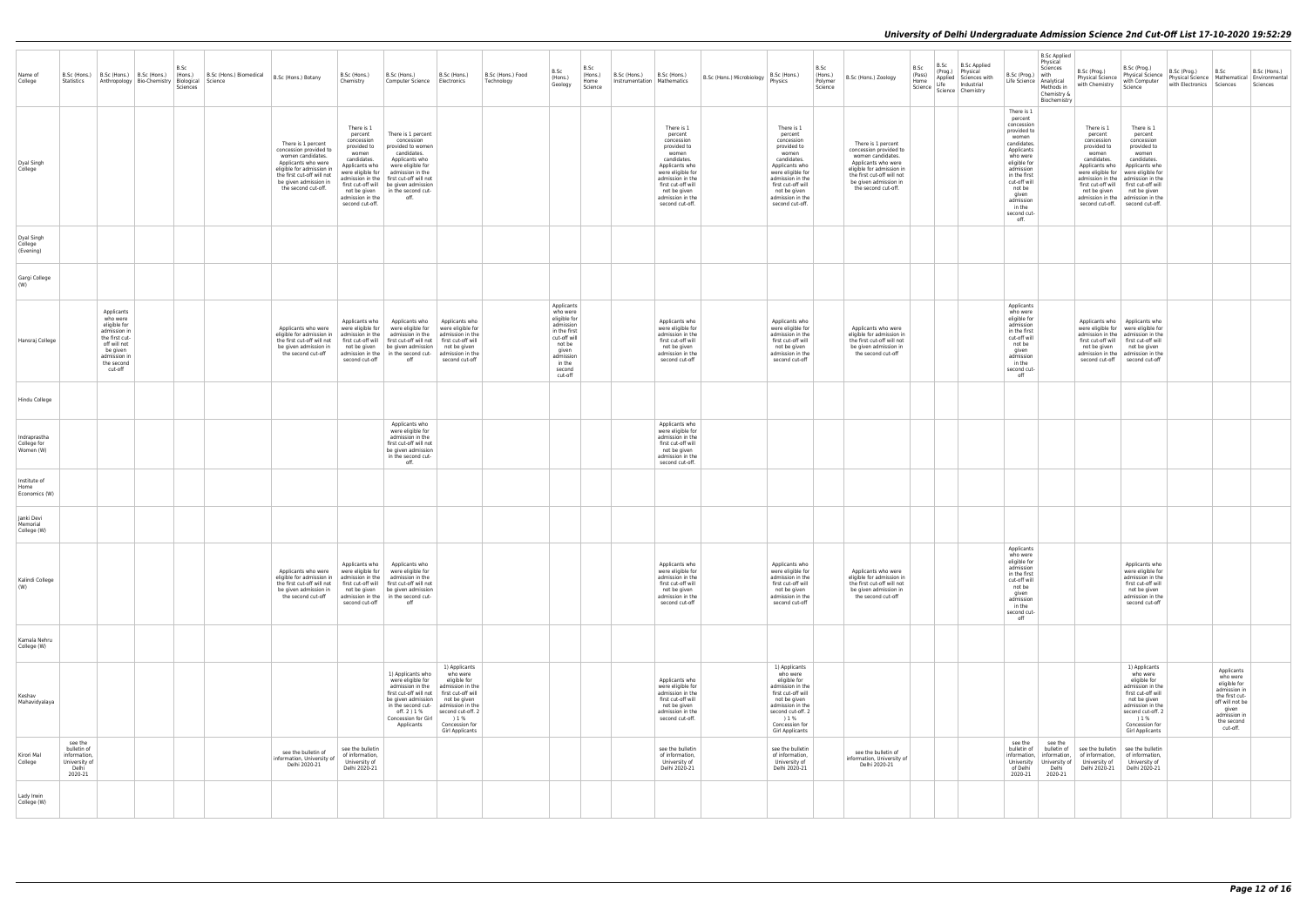| Name of<br>College                       | Statistics                                                                  | B.Sc (Hons.) B.Sc (Hons.) B.Sc (Hons.) (Hons.)<br>Anthropology Bio-Chemistry Biological Science                                               | B.Sc<br>Sciences | B.Sc (Hons.) Biomedical   B.Sc (Hons.) Botany |                                                                                                                                                                                                     | B.Sc (Hons.)<br>Chemistry                                                                                                                                | B.Sc (Hons.)<br>Computer Science   Electronics                                                                                                                                                                                                                       | B.Sc (Hons.)                                                                                                                                                                                                                                                                 | B.Sc (Hons.) Food<br>Technology | B.Sc<br>(Hons.)<br>Geology                                                                                                                         | B.Sc<br>(Hons.)<br>Home<br>Science | B.Sc (Hons.) B.Sc (Hons.) | Instrumentation   Mathematics                                                                                                                                                                                      | B.Sc (Hons.) Microbiology | B.Sc (Hons.)<br>Physics                                                                                                                                                                                            | B.Sc<br>(Hons.)<br>Polymer<br>Science | B.Sc (Hons.) Zoology                                                                                                                                                                                | B.Sc<br>(Pass)<br>Home | B.Sc | B.Sc Applied<br>(Prog.) Physical<br>Applied Sciences with<br>Life   Industrial<br>Science   Science   Chemistry | B.Sc (Prog.)   with<br>Life Science   Analytical                                                                                                                                                                                   | <b>B.Sc Applied</b><br>Physical<br>Sciences<br>Methods in<br>Chemistry &<br>Biochemistry | B.Sc (Prog.)<br>with Chemistry                                             | B.Sc (Prog.)<br>Science                                                                                                                                                                                                                                                                                                                             | B.Sc (Prog.)<br>B.Sc<br>B.SC (Prog.)<br>Physical Science Bhysical Science Mathematical Environmental<br>with Chamietry with Computer with Flectronics Sciences Sciences<br>with Electronics Sciences | B.Sc (Hons.)<br>Sciences |
|------------------------------------------|-----------------------------------------------------------------------------|-----------------------------------------------------------------------------------------------------------------------------------------------|------------------|-----------------------------------------------|-----------------------------------------------------------------------------------------------------------------------------------------------------------------------------------------------------|----------------------------------------------------------------------------------------------------------------------------------------------------------|----------------------------------------------------------------------------------------------------------------------------------------------------------------------------------------------------------------------------------------------------------------------|------------------------------------------------------------------------------------------------------------------------------------------------------------------------------------------------------------------------------------------------------------------------------|---------------------------------|----------------------------------------------------------------------------------------------------------------------------------------------------|------------------------------------|---------------------------|--------------------------------------------------------------------------------------------------------------------------------------------------------------------------------------------------------------------|---------------------------|--------------------------------------------------------------------------------------------------------------------------------------------------------------------------------------------------------------------|---------------------------------------|-----------------------------------------------------------------------------------------------------------------------------------------------------------------------------------------------------|------------------------|------|-----------------------------------------------------------------------------------------------------------------|------------------------------------------------------------------------------------------------------------------------------------------------------------------------------------------------------------------------------------|------------------------------------------------------------------------------------------|----------------------------------------------------------------------------|-----------------------------------------------------------------------------------------------------------------------------------------------------------------------------------------------------------------------------------------------------------------------------------------------------------------------------------------------------|------------------------------------------------------------------------------------------------------------------------------------------------------------------------------------------------------|--------------------------|
| Dyal Singh<br>College                    |                                                                             |                                                                                                                                               |                  |                                               | There is 1 percent<br>concession provided to<br>women candidates.<br>Applicants who were<br>eligible for admission in<br>the first cut-off will not<br>be given admission in<br>the second cut-off. | There is 1<br>percent<br>concession<br>provided to<br>women<br>candidates.<br>Applicants who<br>were eligible for<br>admission in the<br>second cut-off. | There is 1 percent<br>concession<br>provided to women<br>candidates.<br>Applicants who<br>were eligible for<br>admission in the<br>admission in the   first cut-off will not<br>first cut-off will   be given admission<br>not be given   in the second cut-<br>off. |                                                                                                                                                                                                                                                                              |                                 |                                                                                                                                                    |                                    |                           | There is 1<br>percent<br>concession<br>provided to<br>women<br>candidates.<br>Applicants who<br>were eligible for<br>admission in the<br>first cut-off will<br>not be given<br>admission in the<br>second cut-off. |                           | There is 1<br>percent<br>concession<br>provided to<br>women<br>candidates.<br>Applicants who<br>were eligible for<br>admission in the<br>first cut-off will<br>not be given<br>admission in the<br>second cut-off. |                                       | There is 1 percent<br>concession provided to<br>women candidates.<br>Applicants who were<br>eligible for admission in<br>the first cut-off will not<br>be given admission in<br>the second cut-off. |                        |      |                                                                                                                 | There is 1<br>percent<br>concession<br>provided to<br>women<br>candidates.<br>Applicants<br>who were<br>eligible for<br>admission<br>in the first<br>cut-off will<br>not be<br>given<br>admission<br>in the<br>second cut-<br>off. |                                                                                          | There is 1<br>percent<br>concession<br>provided to<br>women<br>candidates. | There is 1<br>percent<br>concession<br>provided to<br>women<br>candidates.<br>Applicants who   Applicants who<br>were eligible for   were eligible for<br>admission in the $ $ admission in the<br>first cut-off will   first cut-off will<br>not be given   not be given<br>admission in the admission in the<br>second cut-off.   second cut-off. |                                                                                                                                                                                                      |                          |
| Dyal Singh<br>College<br>(Evening)       |                                                                             |                                                                                                                                               |                  |                                               |                                                                                                                                                                                                     |                                                                                                                                                          |                                                                                                                                                                                                                                                                      |                                                                                                                                                                                                                                                                              |                                 |                                                                                                                                                    |                                    |                           |                                                                                                                                                                                                                    |                           |                                                                                                                                                                                                                    |                                       |                                                                                                                                                                                                     |                        |      |                                                                                                                 |                                                                                                                                                                                                                                    |                                                                                          |                                                                            |                                                                                                                                                                                                                                                                                                                                                     |                                                                                                                                                                                                      |                          |
| Gargi College<br>(W)                     |                                                                             |                                                                                                                                               |                  |                                               |                                                                                                                                                                                                     |                                                                                                                                                          |                                                                                                                                                                                                                                                                      |                                                                                                                                                                                                                                                                              |                                 |                                                                                                                                                    |                                    |                           |                                                                                                                                                                                                                    |                           |                                                                                                                                                                                                                    |                                       |                                                                                                                                                                                                     |                        |      |                                                                                                                 |                                                                                                                                                                                                                                    |                                                                                          |                                                                            |                                                                                                                                                                                                                                                                                                                                                     |                                                                                                                                                                                                      |                          |
| Hansraj College                          |                                                                             | Applicants<br>who were<br>eligible for<br>admission in<br>the first cut-<br>off will not<br>be given<br>admission in<br>the second<br>cut-off |                  |                                               | Applicants who were<br>eligible for admission in<br>the first cut-off will not<br>be given admission in<br>the second cut-off                                                                       | Applicants who<br>were eligible for<br>admission in the<br>not be given<br>second cut-off                                                                | Applicants who<br>were eligible for<br>admission in the<br>be given admission<br>off                                                                                                                                                                                 | Applicants who<br>were eligible for<br>admission in the<br>first cut-off will   first cut-off will not   first cut-off will<br>not be given<br>admission in the   in the second cut-   admission in the<br>second cut-off                                                    |                                 | Applicants<br>who were<br>eligible for<br>admission<br>in the first<br>cut-off will<br>not be<br>given<br>admission<br>in the<br>second<br>cut-off |                                    |                           | Applicants who<br>were eligible for<br>admission in the<br>first cut-off will<br>not be given<br>admission in the<br>second cut-off                                                                                |                           | Applicants who<br>were eligible for<br>admission in the<br>first cut-off will<br>not be given<br>admission in the<br>second cut-off                                                                                |                                       | Applicants who were<br>eligible for admission in<br>the first cut-off will not<br>be given admission in<br>the second cut-off                                                                       |                        |      |                                                                                                                 | Applicants<br>who were<br>eligible for<br>admission<br>in the first<br>cut-off will<br>not be<br>given<br>admission<br>in the<br>second cut-<br>off                                                                                |                                                                                          |                                                                            | Applicants who   Applicants who<br>were eligible for   were eligible for<br>admission in the admission in the<br>first cut-off will   first cut-off will<br>not be given   not be given<br>admission in the   admission in the<br>second cut-off second cut-off                                                                                     |                                                                                                                                                                                                      |                          |
| Hindu College                            |                                                                             |                                                                                                                                               |                  |                                               |                                                                                                                                                                                                     |                                                                                                                                                          |                                                                                                                                                                                                                                                                      |                                                                                                                                                                                                                                                                              |                                 |                                                                                                                                                    |                                    |                           |                                                                                                                                                                                                                    |                           |                                                                                                                                                                                                                    |                                       |                                                                                                                                                                                                     |                        |      |                                                                                                                 |                                                                                                                                                                                                                                    |                                                                                          |                                                                            |                                                                                                                                                                                                                                                                                                                                                     |                                                                                                                                                                                                      |                          |
| Indraprastha<br>College for<br>Women (W) |                                                                             |                                                                                                                                               |                  |                                               |                                                                                                                                                                                                     |                                                                                                                                                          | Applicants who<br>were eligible for<br>admission in the<br>first cut-off will not<br>be given admission<br>in the second cut-<br>off.                                                                                                                                |                                                                                                                                                                                                                                                                              |                                 |                                                                                                                                                    |                                    |                           | Applicants who<br>were eligible for<br>admission in the<br>first cut-off will<br>not be given<br>admission in the<br>second cut-off.                                                                               |                           |                                                                                                                                                                                                                    |                                       |                                                                                                                                                                                                     |                        |      |                                                                                                                 |                                                                                                                                                                                                                                    |                                                                                          |                                                                            |                                                                                                                                                                                                                                                                                                                                                     |                                                                                                                                                                                                      |                          |
| Institute of<br>Home<br>Economics (W)    |                                                                             |                                                                                                                                               |                  |                                               |                                                                                                                                                                                                     |                                                                                                                                                          |                                                                                                                                                                                                                                                                      |                                                                                                                                                                                                                                                                              |                                 |                                                                                                                                                    |                                    |                           |                                                                                                                                                                                                                    |                           |                                                                                                                                                                                                                    |                                       |                                                                                                                                                                                                     |                        |      |                                                                                                                 |                                                                                                                                                                                                                                    |                                                                                          |                                                                            |                                                                                                                                                                                                                                                                                                                                                     |                                                                                                                                                                                                      |                          |
| Janki Devi<br>Memorial<br>College (W)    |                                                                             |                                                                                                                                               |                  |                                               |                                                                                                                                                                                                     |                                                                                                                                                          |                                                                                                                                                                                                                                                                      |                                                                                                                                                                                                                                                                              |                                 |                                                                                                                                                    |                                    |                           |                                                                                                                                                                                                                    |                           |                                                                                                                                                                                                                    |                                       |                                                                                                                                                                                                     |                        |      |                                                                                                                 |                                                                                                                                                                                                                                    |                                                                                          |                                                                            |                                                                                                                                                                                                                                                                                                                                                     |                                                                                                                                                                                                      |                          |
| Kalindi College<br>(W)                   |                                                                             |                                                                                                                                               |                  |                                               | Applicants who were<br>eligible for admission in<br>the first cut-off will not<br>be given admission in<br>the second cut-off                                                                       | Applicants who<br>were eligible for<br>not be given<br>second cut-off                                                                                    | Applicants who<br>were eligible for<br>admission in the admission in the<br>first cut-off will   first cut-off will not<br>be given admission<br>admission in the in the second cut-<br>off                                                                          |                                                                                                                                                                                                                                                                              |                                 |                                                                                                                                                    |                                    |                           | Applicants who<br>were eligible for<br>admission in the<br>first cut-off will<br>not be given<br>admission in the<br>second cut-off                                                                                |                           | Applicants who<br>were eligible for<br>admission in the<br>first cut-off will<br>not be given<br>admission in the<br>second cut-off                                                                                |                                       | Applicants who were<br>eligible for admission in<br>the first cut-off will not<br>be given admission in<br>the second cut-off                                                                       |                        |      |                                                                                                                 | Applicants<br>who were<br>eligible for<br>admission<br>in the first<br>cut-off will<br>not be<br>given<br>admission<br>in the<br>second cut-<br>off                                                                                |                                                                                          |                                                                            | Applicants who<br>were eligible for<br>admission in the<br>first cut-off will<br>not be given<br>admission in the<br>second cut-off                                                                                                                                                                                                                 |                                                                                                                                                                                                      |                          |
| Kamala Nehru<br>College (W)              |                                                                             |                                                                                                                                               |                  |                                               |                                                                                                                                                                                                     |                                                                                                                                                          |                                                                                                                                                                                                                                                                      |                                                                                                                                                                                                                                                                              |                                 |                                                                                                                                                    |                                    |                           |                                                                                                                                                                                                                    |                           |                                                                                                                                                                                                                    |                                       |                                                                                                                                                                                                     |                        |      |                                                                                                                 |                                                                                                                                                                                                                                    |                                                                                          |                                                                            |                                                                                                                                                                                                                                                                                                                                                     |                                                                                                                                                                                                      |                          |
| Keshav<br>Mahavidyalaya                  |                                                                             |                                                                                                                                               |                  |                                               |                                                                                                                                                                                                     |                                                                                                                                                          | 1) Applicants who<br>were eligible for<br>off. 2 ) 1 %<br>Concession for Girl<br>Applicants                                                                                                                                                                          | 1) Applicants<br>who were<br>eligible for<br>admission in the admission in the<br>first cut-off will not   first cut-off will<br>be given admission   not be given<br>in the second cut- admission in the<br>second cut-off. 2<br>) 1 %<br>Concession for<br>Girl Applicants |                                 |                                                                                                                                                    |                                    |                           | Applicants who<br>were eligible for<br>admission in the<br>first cut-off will<br>not be given<br>admission in the<br>second cut-off.                                                                               |                           | 1) Applicants<br>who were<br>eligible for<br>admission in the<br>first cut-off will<br>not be given<br>admission in the<br>second cut-off. 2<br>) 1 %<br>Concession for<br>Girl Applicants                         |                                       |                                                                                                                                                                                                     |                        |      |                                                                                                                 |                                                                                                                                                                                                                                    |                                                                                          |                                                                            | 1) Applicants<br>who were<br>eligible for<br>admission in the<br>first cut-off will<br>not be given<br>admission in the<br>second cut-off. 2<br>) 1 %<br>Concession for<br>Girl Applicants                                                                                                                                                          | Applicants<br>who were<br>eligible for<br>admission in<br>the first cut-<br>off will not be<br>given<br>admission in<br>the second<br>cut-off.                                                       |                          |
| Kirori Mal<br>College                    | see the<br>bulletin of<br>information,<br>University of<br>Delhi<br>2020-21 |                                                                                                                                               |                  |                                               | see the bulletin of<br>information, University of<br>Delhi 2020-21                                                                                                                                  | see the bulletin<br>of information,<br>University of<br>Delhi 2020-21                                                                                    |                                                                                                                                                                                                                                                                      |                                                                                                                                                                                                                                                                              |                                 |                                                                                                                                                    |                                    |                           | see the bulletin<br>of information,<br>University of<br>Delhi 2020-21                                                                                                                                              |                           | see the bulletin<br>of information,<br>University of<br>Delhi 2020-21                                                                                                                                              |                                       | see the bulletin of<br>information, University of<br>Delhi 2020-21                                                                                                                                  |                        |      |                                                                                                                 | see the<br>bulletin of<br>information,<br>University<br>of Delhi<br>2020-21                                                                                                                                                        | see the<br>bulletin of<br>information,<br>University of<br>Delhi<br>2020-21              | see the bulletin<br>of information,<br>University of<br>Delhi 2020-21      | see the bulletin<br>of information,<br>University of<br>Delhi 2020-21                                                                                                                                                                                                                                                                               |                                                                                                                                                                                                      |                          |
| Lady Irwin<br>College (W)                |                                                                             |                                                                                                                                               |                  |                                               |                                                                                                                                                                                                     |                                                                                                                                                          |                                                                                                                                                                                                                                                                      |                                                                                                                                                                                                                                                                              |                                 |                                                                                                                                                    |                                    |                           |                                                                                                                                                                                                                    |                           |                                                                                                                                                                                                                    |                                       |                                                                                                                                                                                                     |                        |      |                                                                                                                 |                                                                                                                                                                                                                                    |                                                                                          |                                                                            |                                                                                                                                                                                                                                                                                                                                                     |                                                                                                                                                                                                      |                          |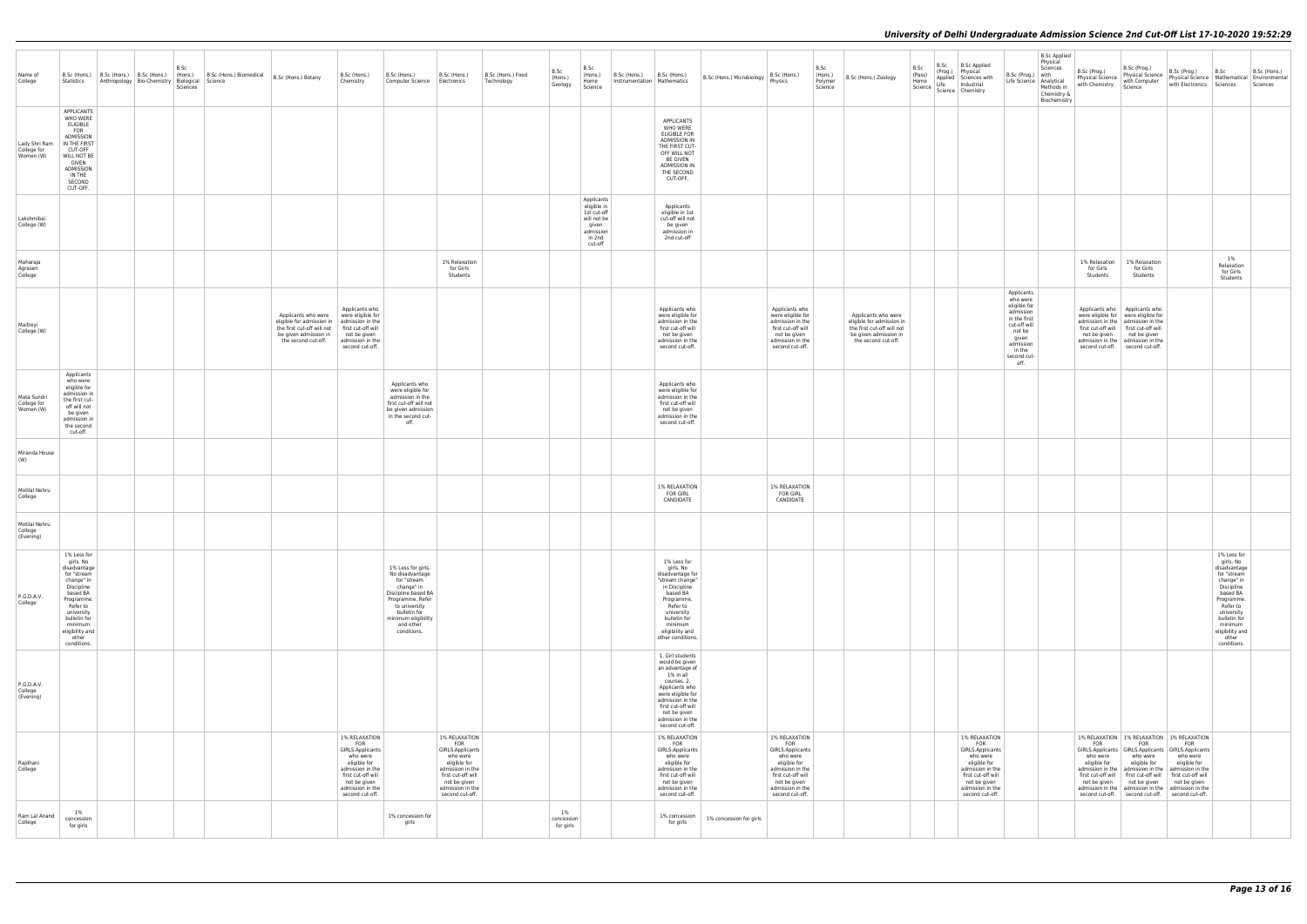| Name of<br>College                        | Statistics                                                                                                                                                                                                    | B.Sc<br>B.Sc (Hons.) B.Sc (Hons.) B.Sc (Hons.) (Hons.) B.Sc (Hons.) Biomedical B.Sc (Hons.) Botany<br>Anthropology   Bio-Chemistry   Biological   Science<br>Sciences |                                                                                                                                                                                                             | B.Sc (Hons.)<br>Chemistry                                                                                                                                                    | B.Sc (Hons.)<br>Computer Science   Electronics                                                                                                                                                    | B.Sc (Hons.)                                                                                                                                                                 | B.Sc (Hons.) Food<br>Technology | B.Sc<br>(Hons.)<br>Geology    | B.Sc<br>(Hons.)<br>Home<br>Science                                                                 | B.Sc (Hons.) B.Sc (Hons.)<br>Instrumentation   Mathematics |                                                                                                                                                                                                                           | B.Sc (Hons.) Microbiology | B.Sc (Hons.)<br>Physics                                                                                                                                                      | B.Sc<br>(Hons.)<br>Polymer<br>Science | B.Sc (Hons.) Zoology                                                                                                           | B.Sc<br>(Pass)<br>Home<br>Science   Science   Chemistry | B.Sc B.Sc Applied<br>(Prog.) Physical<br>Applied   Sciences with<br>Life Industrial                                                                                          | B.Sc (Prog.) with<br>Life Science   Analytical                                                                                                       | B.Sc Applied<br>Physical<br>Sciences<br>Methods in<br>Chemistry &<br>Biochemistry | B.Sc (Prog.)<br>B.SC (Prog.)<br>Physical Science   Physical Science   Mathematical Environmental<br>with Chemistry   with Computer   with Electronics   Sciences   Sciences   Sciences   Sciences   Sciences   Sciences   Sciences   Sciences   Sci<br>with Chemistry | B.Sc (Prog.)<br>Science                                                                                                                                                                                                        | B.Sc (Prog.)<br>with Electronics Sciences                                                                                                                                                                                                                                                           | B.Sc                                                                                                                                                                                                          | B.Sc (Hons.)<br>Sciences |
|-------------------------------------------|---------------------------------------------------------------------------------------------------------------------------------------------------------------------------------------------------------------|-----------------------------------------------------------------------------------------------------------------------------------------------------------------------|-------------------------------------------------------------------------------------------------------------------------------------------------------------------------------------------------------------|------------------------------------------------------------------------------------------------------------------------------------------------------------------------------|---------------------------------------------------------------------------------------------------------------------------------------------------------------------------------------------------|------------------------------------------------------------------------------------------------------------------------------------------------------------------------------|---------------------------------|-------------------------------|----------------------------------------------------------------------------------------------------|------------------------------------------------------------|---------------------------------------------------------------------------------------------------------------------------------------------------------------------------------------------------------------------------|---------------------------|------------------------------------------------------------------------------------------------------------------------------------------------------------------------------|---------------------------------------|--------------------------------------------------------------------------------------------------------------------------------|---------------------------------------------------------|------------------------------------------------------------------------------------------------------------------------------------------------------------------------------|------------------------------------------------------------------------------------------------------------------------------------------------------|-----------------------------------------------------------------------------------|-----------------------------------------------------------------------------------------------------------------------------------------------------------------------------------------------------------------------------------------------------------------------|--------------------------------------------------------------------------------------------------------------------------------------------------------------------------------------------------------------------------------|-----------------------------------------------------------------------------------------------------------------------------------------------------------------------------------------------------------------------------------------------------------------------------------------------------|---------------------------------------------------------------------------------------------------------------------------------------------------------------------------------------------------------------|--------------------------|
| Lady Shri Ram<br>College for<br>Women (W) | APPLICANTS<br>WHO WERE<br><b>ELIGIBLE</b><br>FOR<br>ADMISSION<br>IN THE FIRST<br>CUT-OFF<br><b>WILL NOT BE</b><br><b>GIVEN</b><br>ADMISSION<br>IN THE<br>SECOND<br>CUT-OFF.                                   |                                                                                                                                                                       |                                                                                                                                                                                                             |                                                                                                                                                                              |                                                                                                                                                                                                   |                                                                                                                                                                              |                                 |                               |                                                                                                    |                                                            | APPLICANTS<br>WHO WERE<br><b>ELIGIBLE FOR</b><br>ADMISSION IN<br>THE FIRST CUT-<br>OFF WILL NOT<br><b>BE GIVEN</b><br><b>ADMISSION IN</b><br>THE SECOND<br>CUT-OFF.                                                       |                           |                                                                                                                                                                              |                                       |                                                                                                                                |                                                         |                                                                                                                                                                              |                                                                                                                                                      |                                                                                   |                                                                                                                                                                                                                                                                       |                                                                                                                                                                                                                                |                                                                                                                                                                                                                                                                                                     |                                                                                                                                                                                                               |                          |
| Lakshmibai<br>College (W)                 |                                                                                                                                                                                                               |                                                                                                                                                                       |                                                                                                                                                                                                             |                                                                                                                                                                              |                                                                                                                                                                                                   |                                                                                                                                                                              |                                 |                               | Applicants<br>eligible in<br>1st cut-off<br>will not be<br>given<br>admission<br>in 2nd<br>cut-off |                                                            | Applicants<br>eligible in 1st<br>cut-off will not<br>be given<br>admission in<br>2nd cut-off                                                                                                                              |                           |                                                                                                                                                                              |                                       |                                                                                                                                |                                                         |                                                                                                                                                                              |                                                                                                                                                      |                                                                                   |                                                                                                                                                                                                                                                                       |                                                                                                                                                                                                                                |                                                                                                                                                                                                                                                                                                     |                                                                                                                                                                                                               |                          |
| Maharaja<br>Agrasen<br>College            |                                                                                                                                                                                                               |                                                                                                                                                                       |                                                                                                                                                                                                             |                                                                                                                                                                              |                                                                                                                                                                                                   | 1% Relaxation<br>for Girls<br>Students                                                                                                                                       |                                 |                               |                                                                                                    |                                                            |                                                                                                                                                                                                                           |                           |                                                                                                                                                                              |                                       |                                                                                                                                |                                                         |                                                                                                                                                                              |                                                                                                                                                      |                                                                                   | 1% Relaxation<br>for Girls<br>Students                                                                                                                                                                                                                                | 1% Relaxation<br>for Girls<br>Students                                                                                                                                                                                         |                                                                                                                                                                                                                                                                                                     | $1\%$<br>Relaxation<br>for Girls<br>Students                                                                                                                                                                  |                          |
| Maitreyi<br>College (W)                   |                                                                                                                                                                                                               |                                                                                                                                                                       | Applicants who were were eligible for<br>eligible for admission in   admission in the<br>the first cut-off will not   first cut-off will<br>be given admission in<br>the second cut-off.   admission in the | Applicants who<br>not be given<br>second cut-off.                                                                                                                            |                                                                                                                                                                                                   |                                                                                                                                                                              |                                 |                               |                                                                                                    |                                                            | Applicants who<br>were eligible for<br>admission in the<br>first cut-off will<br>not be given<br>admission in the<br>second cut-off.                                                                                      |                           | Applicants who<br>were eligible for<br>admission in the<br>first cut-off will<br>not be given<br>admission in the<br>second cut-off.                                         |                                       | Applicants who were<br>eligible for admission in<br>the first cut-off will not<br>be given admission in<br>the second cut-off. |                                                         |                                                                                                                                                                              | Applicants<br>who were<br>eligible for<br>admission<br>in the first<br>cut-off will<br>not be<br>given<br>admission<br>in the<br>second cut-<br>off. |                                                                                   | second cut-off.   second cut-off.                                                                                                                                                                                                                                     | Applicants who   Applicants who<br>were eligible for   were eligible for<br>admission in the admission in the<br>first cut-off will   first cut-off will<br>not be given   not be given<br>admission in the   admission in the |                                                                                                                                                                                                                                                                                                     |                                                                                                                                                                                                               |                          |
| Mata Sundri<br>College for<br>Women (W)   | Applicants<br>who were<br>eligible for<br>admission in<br>the first cut-<br>off will not<br>be given<br>admission in<br>the second<br>cut-off.                                                                |                                                                                                                                                                       |                                                                                                                                                                                                             |                                                                                                                                                                              | Applicants who<br>were eligible for<br>admission in the<br>first cut-off will not<br>be given admission<br>in the second cut-<br>off.                                                             |                                                                                                                                                                              |                                 |                               |                                                                                                    |                                                            | Applicants who<br>were eligible for<br>admission in the<br>first cut-off will<br>not be given<br>admission in the<br>second cut-off.                                                                                      |                           |                                                                                                                                                                              |                                       |                                                                                                                                |                                                         |                                                                                                                                                                              |                                                                                                                                                      |                                                                                   |                                                                                                                                                                                                                                                                       |                                                                                                                                                                                                                                |                                                                                                                                                                                                                                                                                                     |                                                                                                                                                                                                               |                          |
| Miranda House<br>(W)                      |                                                                                                                                                                                                               |                                                                                                                                                                       |                                                                                                                                                                                                             |                                                                                                                                                                              |                                                                                                                                                                                                   |                                                                                                                                                                              |                                 |                               |                                                                                                    |                                                            |                                                                                                                                                                                                                           |                           |                                                                                                                                                                              |                                       |                                                                                                                                |                                                         |                                                                                                                                                                              |                                                                                                                                                      |                                                                                   |                                                                                                                                                                                                                                                                       |                                                                                                                                                                                                                                |                                                                                                                                                                                                                                                                                                     |                                                                                                                                                                                                               |                          |
| Motilal Nehru<br>College                  |                                                                                                                                                                                                               |                                                                                                                                                                       |                                                                                                                                                                                                             |                                                                                                                                                                              |                                                                                                                                                                                                   |                                                                                                                                                                              |                                 |                               |                                                                                                    |                                                            | 1% RELAXATION<br><b>FOR GIRL</b><br>CANDIDATE                                                                                                                                                                             |                           | <b>1% RELAXATION</b><br><b>FOR GIRL</b><br>CANDIDATE                                                                                                                         |                                       |                                                                                                                                |                                                         |                                                                                                                                                                              |                                                                                                                                                      |                                                                                   |                                                                                                                                                                                                                                                                       |                                                                                                                                                                                                                                |                                                                                                                                                                                                                                                                                                     |                                                                                                                                                                                                               |                          |
| Motilal Nehru<br>College<br>(Evening)     |                                                                                                                                                                                                               |                                                                                                                                                                       |                                                                                                                                                                                                             |                                                                                                                                                                              |                                                                                                                                                                                                   |                                                                                                                                                                              |                                 |                               |                                                                                                    |                                                            |                                                                                                                                                                                                                           |                           |                                                                                                                                                                              |                                       |                                                                                                                                |                                                         |                                                                                                                                                                              |                                                                                                                                                      |                                                                                   |                                                                                                                                                                                                                                                                       |                                                                                                                                                                                                                                |                                                                                                                                                                                                                                                                                                     |                                                                                                                                                                                                               |                          |
| P.G.D.A.V.<br>College                     | 1% Less for<br>girls. No<br>disadvantage<br>for "stream<br>change" in<br>Discipline<br>based BA<br>Programme.<br>Refer to<br>university<br>bulletin for<br>minimum<br>eligibility and<br>other<br>conditions. |                                                                                                                                                                       |                                                                                                                                                                                                             |                                                                                                                                                                              | 1% Less for girls.<br>No disadvantage<br>for "stream<br>change" in<br>Discipline based BA<br>Programme. Refer<br>to university<br>bulletin for<br>minimum eligibility<br>and other<br>conditions. |                                                                                                                                                                              |                                 |                               |                                                                                                    |                                                            | 1% Less for<br>girls. No<br>disadvantage for<br>"stream change"<br>in Discipline<br>based BA<br>Programme.<br>Refer to<br>university<br>bulletin for<br>minimum<br>eligibility and<br>other conditions.                   |                           |                                                                                                                                                                              |                                       |                                                                                                                                |                                                         |                                                                                                                                                                              |                                                                                                                                                      |                                                                                   |                                                                                                                                                                                                                                                                       |                                                                                                                                                                                                                                |                                                                                                                                                                                                                                                                                                     | 1% Less for<br>girls. No<br>disadvantage<br>for "stream<br>change" in<br>Discipline<br>based BA<br>Programme.<br>Refer to<br>university<br>bulletin for<br>minimum<br>eligibility and<br>other<br>conditions. |                          |
| P.G.D.A.V.<br>College<br>(Evening)        |                                                                                                                                                                                                               |                                                                                                                                                                       |                                                                                                                                                                                                             |                                                                                                                                                                              |                                                                                                                                                                                                   |                                                                                                                                                                              |                                 |                               |                                                                                                    |                                                            | 1. Girl students<br>would be given<br>an advantage of<br>1% in all<br>courses. 2.<br>Applicants who<br>were eligible for<br>admission in the<br>first cut-off will<br>not be given<br>admission in the<br>second cut-off. |                           |                                                                                                                                                                              |                                       |                                                                                                                                |                                                         |                                                                                                                                                                              |                                                                                                                                                      |                                                                                   |                                                                                                                                                                                                                                                                       |                                                                                                                                                                                                                                |                                                                                                                                                                                                                                                                                                     |                                                                                                                                                                                                               |                          |
| Rajdhani<br>College                       |                                                                                                                                                                                                               |                                                                                                                                                                       |                                                                                                                                                                                                             | 1% RELAXATION<br><b>FOR</b><br>GIRLS.Applicants<br>who were<br>eligible for<br>admission in the<br>first cut-off will<br>not be given<br>admission in the<br>second cut-off. |                                                                                                                                                                                                   | 1% RELAXATION<br><b>FOR</b><br>GIRLS.Applicants<br>who were<br>eligible for<br>admission in the<br>first cut-off will<br>not be given<br>admission in the<br>second cut-off. |                                 |                               |                                                                                                    |                                                            | 1% RELAXATION<br><b>FOR</b><br>GIRLS.Applicants<br>who were<br>eligible for<br>admission in the<br>first cut-off will<br>not be given<br>admission in the<br>second cut-off.                                              |                           | 1% RELAXATION<br><b>FOR</b><br>GIRLS.Applicants<br>who were<br>eligible for<br>admission in the<br>first cut-off will<br>not be given<br>admission in the<br>second cut-off. |                                       |                                                                                                                                |                                                         | 1% RELAXATION<br><b>FOR</b><br>GIRLS.Applicants<br>who were<br>eligible for<br>admission in the<br>first cut-off will<br>not be given<br>admission in the<br>second cut-off. |                                                                                                                                                      |                                                                                   | <b>FOR</b><br>who were<br>eligible for<br>not be given                                                                                                                                                                                                                | FOR<br>who were<br>eligible for<br>first cut-off will   first cut-off will<br>not be given<br>second cut-off.   second cut-off.   second cut-off.                                                                              | 1% RELAXATION   1% RELAXATION   1% RELAXATION<br><b>FOR</b><br>GIRLS.Applicants   GIRLS.Applicants   GIRLS.Applicants<br>who were<br>eligible for<br>admission in the admission in the admission in the<br>first cut-off will<br>not be given<br>admission in the admission in the admission in the |                                                                                                                                                                                                               |                          |
| Ram Lal Anand<br>College                  | 1%<br>concession<br>for girls                                                                                                                                                                                 |                                                                                                                                                                       |                                                                                                                                                                                                             |                                                                                                                                                                              | 1% concession for<br>girls                                                                                                                                                                        |                                                                                                                                                                              |                                 | 1%<br>concession<br>for girls |                                                                                                    |                                                            | 1% concession<br>for girls                                                                                                                                                                                                | 1% concession for girls   |                                                                                                                                                                              |                                       |                                                                                                                                |                                                         |                                                                                                                                                                              |                                                                                                                                                      |                                                                                   |                                                                                                                                                                                                                                                                       |                                                                                                                                                                                                                                |                                                                                                                                                                                                                                                                                                     |                                                                                                                                                                                                               |                          |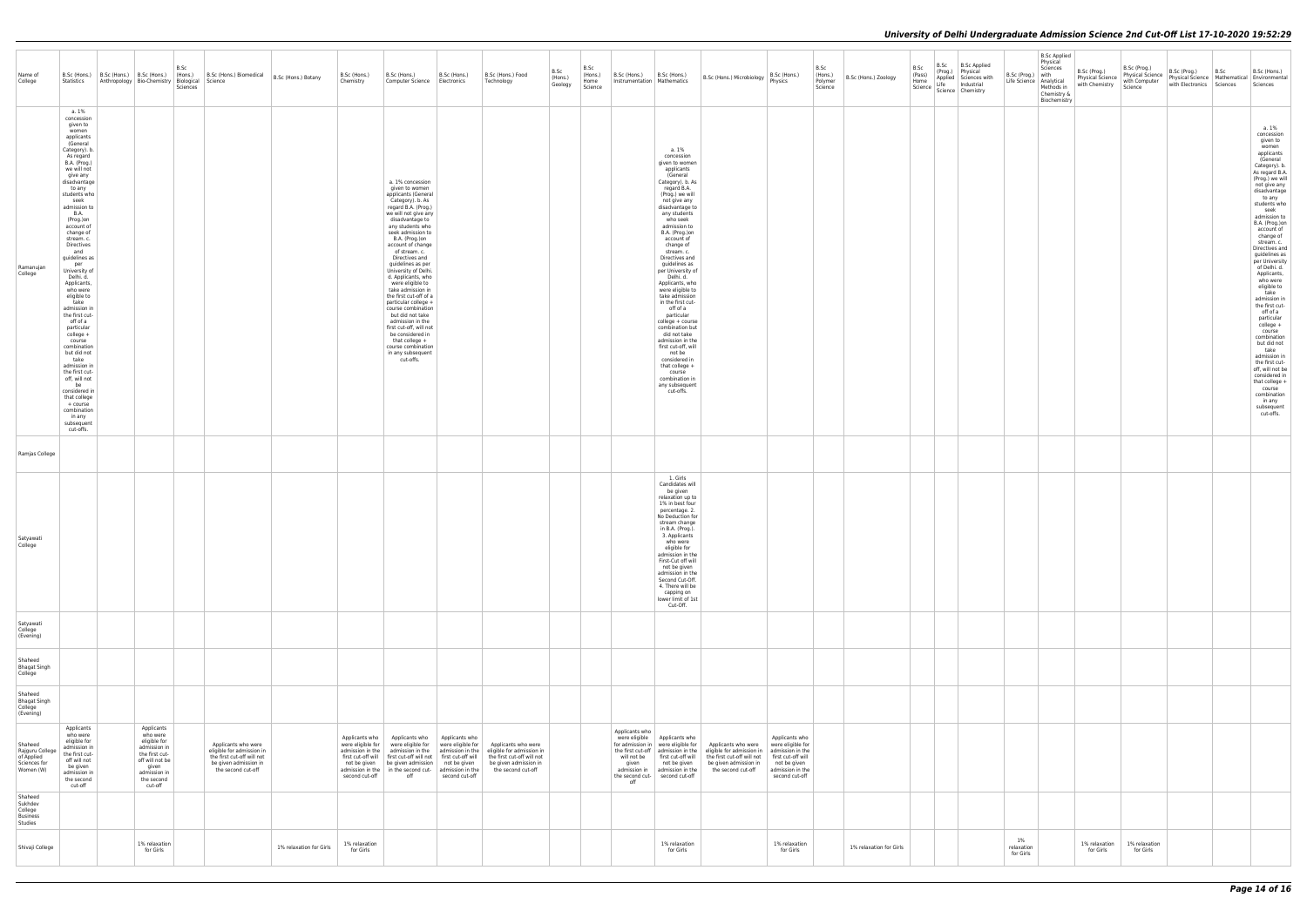| Name of<br>College                                                    |                                                                                                                                                                                                                                                                                                                                                                                                                                                                                                                                                                                                                                                                                                    | B.Sc (Hons.) B.Sc (Hons.) B.Sc (Hons.) (Hons.) B.Sc (Hons.) Biomedical B.Sc (Hons.) Botany<br>Statistics   Anthropology   Bio-Chemistry   Biological   Science | B.Sc<br>Sciences |                                                                                                                               |                         | B.Sc (Hons.)<br>Chemistry  | B.Sc (Hons.)<br>Computer Science   Electronics                                                                                                                                                                                                                                                                                                                                                                                                                                                                                                                                                                          | B.Sc (Hons.)   | B.Sc (Hons.) Food<br>Technology                                                                                                                                                                                                                                                                           | B.Sc<br>(Hons.)<br>Geology | B.Sc<br>(Hons.)<br>Home<br>Science | B.Sc (Hons.) B.Sc (Hons.)<br>Instrumentation   Mathematics |                                                                                                                                                                                                                                                                                                                                                                                                                                                                                                                                                                                                                                                        | B.Sc (Hons.) Microbiology B.Sc (Hons.)                                                                                        |                                                                                                                                     | B.Sc<br>(Hons.)<br>Polymer<br>Science | B.Sc (Hons.) Zoology    | B.Sc<br>(Pass)<br>Home<br>Science   Science   Chemistry | B.Sc B.Sc Applied<br>(Prog.) Physical<br>Applied Sciences with<br>Life Industrial | B.Sc (Prog.) with<br>Life Science   Analytical | B.Sc Applied<br>Physical<br>Sciences<br>Methods in<br>Chemistry &<br>Biochemistry | B.Sc (Prog.)<br>Physical Science   Filyance December<br>with Chemistry | B.Sc (Prog.)<br><b>Physical Science</b><br>Science | B.Sc (Prog.)<br>Physical Science   Mathematical   Environmental<br>with Electronics Sciences | B.Sc | B.Sc (Hons.)<br>Sciences                                                                                                                                                                                                                                                                                                                                                                                                                                                                                                                                                                                                                                                     |
|-----------------------------------------------------------------------|----------------------------------------------------------------------------------------------------------------------------------------------------------------------------------------------------------------------------------------------------------------------------------------------------------------------------------------------------------------------------------------------------------------------------------------------------------------------------------------------------------------------------------------------------------------------------------------------------------------------------------------------------------------------------------------------------|----------------------------------------------------------------------------------------------------------------------------------------------------------------|------------------|-------------------------------------------------------------------------------------------------------------------------------|-------------------------|----------------------------|-------------------------------------------------------------------------------------------------------------------------------------------------------------------------------------------------------------------------------------------------------------------------------------------------------------------------------------------------------------------------------------------------------------------------------------------------------------------------------------------------------------------------------------------------------------------------------------------------------------------------|----------------|-----------------------------------------------------------------------------------------------------------------------------------------------------------------------------------------------------------------------------------------------------------------------------------------------------------|----------------------------|------------------------------------|------------------------------------------------------------|--------------------------------------------------------------------------------------------------------------------------------------------------------------------------------------------------------------------------------------------------------------------------------------------------------------------------------------------------------------------------------------------------------------------------------------------------------------------------------------------------------------------------------------------------------------------------------------------------------------------------------------------------------|-------------------------------------------------------------------------------------------------------------------------------|-------------------------------------------------------------------------------------------------------------------------------------|---------------------------------------|-------------------------|---------------------------------------------------------|-----------------------------------------------------------------------------------|------------------------------------------------|-----------------------------------------------------------------------------------|------------------------------------------------------------------------|----------------------------------------------------|----------------------------------------------------------------------------------------------|------|------------------------------------------------------------------------------------------------------------------------------------------------------------------------------------------------------------------------------------------------------------------------------------------------------------------------------------------------------------------------------------------------------------------------------------------------------------------------------------------------------------------------------------------------------------------------------------------------------------------------------------------------------------------------------|
| Ramanujan<br>College                                                  | a. 1%<br>concession<br>given to<br>women<br>applicants<br>(General<br>Category). b.<br>As regard<br>B.A. (Prog.)<br>we will not<br>give any<br>disadvantage<br>to any<br>students who<br>seek<br>admission to<br><b>B.A.</b><br>(Prog.)on<br>account of<br>change of<br>stream. c.<br>Directives<br>and<br>guidelines as<br>per<br>University of<br>Delhi. d.<br>Applicants,<br>who were<br>eligible to<br>take<br>admission in<br>the first cut-<br>off of a<br>particular<br>college +<br>course<br>combination<br>but did not<br>take<br>admission in<br>the first cut-<br>off, will not<br>be<br>considered in<br>that college<br>+ course<br>combination<br>in any<br>subsequent<br>cut-offs. |                                                                                                                                                                |                  |                                                                                                                               |                         |                            | a. 1% concession<br>given to women<br>applicants (General<br>Category). b. As<br>regard B.A. (Prog.)<br>we will not give any<br>disadvantage to<br>any students who<br>seek admission to<br>B.A. (Prog.)on<br>account of change<br>of stream. c.<br>Directives and<br>guidelines as per<br>University of Delhi.<br>d. Applicants, who<br>were eligible to<br>take admission in<br>the first cut-off of a<br>particular college +<br>course combination<br>but did not take<br>admission in the<br>first cut-off, will not<br>be considered in<br>that college +<br>course combination<br>in any subsequent<br>cut-offs. |                |                                                                                                                                                                                                                                                                                                           |                            |                                    |                                                            | a. 1%<br>concession<br>given to women<br>applicants<br>(General<br>Category). b. As<br>regard B.A.<br>(Prog.) we will<br>not give any<br>disadvantage to<br>any students<br>who seek<br>admission to<br>B.A. (Prog.)on<br>account of<br>change of<br>stream. c.<br>Directives and<br>guidelines as<br>per University of<br>Delhi. d.<br>Applicants, who<br>were eligible to<br>take admission<br>in the first cut-<br>off of a<br>particular<br>college + course<br>combination but<br>did not take<br>admission in the<br>first cut-off, will<br>not be<br>considered in<br>that college +<br>course<br>combination in<br>any subsequent<br>cut-offs. |                                                                                                                               |                                                                                                                                     |                                       |                         |                                                         |                                                                                   |                                                |                                                                                   |                                                                        |                                                    |                                                                                              |      | a. 1%<br>concession<br>given to<br>women<br>applicants<br>(General<br>Category). b<br>As regard B.A.<br>(Prog.) we will<br>not give any<br>disadvantage<br>to any<br>students who<br>seek<br>admission to<br>B.A. (Prog.)on<br>account of<br>change of<br>stream.c.<br>Directives and<br>guidelines as<br>per University<br>of Delhi. d.<br>Applicants,<br>who were<br>eligible to<br>take<br>admission in<br>the first cut-<br>off of a<br>particular<br>$college +$<br>course<br>combination<br>but did not<br>take<br>admission in<br>the first cut-<br>off, will not be<br>considered in<br>that college +<br>course<br>combination<br>in any<br>subsequent<br>cut-offs. |
| Ramjas College                                                        |                                                                                                                                                                                                                                                                                                                                                                                                                                                                                                                                                                                                                                                                                                    |                                                                                                                                                                |                  |                                                                                                                               |                         |                            |                                                                                                                                                                                                                                                                                                                                                                                                                                                                                                                                                                                                                         |                |                                                                                                                                                                                                                                                                                                           |                            |                                    |                                                            |                                                                                                                                                                                                                                                                                                                                                                                                                                                                                                                                                                                                                                                        |                                                                                                                               |                                                                                                                                     |                                       |                         |                                                         |                                                                                   |                                                |                                                                                   |                                                                        |                                                    |                                                                                              |      |                                                                                                                                                                                                                                                                                                                                                                                                                                                                                                                                                                                                                                                                              |
| Satyawati<br>College                                                  |                                                                                                                                                                                                                                                                                                                                                                                                                                                                                                                                                                                                                                                                                                    |                                                                                                                                                                |                  |                                                                                                                               |                         |                            |                                                                                                                                                                                                                                                                                                                                                                                                                                                                                                                                                                                                                         |                |                                                                                                                                                                                                                                                                                                           |                            |                                    |                                                            | 1. Girls<br>Candidates will<br>be given<br>relaxation up to<br>1% in best four<br>percentage. 2.<br>No Deduction for<br>stream change<br>in B.A. (Prog.).<br>3. Applicants<br>who were<br>eligible for<br>admission in the<br>First-Cut off will<br>not be given<br>admission in the<br>Second Cut-Off.<br>4. There will be<br>capping on<br>lower limit of 1st<br>Cut-Off.                                                                                                                                                                                                                                                                            |                                                                                                                               |                                                                                                                                     |                                       |                         |                                                         |                                                                                   |                                                |                                                                                   |                                                                        |                                                    |                                                                                              |      |                                                                                                                                                                                                                                                                                                                                                                                                                                                                                                                                                                                                                                                                              |
| Satyawati<br>College<br>(Evening)                                     |                                                                                                                                                                                                                                                                                                                                                                                                                                                                                                                                                                                                                                                                                                    |                                                                                                                                                                |                  |                                                                                                                               |                         |                            |                                                                                                                                                                                                                                                                                                                                                                                                                                                                                                                                                                                                                         |                |                                                                                                                                                                                                                                                                                                           |                            |                                    |                                                            |                                                                                                                                                                                                                                                                                                                                                                                                                                                                                                                                                                                                                                                        |                                                                                                                               |                                                                                                                                     |                                       |                         |                                                         |                                                                                   |                                                |                                                                                   |                                                                        |                                                    |                                                                                              |      |                                                                                                                                                                                                                                                                                                                                                                                                                                                                                                                                                                                                                                                                              |
| Shaheed<br><b>Bhagat Singh</b><br>College                             |                                                                                                                                                                                                                                                                                                                                                                                                                                                                                                                                                                                                                                                                                                    |                                                                                                                                                                |                  |                                                                                                                               |                         |                            |                                                                                                                                                                                                                                                                                                                                                                                                                                                                                                                                                                                                                         |                |                                                                                                                                                                                                                                                                                                           |                            |                                    |                                                            |                                                                                                                                                                                                                                                                                                                                                                                                                                                                                                                                                                                                                                                        |                                                                                                                               |                                                                                                                                     |                                       |                         |                                                         |                                                                                   |                                                |                                                                                   |                                                                        |                                                    |                                                                                              |      |                                                                                                                                                                                                                                                                                                                                                                                                                                                                                                                                                                                                                                                                              |
| Shaheed<br><b>Bhagat Singh</b><br>College<br>(Evening)                |                                                                                                                                                                                                                                                                                                                                                                                                                                                                                                                                                                                                                                                                                                    |                                                                                                                                                                |                  |                                                                                                                               |                         |                            |                                                                                                                                                                                                                                                                                                                                                                                                                                                                                                                                                                                                                         |                |                                                                                                                                                                                                                                                                                                           |                            |                                    |                                                            |                                                                                                                                                                                                                                                                                                                                                                                                                                                                                                                                                                                                                                                        |                                                                                                                               |                                                                                                                                     |                                       |                         |                                                         |                                                                                   |                                                |                                                                                   |                                                                        |                                                    |                                                                                              |      |                                                                                                                                                                                                                                                                                                                                                                                                                                                                                                                                                                                                                                                                              |
| Shaheed<br>Rajguru College<br>of Applied<br>Sciences for<br>Women (W) | Applicants<br>who were<br>eligible for<br>admission in<br>the first cut-<br>off will not<br>be given<br>admission in<br>the second<br>cut-off                                                                                                                                                                                                                                                                                                                                                                                                                                                                                                                                                      | Applicants<br>who were<br>eligible for<br>admission in<br>the first cut-<br>off will not be<br>given<br>admission in<br>the second<br>cut-off                  |                  | Applicants who were<br>eligible for admission in<br>the first cut-off will not<br>be given admission in<br>the second cut-off |                         | second cut-off             | Applicants who   Applicants who   Applicants who<br>not be given be given admission not be given<br>$admission in the$ in the $cal$ in the second cut- $admission in the$<br>off                                                                                                                                                                                                                                                                                                                                                                                                                                        | second cut-off | were eligible for vere eligible for were eligible for Applicants who were<br>admission in the admission in the admission in the eligible for admission in<br>first cut-off will   first cut-off will not   first cut-off will   the first cut-off will not<br>be given admission in<br>the second cut-off |                            |                                    | Applicants who<br>given<br>off                             | were eligible   Applicants who<br>for admission in   were eligible for  <br>the first cut-off $ $ admission in the $ $<br>will not be   first cut-off will<br>not be given<br>admission in   admission in the<br>the second cut- second cut-off                                                                                                                                                                                                                                                                                                                                                                                                        | Applicants who were<br>eligible for admission in<br>the first cut-off will not<br>be given admission in<br>the second cut-off | Applicants who<br>were eligible for<br>admission in the<br>first cut-off will<br>not be given<br>admission in the<br>second cut-off |                                       |                         |                                                         |                                                                                   |                                                |                                                                                   |                                                                        |                                                    |                                                                                              |      |                                                                                                                                                                                                                                                                                                                                                                                                                                                                                                                                                                                                                                                                              |
| Shaheed<br>Sukhdev<br>College<br><b>Business</b><br>Studies           |                                                                                                                                                                                                                                                                                                                                                                                                                                                                                                                                                                                                                                                                                                    |                                                                                                                                                                |                  |                                                                                                                               |                         |                            |                                                                                                                                                                                                                                                                                                                                                                                                                                                                                                                                                                                                                         |                |                                                                                                                                                                                                                                                                                                           |                            |                                    |                                                            |                                                                                                                                                                                                                                                                                                                                                                                                                                                                                                                                                                                                                                                        |                                                                                                                               |                                                                                                                                     |                                       |                         |                                                         |                                                                                   |                                                |                                                                                   |                                                                        |                                                    |                                                                                              |      |                                                                                                                                                                                                                                                                                                                                                                                                                                                                                                                                                                                                                                                                              |
| Shivaji College                                                       |                                                                                                                                                                                                                                                                                                                                                                                                                                                                                                                                                                                                                                                                                                    | 1% relaxation<br>for Girls                                                                                                                                     |                  |                                                                                                                               | 1% relaxation for Girls | 1% relaxation<br>for Girls |                                                                                                                                                                                                                                                                                                                                                                                                                                                                                                                                                                                                                         |                |                                                                                                                                                                                                                                                                                                           |                            |                                    |                                                            | 1% relaxation<br>for Girls                                                                                                                                                                                                                                                                                                                                                                                                                                                                                                                                                                                                                             |                                                                                                                               | 1% relaxation<br>for Girls                                                                                                          |                                       | 1% relaxation for Girls |                                                         |                                                                                   | 1%<br>relaxation<br>for Girls                  |                                                                                   | 1% relaxation 1% relaxation<br>for Girls                               | for Girls                                          |                                                                                              |      |                                                                                                                                                                                                                                                                                                                                                                                                                                                                                                                                                                                                                                                                              |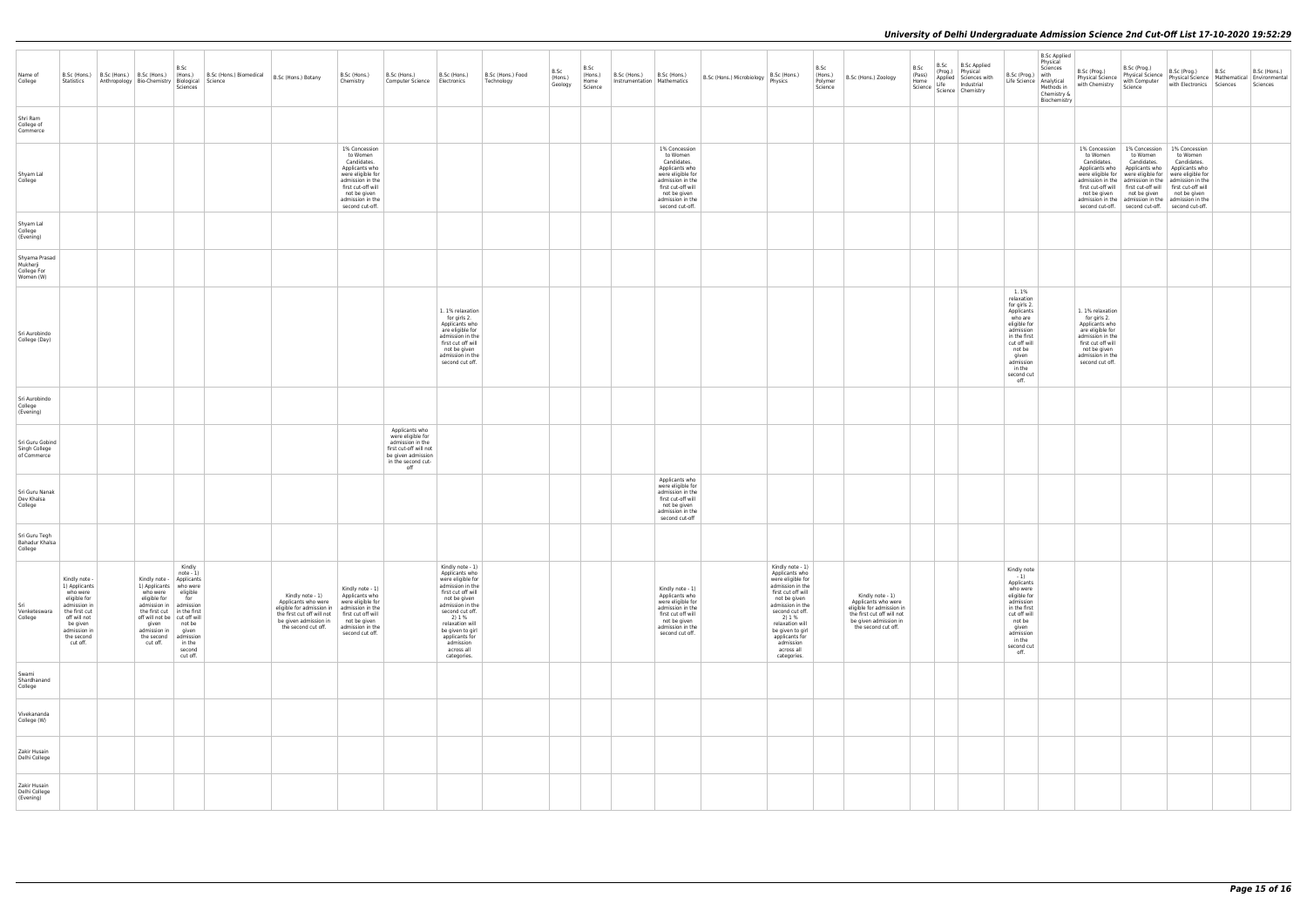| Name of<br>College                                    | Statistics                                                                                                                                                        |                                                                                                                                                                                                                       | B.Sc<br>B.Sc (Hons.) B.Sc (Hons.) B.Sc (Hons.) B.Sc (Hons.) B.Sc (Hons.) Biomedical B.Sc (Hons.) Botany<br>Anthropology   Bio-Chemistry   Biological   Science<br>Sciences |                                                                                                                                                                                                               | B.Sc (Hons.)<br>Chemistry                                                                                                                                                        | B.Sc (Hons.)<br>Computer Science   Electronics                                                                                       | B.Sc (Hons.)                                                                                                                                                                                                                                                          | B.Sc (Hons.) Food<br>Technology | B.Sc<br>(Hons.)<br>Geology | B.Sc<br>Home<br>Science | (Hons.) B.Sc (Hons.) B.Sc (Hons.)<br>Instrumentation   Mathematics |                                                                                                                                                                                  | B.Sc (Hons.) Microbiology | B.Sc (Hons.)<br>Physics                                                                                                                                                                                                                                               | B.Sc<br>(Hons.)<br>Polymer<br>Science | B.Sc (Hons.) Zoology                                                                                                                               | B.Sc<br>(Pass)<br>Home<br>Science   Life<br>Science   Chemistry<br>Chemistry | B.Sc B.Sc Applied<br>(Prog.) Physical<br>Applied Sciences with | B.Sc (Prog.) with                                                                                                                                                                        | <b>B.Sc Applied</b><br>Physical<br>Sciences<br>Life Science   Analytical<br>Methods in<br>Chemistry &<br>Biochemistry | with Chemistry   With Comp                                                                                                                                             | B.Sc (Prog.)                                                                                                                                                                                                                                                                                                                                                                                                             | B.Sc (Prog.) B.Sc (Prog.) B.Sc (Prog.) B.Sc (Hons.)<br>Physical Science Physical Science Mith Computer Musical Science Mith Computer<br>with Electronics Sciences Sciences<br>With Chemistry Science With Electronics Sciences Scien |  |
|-------------------------------------------------------|-------------------------------------------------------------------------------------------------------------------------------------------------------------------|-----------------------------------------------------------------------------------------------------------------------------------------------------------------------------------------------------------------------|----------------------------------------------------------------------------------------------------------------------------------------------------------------------------|---------------------------------------------------------------------------------------------------------------------------------------------------------------------------------------------------------------|----------------------------------------------------------------------------------------------------------------------------------------------------------------------------------|--------------------------------------------------------------------------------------------------------------------------------------|-----------------------------------------------------------------------------------------------------------------------------------------------------------------------------------------------------------------------------------------------------------------------|---------------------------------|----------------------------|-------------------------|--------------------------------------------------------------------|----------------------------------------------------------------------------------------------------------------------------------------------------------------------------------|---------------------------|-----------------------------------------------------------------------------------------------------------------------------------------------------------------------------------------------------------------------------------------------------------------------|---------------------------------------|----------------------------------------------------------------------------------------------------------------------------------------------------|------------------------------------------------------------------------------|----------------------------------------------------------------|------------------------------------------------------------------------------------------------------------------------------------------------------------------------------------------|-----------------------------------------------------------------------------------------------------------------------|------------------------------------------------------------------------------------------------------------------------------------------------------------------------|--------------------------------------------------------------------------------------------------------------------------------------------------------------------------------------------------------------------------------------------------------------------------------------------------------------------------------------------------------------------------------------------------------------------------|--------------------------------------------------------------------------------------------------------------------------------------------------------------------------------------------------------------------------------------|--|
| Shri Ram<br>College of<br>Commerce                    |                                                                                                                                                                   |                                                                                                                                                                                                                       |                                                                                                                                                                            |                                                                                                                                                                                                               |                                                                                                                                                                                  |                                                                                                                                      |                                                                                                                                                                                                                                                                       |                                 |                            |                         |                                                                    |                                                                                                                                                                                  |                           |                                                                                                                                                                                                                                                                       |                                       |                                                                                                                                                    |                                                                              |                                                                |                                                                                                                                                                                          |                                                                                                                       |                                                                                                                                                                        |                                                                                                                                                                                                                                                                                                                                                                                                                          |                                                                                                                                                                                                                                      |  |
| Shyam Lal<br>College                                  |                                                                                                                                                                   |                                                                                                                                                                                                                       |                                                                                                                                                                            |                                                                                                                                                                                                               | 1% Concession<br>to Women<br>Candidates.<br>Applicants who<br>were eligible for<br>admission in the<br>first cut-off will<br>not be given<br>admission in the<br>second cut-off. |                                                                                                                                      |                                                                                                                                                                                                                                                                       |                                 |                            |                         |                                                                    | 1% Concession<br>to Women<br>Candidates.<br>Applicants who<br>were eligible for<br>admission in the<br>first cut-off will<br>not be given<br>admission in the<br>second cut-off. |                           |                                                                                                                                                                                                                                                                       |                                       |                                                                                                                                                    |                                                                              |                                                                |                                                                                                                                                                                          |                                                                                                                       | to Women<br>Candidates.                                                                                                                                                | 1% Concession   1% Concession   1% Concession<br>to Women<br>Candidates.<br>Applicants who   Applicants who   Applicants who<br>were eligible for   were eligible for   were eligible for<br>admission in the   admission in the   admission in the<br>first cut-off will   first cut-off will   first cut-off will<br>not be given   not be given   not be given<br>second cut-off.   second cut-off.   second cut-off. | to Women<br>Candidates.<br>admission in the admission in the admission in the                                                                                                                                                        |  |
| Shyam Lal<br>College<br>(Evening)                     |                                                                                                                                                                   |                                                                                                                                                                                                                       |                                                                                                                                                                            |                                                                                                                                                                                                               |                                                                                                                                                                                  |                                                                                                                                      |                                                                                                                                                                                                                                                                       |                                 |                            |                         |                                                                    |                                                                                                                                                                                  |                           |                                                                                                                                                                                                                                                                       |                                       |                                                                                                                                                    |                                                                              |                                                                |                                                                                                                                                                                          |                                                                                                                       |                                                                                                                                                                        |                                                                                                                                                                                                                                                                                                                                                                                                                          |                                                                                                                                                                                                                                      |  |
| Shyama Prasad<br>Mukherji<br>College For<br>Women (W) |                                                                                                                                                                   |                                                                                                                                                                                                                       |                                                                                                                                                                            |                                                                                                                                                                                                               |                                                                                                                                                                                  |                                                                                                                                      |                                                                                                                                                                                                                                                                       |                                 |                            |                         |                                                                    |                                                                                                                                                                                  |                           |                                                                                                                                                                                                                                                                       |                                       |                                                                                                                                                    |                                                                              |                                                                |                                                                                                                                                                                          |                                                                                                                       |                                                                                                                                                                        |                                                                                                                                                                                                                                                                                                                                                                                                                          |                                                                                                                                                                                                                                      |  |
| Sri Aurobindo<br>College (Day)                        |                                                                                                                                                                   |                                                                                                                                                                                                                       |                                                                                                                                                                            |                                                                                                                                                                                                               |                                                                                                                                                                                  |                                                                                                                                      | 1.1% relaxation<br>for girls 2.<br>Applicants who<br>are eligible for<br>admission in the<br>first cut off will<br>not be given<br>admission in the<br>second cut off.                                                                                                |                                 |                            |                         |                                                                    |                                                                                                                                                                                  |                           |                                                                                                                                                                                                                                                                       |                                       |                                                                                                                                                    |                                                                              |                                                                | 1.1%<br>relaxation<br>for girls 2.<br>Applicants<br>who are<br>eligible for<br>admission<br>in the first<br>cut off will<br>not be<br>given<br>admission<br>in the<br>second cut<br>off. |                                                                                                                       | 1.1% relaxation<br>for girls 2.<br>Applicants who<br>are eligible for<br>admission in the<br>first cut off will<br>not be given<br>admission in the<br>second cut off. |                                                                                                                                                                                                                                                                                                                                                                                                                          |                                                                                                                                                                                                                                      |  |
| Sri Aurobindo<br>College<br>(Evening)                 |                                                                                                                                                                   |                                                                                                                                                                                                                       |                                                                                                                                                                            |                                                                                                                                                                                                               |                                                                                                                                                                                  |                                                                                                                                      |                                                                                                                                                                                                                                                                       |                                 |                            |                         |                                                                    |                                                                                                                                                                                  |                           |                                                                                                                                                                                                                                                                       |                                       |                                                                                                                                                    |                                                                              |                                                                |                                                                                                                                                                                          |                                                                                                                       |                                                                                                                                                                        |                                                                                                                                                                                                                                                                                                                                                                                                                          |                                                                                                                                                                                                                                      |  |
| Sri Guru Gobind<br>Singh College<br>of Commerce       |                                                                                                                                                                   |                                                                                                                                                                                                                       |                                                                                                                                                                            |                                                                                                                                                                                                               |                                                                                                                                                                                  | Applicants who<br>were eligible for<br>admission in the<br>first cut-off will not<br>be given admission<br>in the second cut-<br>off |                                                                                                                                                                                                                                                                       |                                 |                            |                         |                                                                    |                                                                                                                                                                                  |                           |                                                                                                                                                                                                                                                                       |                                       |                                                                                                                                                    |                                                                              |                                                                |                                                                                                                                                                                          |                                                                                                                       |                                                                                                                                                                        |                                                                                                                                                                                                                                                                                                                                                                                                                          |                                                                                                                                                                                                                                      |  |
| Sri Guru Nanak<br>Dev Khalsa<br>College               |                                                                                                                                                                   |                                                                                                                                                                                                                       |                                                                                                                                                                            |                                                                                                                                                                                                               |                                                                                                                                                                                  |                                                                                                                                      |                                                                                                                                                                                                                                                                       |                                 |                            |                         |                                                                    | Applicants who<br>were eligible for<br>admission in the<br>first cut-off will<br>not be given<br>admission in the<br>second cut-off                                              |                           |                                                                                                                                                                                                                                                                       |                                       |                                                                                                                                                    |                                                                              |                                                                |                                                                                                                                                                                          |                                                                                                                       |                                                                                                                                                                        |                                                                                                                                                                                                                                                                                                                                                                                                                          |                                                                                                                                                                                                                                      |  |
| Sri Guru Tegh<br>Bahadur Khalsa<br>College            |                                                                                                                                                                   |                                                                                                                                                                                                                       |                                                                                                                                                                            |                                                                                                                                                                                                               |                                                                                                                                                                                  |                                                                                                                                      |                                                                                                                                                                                                                                                                       |                                 |                            |                         |                                                                    |                                                                                                                                                                                  |                           |                                                                                                                                                                                                                                                                       |                                       |                                                                                                                                                    |                                                                              |                                                                |                                                                                                                                                                                          |                                                                                                                       |                                                                                                                                                                        |                                                                                                                                                                                                                                                                                                                                                                                                                          |                                                                                                                                                                                                                                      |  |
| Sri<br>Venketeswara<br>College                        | Kindly note -<br>1) Applicants<br>who were<br>eligible for<br>admission in<br>the first cut<br>off will not<br>be given<br>admission in<br>the second<br>cut off. | Kindly note - Applicants<br>1) Applicants   who were<br>who were eligible<br>eligible for for<br>admission in   admission<br>off will not be cut off will<br>admission in   given<br>the second admission<br>cut off. | Kindly<br>$note - 1)$<br>the first $cut$ in the first<br>given   not be<br>in the<br>second<br>cut off.                                                                    | Kindly note - 1)<br>Applicants who were<br>eligible for admission in   admission in the<br>the first cut off will not   first cut off will<br>be given admission in<br>the second cut off.   admission in the | Kindly note - 1)<br>Applicants who<br>were eligible for<br>not be given<br>second cut off.                                                                                       |                                                                                                                                      | Kindly note - 1)<br>Applicants who<br>were eligible for<br>admission in the<br>first cut off will<br>not be given<br>admission in the<br>second cut off.<br>2) 1 %<br>relaxation will<br>be given to girl<br>applicants for<br>admission<br>across all<br>categories. |                                 |                            |                         |                                                                    | Kindly note - 1)<br>Applicants who<br>were eligible for<br>admission in the<br>first cut off will<br>not be given<br>admission in the<br>second cut off.                         |                           | Kindly note - 1)<br>Applicants who<br>were eligible for<br>admission in the<br>first cut off will<br>not be given<br>admission in the<br>second cut off.<br>2) 1 %<br>relaxation will<br>be given to girl<br>applicants for<br>admission<br>across all<br>categories. |                                       | Kindly note - 1)<br>Applicants who were<br>eligible for admission in<br>the first cut off will not<br>be given admission in<br>the second cut off. |                                                                              |                                                                | Kindly note<br>$-1)$<br>Applicants<br>who were<br>eligible for<br>admission<br>in the first<br>cut off will<br>not be<br>given<br>admission<br>in the<br>second cut<br>off.              |                                                                                                                       |                                                                                                                                                                        |                                                                                                                                                                                                                                                                                                                                                                                                                          |                                                                                                                                                                                                                                      |  |
| Swami<br>Shardhanand<br>College                       |                                                                                                                                                                   |                                                                                                                                                                                                                       |                                                                                                                                                                            |                                                                                                                                                                                                               |                                                                                                                                                                                  |                                                                                                                                      |                                                                                                                                                                                                                                                                       |                                 |                            |                         |                                                                    |                                                                                                                                                                                  |                           |                                                                                                                                                                                                                                                                       |                                       |                                                                                                                                                    |                                                                              |                                                                |                                                                                                                                                                                          |                                                                                                                       |                                                                                                                                                                        |                                                                                                                                                                                                                                                                                                                                                                                                                          |                                                                                                                                                                                                                                      |  |
| Vivekananda<br>College (W)                            |                                                                                                                                                                   |                                                                                                                                                                                                                       |                                                                                                                                                                            |                                                                                                                                                                                                               |                                                                                                                                                                                  |                                                                                                                                      |                                                                                                                                                                                                                                                                       |                                 |                            |                         |                                                                    |                                                                                                                                                                                  |                           |                                                                                                                                                                                                                                                                       |                                       |                                                                                                                                                    |                                                                              |                                                                |                                                                                                                                                                                          |                                                                                                                       |                                                                                                                                                                        |                                                                                                                                                                                                                                                                                                                                                                                                                          |                                                                                                                                                                                                                                      |  |
| Zakir Husain<br>Delhi College                         |                                                                                                                                                                   |                                                                                                                                                                                                                       |                                                                                                                                                                            |                                                                                                                                                                                                               |                                                                                                                                                                                  |                                                                                                                                      |                                                                                                                                                                                                                                                                       |                                 |                            |                         |                                                                    |                                                                                                                                                                                  |                           |                                                                                                                                                                                                                                                                       |                                       |                                                                                                                                                    |                                                                              |                                                                |                                                                                                                                                                                          |                                                                                                                       |                                                                                                                                                                        |                                                                                                                                                                                                                                                                                                                                                                                                                          |                                                                                                                                                                                                                                      |  |
| Zakir Husain<br>Delhi College<br>(Evening)            |                                                                                                                                                                   |                                                                                                                                                                                                                       |                                                                                                                                                                            |                                                                                                                                                                                                               |                                                                                                                                                                                  |                                                                                                                                      |                                                                                                                                                                                                                                                                       |                                 |                            |                         |                                                                    |                                                                                                                                                                                  |                           |                                                                                                                                                                                                                                                                       |                                       |                                                                                                                                                    |                                                                              |                                                                |                                                                                                                                                                                          |                                                                                                                       |                                                                                                                                                                        |                                                                                                                                                                                                                                                                                                                                                                                                                          |                                                                                                                                                                                                                                      |  |